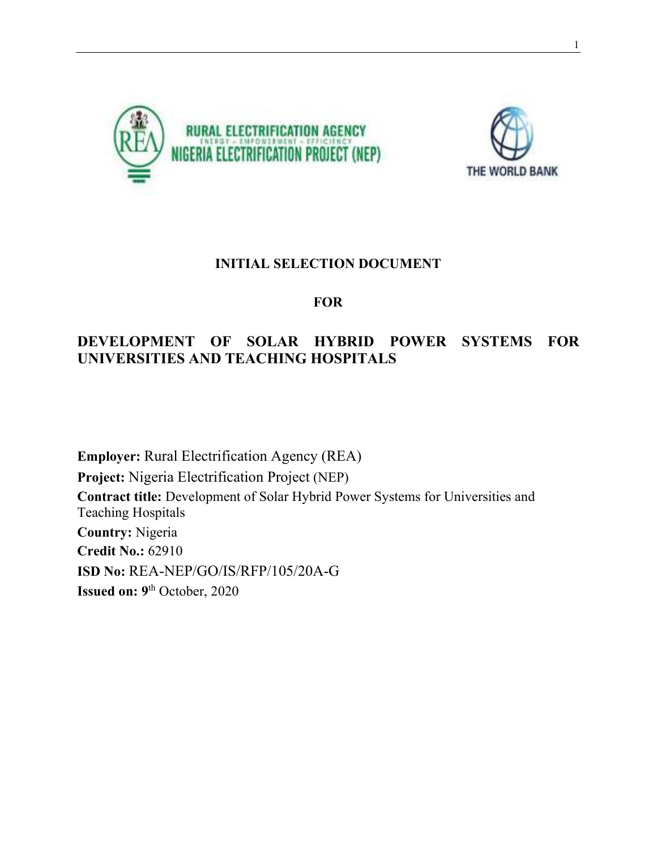



### **INITIAL SELECTION DOCUMENT**

### **FOR**

## **DEVELOPMENT OF SOLAR HYBRID POWER SYSTEMS FOR UNIVERSITIES AND TEACHING HOSPITALS**

**Employer:** Rural Electrification Agency (REA) **Project:** Nigeria Electrification Project (NEP) **Contract title:** Development of Solar Hybrid Power Systems for Universities and Teaching Hospitals **Country:** Nigeria **Credit No.:** 62910 **ISD No:** REA-NEP/GO/IS/RFP/105/20A-G **Issued on: 9**th October, 2020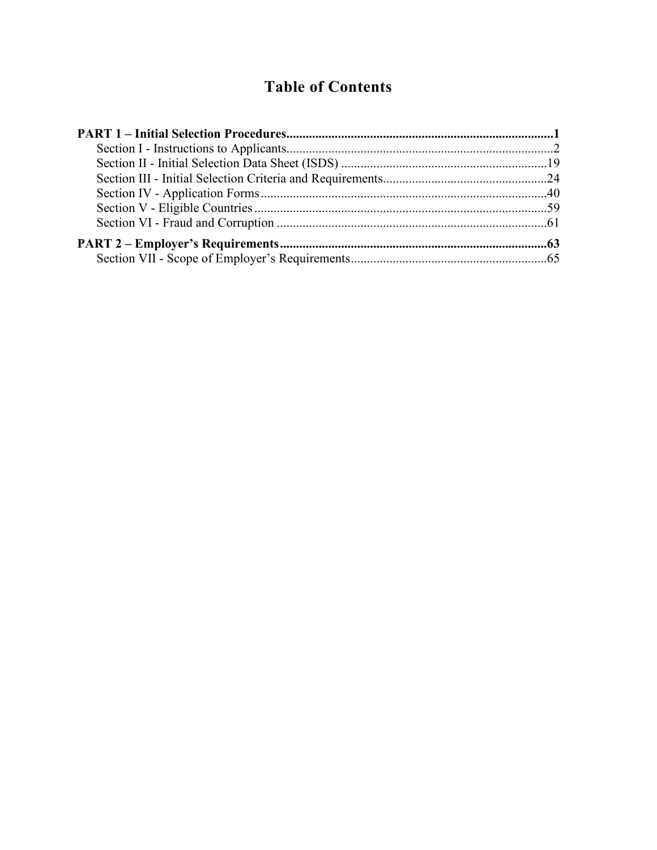## **Table of Contents**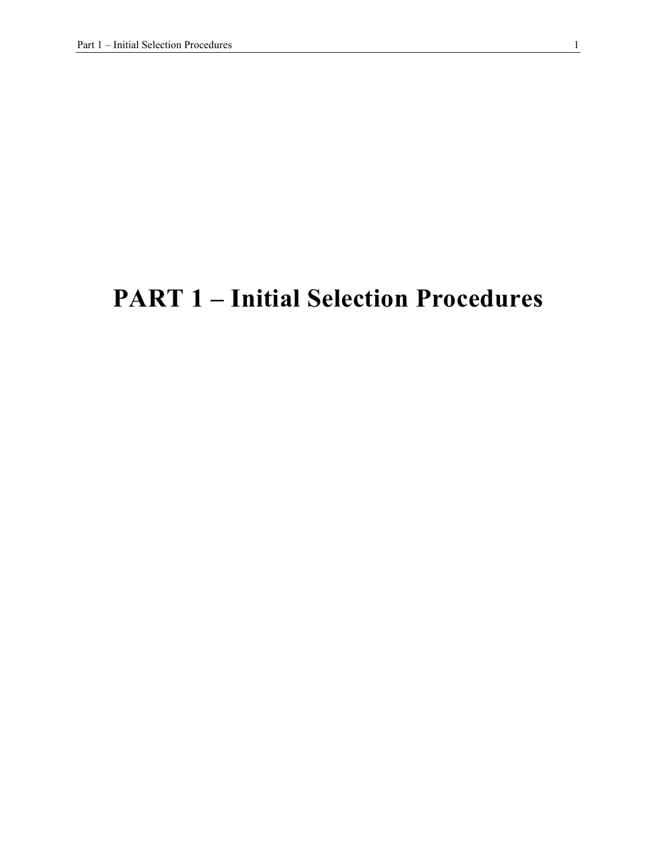# **PART 1 – Initial Selection Procedures**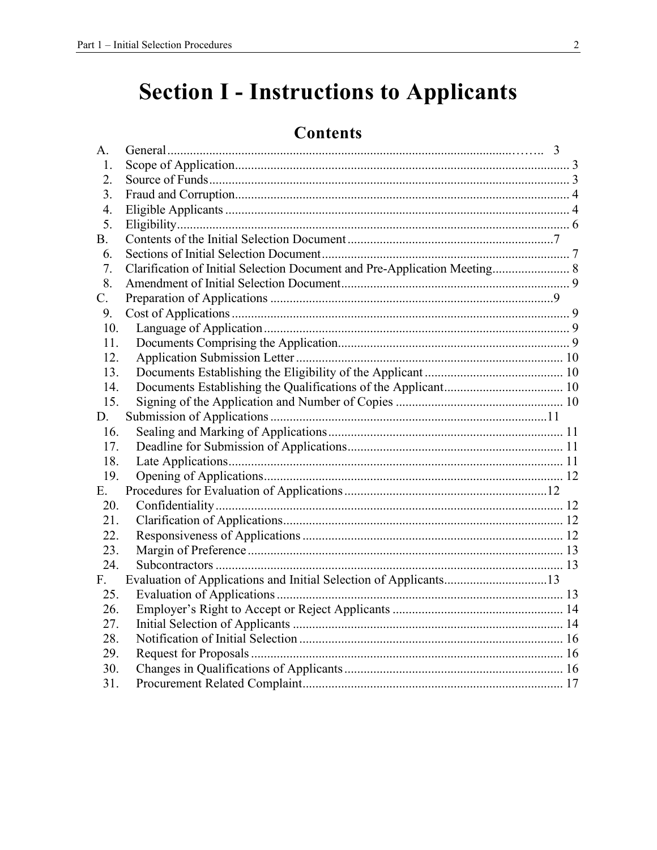# **Section I - Instructions to Applicants**

## **Contents**

| A.  |                                                                           |  |
|-----|---------------------------------------------------------------------------|--|
| 1.  |                                                                           |  |
| 2.  |                                                                           |  |
| 3.  |                                                                           |  |
| 4.  |                                                                           |  |
| 5.  |                                                                           |  |
| В.  |                                                                           |  |
| 6.  |                                                                           |  |
| 7.  | Clarification of Initial Selection Document and Pre-Application Meeting 8 |  |
| 8.  |                                                                           |  |
| C.  |                                                                           |  |
| 9.  |                                                                           |  |
| 10. |                                                                           |  |
| 11. |                                                                           |  |
| 12. |                                                                           |  |
| 13. |                                                                           |  |
| 14. |                                                                           |  |
| 15. |                                                                           |  |
| D.  |                                                                           |  |
| 16. |                                                                           |  |
| 17. |                                                                           |  |
| 18. |                                                                           |  |
| 19. |                                                                           |  |
| Е.  |                                                                           |  |
| 20. |                                                                           |  |
| 21. |                                                                           |  |
| 22. |                                                                           |  |
| 23. |                                                                           |  |
| 24. |                                                                           |  |
| F.  | Evaluation of Applications and Initial Selection of Applicants13          |  |
| 25. |                                                                           |  |
| 26. |                                                                           |  |
| 27. |                                                                           |  |
| 28. |                                                                           |  |
| 29. |                                                                           |  |
| 30. |                                                                           |  |
| 31. |                                                                           |  |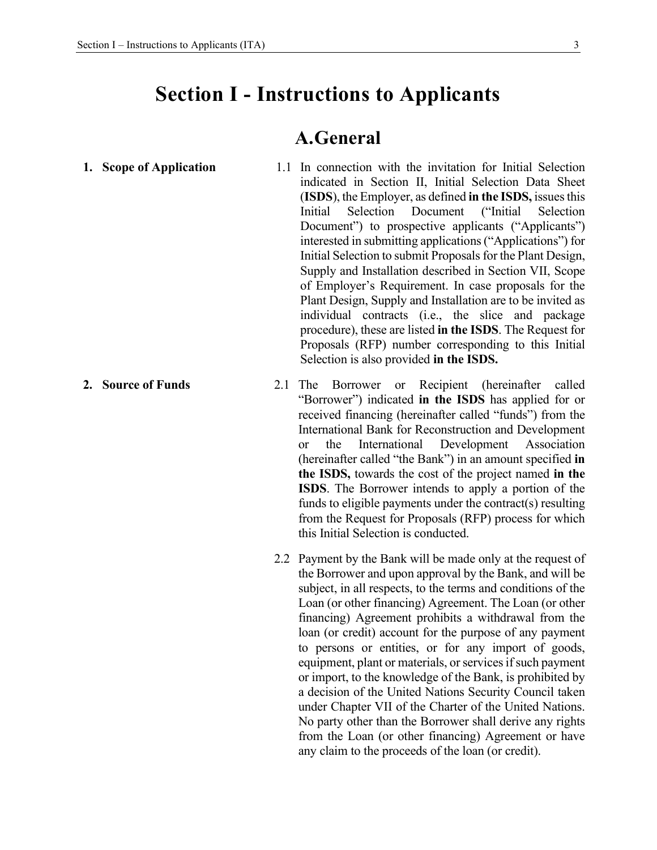## **Section I - Instructions to Applicants**

### **A.General**

- **1. Scope of Application 1.1** In connection with the invitation for Initial Selection indicated in Section II, Initial Selection Data Sheet (**ISDS**), the Employer, as defined **in the ISDS,** issues this Initial Selection Document ("Initial Selection Document") to prospective applicants ("Applicants") interested in submitting applications ("Applications") for Initial Selection to submit Proposals for the Plant Design, Supply and Installation described in Section VII, Scope of Employer's Requirement. In case proposals for the Plant Design, Supply and Installation are to be invited as individual contracts (i.e., the slice and package procedure), these are listed **in the ISDS**. The Request for Proposals (RFP) number corresponding to this Initial Selection is also provided **in the ISDS.**
- **2. Source of Funds** 2.1 The Borrower or Recipient (hereinafter called "Borrower") indicated **in the ISDS** has applied for or received financing (hereinafter called "funds") from the International Bank for Reconstruction and Development or the International Development Association (hereinafter called "the Bank") in an amount specified **in the ISDS,** towards the cost of the project named **in the ISDS**. The Borrower intends to apply a portion of the funds to eligible payments under the contract(s) resulting from the Request for Proposals (RFP) process for which this Initial Selection is conducted.
	- 2.2 Payment by the Bank will be made only at the request of the Borrower and upon approval by the Bank, and will be subject, in all respects, to the terms and conditions of the Loan (or other financing) Agreement. The Loan (or other financing) Agreement prohibits a withdrawal from the loan (or credit) account for the purpose of any payment to persons or entities, or for any import of goods, equipment, plant or materials, or services if such payment or import, to the knowledge of the Bank, is prohibited by a decision of the United Nations Security Council taken under Chapter VII of the Charter of the United Nations. No party other than the Borrower shall derive any rights from the Loan (or other financing) Agreement or have any claim to the proceeds of the loan (or credit).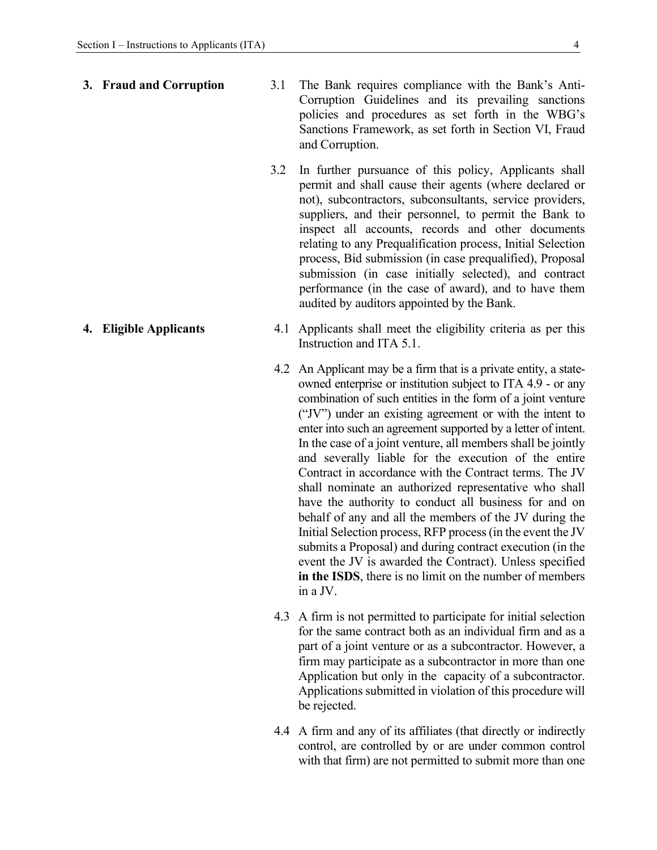- **3. Fraud and Corruption** 3.1 The Bank requires compliance with the Bank's Anti-Corruption Guidelines and its prevailing sanctions policies and procedures as set forth in the WBG's Sanctions Framework, as set forth in Section VI, Fraud and Corruption.
	- 3.2 In further pursuance of this policy, Applicants shall permit and shall cause their agents (where declared or not), subcontractors, subconsultants, service providers, suppliers, and their personnel, to permit the Bank to inspect all accounts, records and other documents relating to any Prequalification process, Initial Selection process, Bid submission (in case prequalified), Proposal submission (in case initially selected), and contract performance (in the case of award), and to have them audited by auditors appointed by the Bank.
- **4. Eligible Applicants** 4.1 Applicants shall meet the eligibility criteria as per this Instruction and ITA 5.1.
	- 4.2 An Applicant may be a firm that is a private entity, a stateowned enterprise or institution subject to ITA 4.9 - or any combination of such entities in the form of a joint venture ("JV") under an existing agreement or with the intent to enter into such an agreement supported by a letter of intent. In the case of a joint venture, all members shall be jointly and severally liable for the execution of the entire Contract in accordance with the Contract terms. The JV shall nominate an authorized representative who shall have the authority to conduct all business for and on behalf of any and all the members of the JV during the Initial Selection process, RFP process (in the event the JV submits a Proposal) and during contract execution (in the event the JV is awarded the Contract). Unless specified **in the ISDS**, there is no limit on the number of members in a JV.
	- 4.3 A firm is not permitted to participate for initial selection for the same contract both as an individual firm and as a part of a joint venture or as a subcontractor. However, a firm may participate as a subcontractor in more than one Application but only in the capacity of a subcontractor. Applications submitted in violation of this procedure will be rejected.
	- 4.4 A firm and any of its affiliates (that directly or indirectly control, are controlled by or are under common control with that firm) are not permitted to submit more than one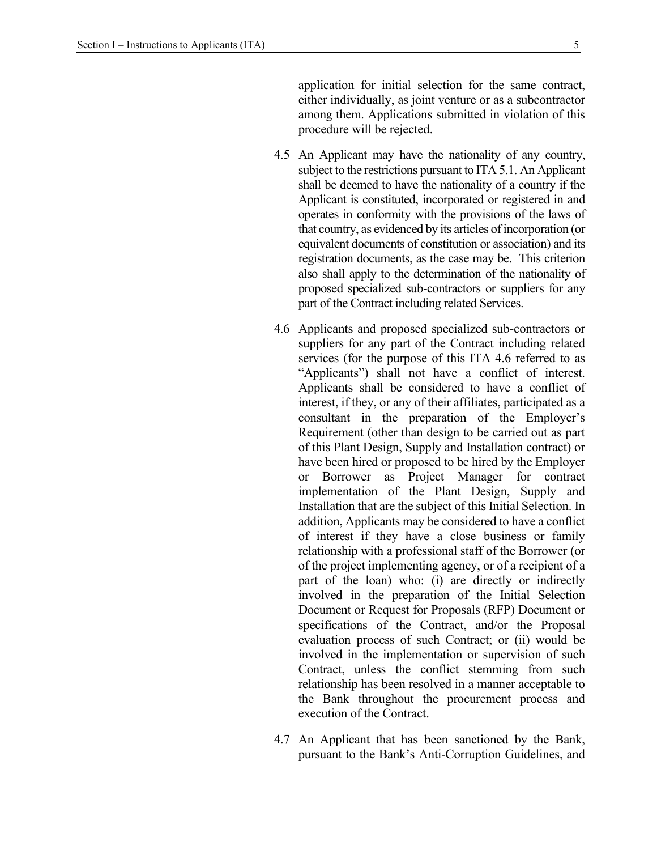application for initial selection for the same contract, either individually, as joint venture or as a subcontractor among them. Applications submitted in violation of this procedure will be rejected.

- 4.5 An Applicant may have the nationality of any country, subject to the restrictions pursuant to ITA 5.1. An Applicant shall be deemed to have the nationality of a country if the Applicant is constituted, incorporated or registered in and operates in conformity with the provisions of the laws of that country, as evidenced by its articles of incorporation (or equivalent documents of constitution or association) and its registration documents, as the case may be. This criterion also shall apply to the determination of the nationality of proposed specialized sub-contractors or suppliers for any part of the Contract including related Services.
- 4.6 Applicants and proposed specialized sub-contractors or suppliers for any part of the Contract including related services (for the purpose of this ITA 4.6 referred to as "Applicants") shall not have a conflict of interest. Applicants shall be considered to have a conflict of interest, if they, or any of their affiliates, participated as a consultant in the preparation of the Employer's Requirement (other than design to be carried out as part of this Plant Design, Supply and Installation contract) or have been hired or proposed to be hired by the Employer or Borrower as Project Manager for contract implementation of the Plant Design, Supply and Installation that are the subject of this Initial Selection. In addition, Applicants may be considered to have a conflict of interest if they have a close business or family relationship with a professional staff of the Borrower (or of the project implementing agency, or of a recipient of a part of the loan) who: (i) are directly or indirectly involved in the preparation of the Initial Selection Document or Request for Proposals (RFP) Document or specifications of the Contract, and/or the Proposal evaluation process of such Contract; or (ii) would be involved in the implementation or supervision of such Contract, unless the conflict stemming from such relationship has been resolved in a manner acceptable to the Bank throughout the procurement process and execution of the Contract.
- 4.7 An Applicant that has been sanctioned by the Bank, pursuant to the Bank's Anti-Corruption Guidelines, and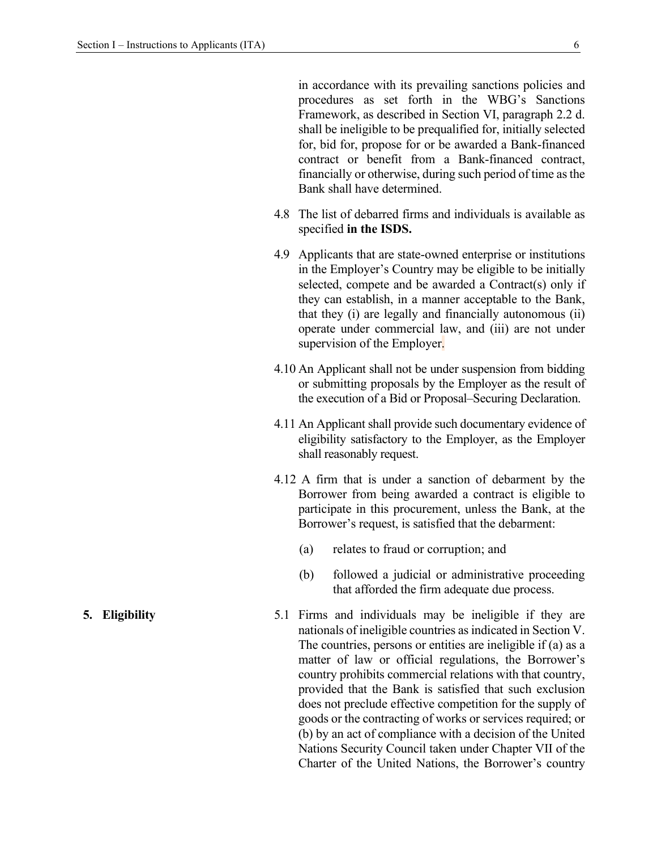in accordance with its prevailing sanctions policies and procedures as set forth in the WBG's Sanctions Framework, as described in Section VI, paragraph 2.2 d. shall be ineligible to be prequalified for, initially selected for, bid for, propose for or be awarded a Bank-financed contract or benefit from a Bank-financed contract, financially or otherwise, during such period of time as the Bank shall have determined.

- 4.8 The list of debarred firms and individuals is available as specified **in the ISDS.**
- 4.9 Applicants that are state-owned enterprise or institutions in the Employer's Country may be eligible to be initially selected, compete and be awarded a Contract(s) only if they can establish, in a manner acceptable to the Bank, that they (i) are legally and financially autonomous (ii) operate under commercial law, and (iii) are not under supervision of the Employer.
- 4.10 An Applicant shall not be under suspension from bidding or submitting proposals by the Employer as the result of the execution of a Bid or Proposal–Securing Declaration.
- 4.11 An Applicant shall provide such documentary evidence of eligibility satisfactory to the Employer, as the Employer shall reasonably request.
- 4.12 A firm that is under a sanction of debarment by the Borrower from being awarded a contract is eligible to participate in this procurement, unless the Bank, at the Borrower's request, is satisfied that the debarment:
	- (a) relates to fraud or corruption; and
	- (b) followed a judicial or administrative proceeding that afforded the firm adequate due process.
- **5. Eligibility** 5.1 Firms and individuals may be ineligible if they are nationals of ineligible countries as indicated in Section V. The countries, persons or entities are ineligible if (a) as a matter of law or official regulations, the Borrower's country prohibits commercial relations with that country, provided that the Bank is satisfied that such exclusion does not preclude effective competition for the supply of goods or the contracting of works or services required; or (b) by an act of compliance with a decision of the United Nations Security Council taken under Chapter VII of the Charter of the United Nations, the Borrower's country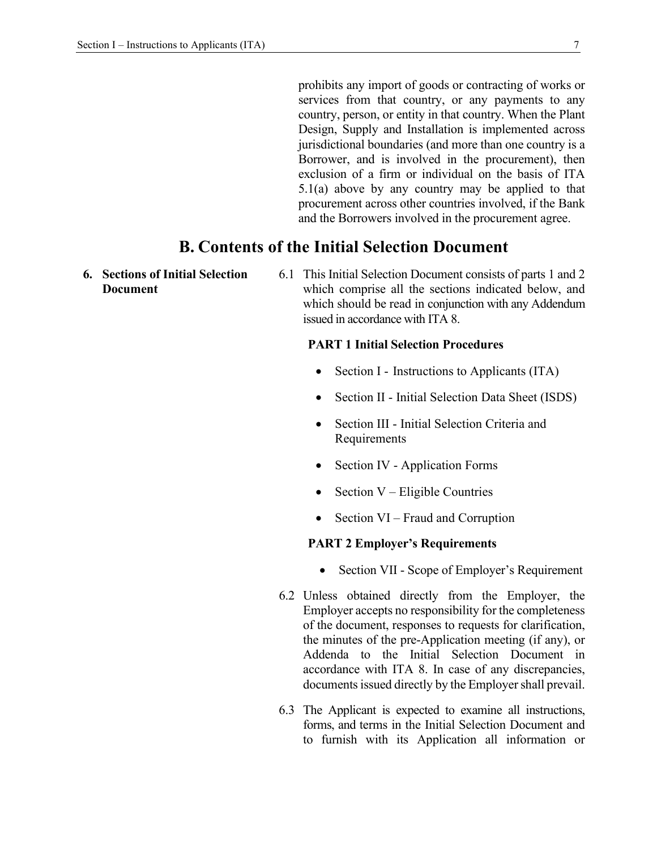prohibits any import of goods or contracting of works or services from that country, or any payments to any country, person, or entity in that country. When the Plant Design, Supply and Installation is implemented across jurisdictional boundaries (and more than one country is a Borrower, and is involved in the procurement), then exclusion of a firm or individual on the basis of ITA 5.1(a) above by any country may be applied to that procurement across other countries involved, if the Bank and the Borrowers involved in the procurement agree.

### **B. Contents of the Initial Selection Document**

- **6. Sections of Initial Selection Document**
- 6.1 This Initial Selection Document consists of parts 1 and 2 which comprise all the sections indicated below, and which should be read in conjunction with any Addendum issued in accordance with ITA 8.

### **PART 1 Initial Selection Procedures**

- Section I Instructions to Applicants (ITA)
- Section II Initial Selection Data Sheet (ISDS)
- Section III Initial Selection Criteria and Requirements
- Section IV Application Forms
- Section V Eligible Countries
- Section VI Fraud and Corruption

### **PART 2 Employer's Requirements**

- Section VII Scope of Employer's Requirement
- 6.2 Unless obtained directly from the Employer, the Employer accepts no responsibility for the completeness of the document, responses to requests for clarification, the minutes of the pre-Application meeting (if any), or Addenda to the Initial Selection Document in accordance with ITA 8. In case of any discrepancies, documents issued directly by the Employer shall prevail.
- 6.3 The Applicant is expected to examine all instructions, forms, and terms in the Initial Selection Document and to furnish with its Application all information or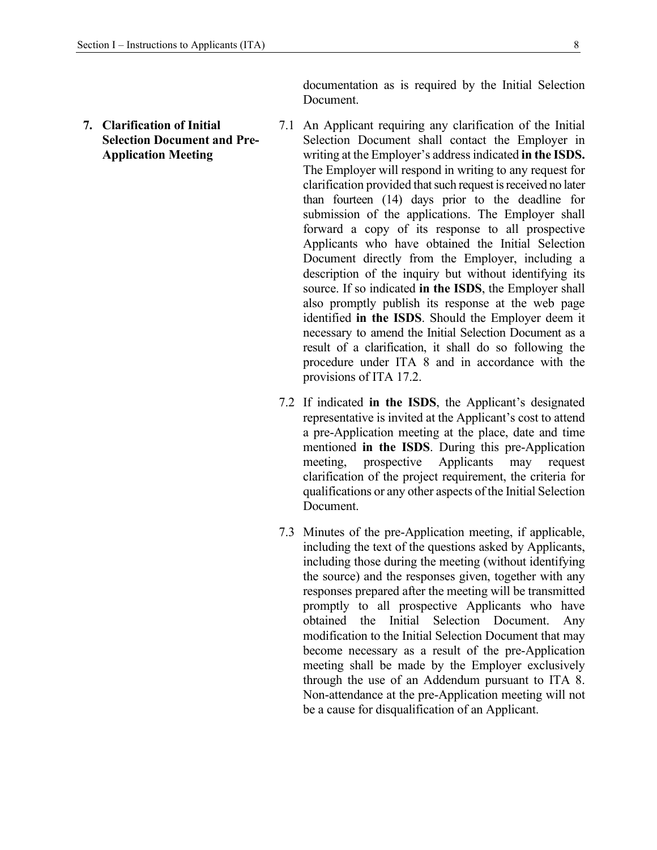**7. Clarification of Initial Selection Document and Pre-Application Meeting** 

documentation as is required by the Initial Selection Document.

- 7.1 An Applicant requiring any clarification of the Initial Selection Document shall contact the Employer in writing at the Employer's address indicated **in the ISDS.**  The Employer will respond in writing to any request for clarification provided that such request is received no later than fourteen (14) days prior to the deadline for submission of the applications. The Employer shall forward a copy of its response to all prospective Applicants who have obtained the Initial Selection Document directly from the Employer, including a description of the inquiry but without identifying its source. If so indicated **in the ISDS**, the Employer shall also promptly publish its response at the web page identified **in the ISDS**. Should the Employer deem it necessary to amend the Initial Selection Document as a result of a clarification, it shall do so following the procedure under ITA 8 and in accordance with the provisions of ITA 17.2.
- 7.2 If indicated **in the ISDS**, the Applicant's designated representative is invited at the Applicant's cost to attend a pre-Application meeting at the place, date and time mentioned **in the ISDS**. During this pre-Application meeting, prospective Applicants may request clarification of the project requirement, the criteria for qualifications or any other aspects of the Initial Selection Document.
- 7.3 Minutes of the pre-Application meeting, if applicable, including the text of the questions asked by Applicants, including those during the meeting (without identifying the source) and the responses given, together with any responses prepared after the meeting will be transmitted promptly to all prospective Applicants who have obtained the Initial Selection Document. Any modification to the Initial Selection Document that may become necessary as a result of the pre-Application meeting shall be made by the Employer exclusively through the use of an Addendum pursuant to ITA 8. Non-attendance at the pre-Application meeting will not be a cause for disqualification of an Applicant.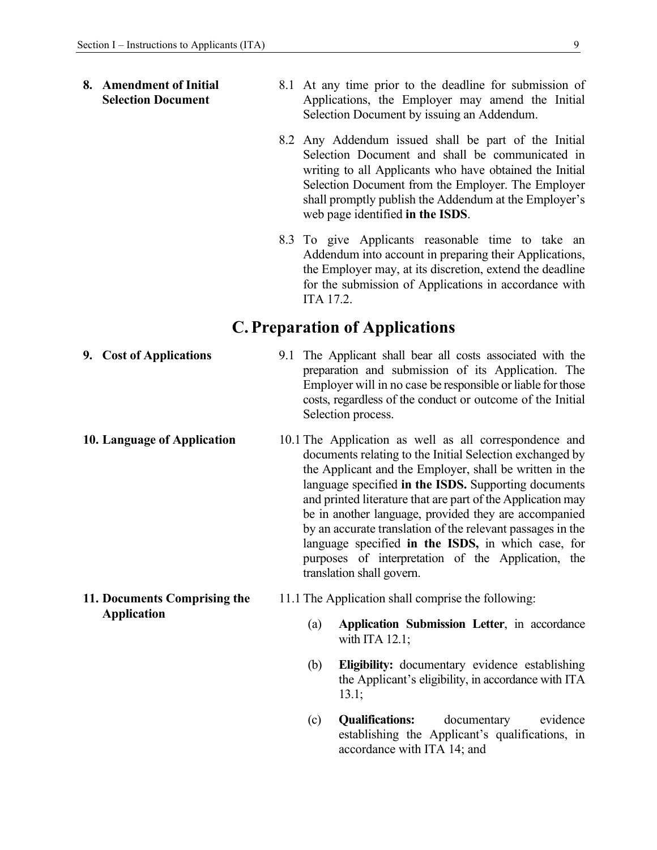### **8. Amendment of Initial Selection Document**  8.1 At any time prior to the deadline for submission of Applications, the Employer may amend the Initial Selection Document by issuing an Addendum.

- 8.2 Any Addendum issued shall be part of the Initial Selection Document and shall be communicated in writing to all Applicants who have obtained the Initial Selection Document from the Employer. The Employer shall promptly publish the Addendum at the Employer's web page identified **in the ISDS**.
- 8.3 To give Applicants reasonable time to take an Addendum into account in preparing their Applications, the Employer may, at its discretion, extend the deadline for the submission of Applications in accordance with ITA 17.2.

### **C. Preparation of Applications**

- **9. Cost of Applications** 9.1 The Applicant shall bear all costs associated with the preparation and submission of its Application. The Employer will in no case be responsible or liable for those costs, regardless of the conduct or outcome of the Initial Selection process. **10. Language of Application** 10.1 The Application as well as all correspondence and documents relating to the Initial Selection exchanged by the Applicant and the Employer, shall be written in the language specified **in the ISDS.** Supporting documents and printed literature that are part of the Application may be in another language, provided they are accompanied by an accurate translation of the relevant passages in the language specified **in the ISDS,** in which case, for purposes of interpretation of the Application, the translation shall govern. **11. Documents Comprising the Application**  11.1 The Application shall comprise the following: (a) **Application Submission Letter**, in accordance with ITA 12.1;
	- (b) **Eligibility:** documentary evidence establishing the Applicant's eligibility, in accordance with ITA 13.1;
	- (c) **Qualifications:** documentary evidence establishing the Applicant's qualifications, in accordance with ITA 14; and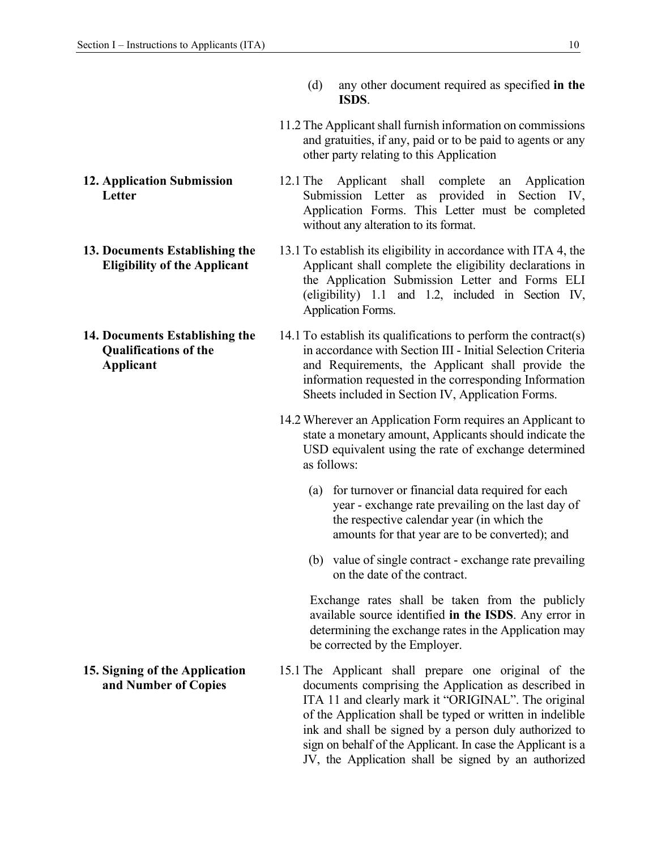- **12. Application Submission Letter**
- **13. Documents Establishing the Eligibility of the Applicant**
- **14. Documents Establishing the Qualifications of the Applicant**

**15. Signing of the Application and Number of Copies** 

- (d) any other document required as specified **in the ISDS**.
- 11.2 The Applicant shall furnish information on commissions and gratuities, if any, paid or to be paid to agents or any other party relating to this Application
- 12.1 The Applicant shall complete an Application Submission Letter as provided in Section IV, Application Forms. This Letter must be completed without any alteration to its format.
- 13.1 To establish its eligibility in accordance with ITA 4, the Applicant shall complete the eligibility declarations in the Application Submission Letter and Forms ELI (eligibility) 1.1 and 1.2, included in Section IV, Application Forms.
- 14.1 To establish its qualifications to perform the contract(s) in accordance with Section III - Initial Selection Criteria and Requirements, the Applicant shall provide the information requested in the corresponding Information Sheets included in Section IV, Application Forms.
	- 14.2 Wherever an Application Form requires an Applicant to state a monetary amount, Applicants should indicate the USD equivalent using the rate of exchange determined as follows:
		- (a) for turnover or financial data required for each year - exchange rate prevailing on the last day of the respective calendar year (in which the amounts for that year are to be converted); and
		- (b) value of single contract exchange rate prevailing on the date of the contract.

Exchange rates shall be taken from the publicly available source identified **in the ISDS**. Any error in determining the exchange rates in the Application may be corrected by the Employer.

15.1 The Applicant shall prepare one original of the documents comprising the Application as described in ITA 11 and clearly mark it "ORIGINAL". The original of the Application shall be typed or written in indelible ink and shall be signed by a person duly authorized to sign on behalf of the Applicant. In case the Applicant is a JV, the Application shall be signed by an authorized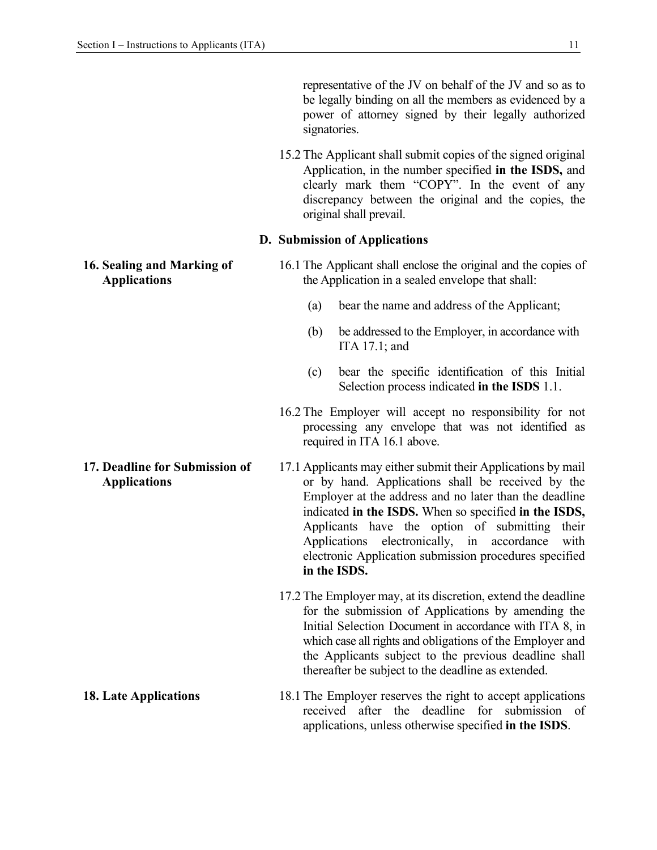representative of the JV on behalf of the JV and so as to be legally binding on all the members as evidenced by a power of attorney signed by their legally authorized signatories.

15.2 The Applicant shall submit copies of the signed original Application, in the number specified **in the ISDS,** and clearly mark them "COPY". In the event of any discrepancy between the original and the copies, the original shall prevail.

### **D. Submission of Applications**

16.1 The Applicant shall enclose the original and the copies of the Application in a sealed envelope that shall:

- (a) bear the name and address of the Applicant;
- (b) be addressed to the Employer, in accordance with ITA 17.1; and
- (c) bear the specific identification of this Initial Selection process indicated **in the ISDS** 1.1.
- 16.2 The Employer will accept no responsibility for not processing any envelope that was not identified as required in ITA 16.1 above.
- 17.1 Applicants may either submit their Applications by mail or by hand. Applications shall be received by the Employer at the address and no later than the deadline indicated **in the ISDS.** When so specified **in the ISDS,**  Applicants have the option of submitting their Applications electronically, in accordance with electronic Application submission procedures specified **in the ISDS.** 
	- 17.2 The Employer may, at its discretion, extend the deadline for the submission of Applications by amending the Initial Selection Document in accordance with ITA 8, in which case all rights and obligations of the Employer and the Applicants subject to the previous deadline shall thereafter be subject to the deadline as extended.
- **18. Late Applications** 18.1 The Employer reserves the right to accept applications received after the deadline for submission of applications, unless otherwise specified **in the ISDS**.

**16. Sealing and Marking of Applications** 

- **17. Deadline for Submission of Applications**
-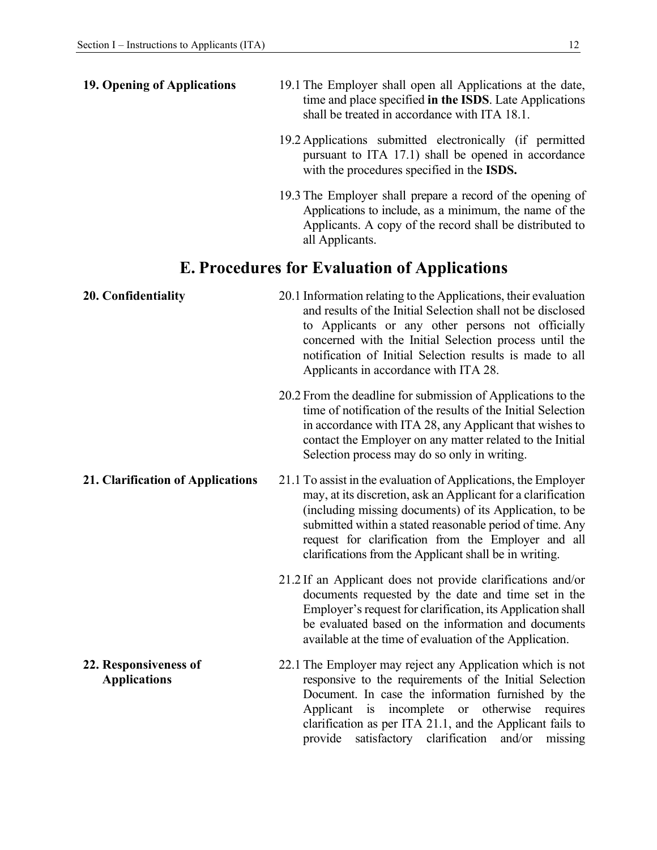| 19. Opening of Applications                  | 19.1 The Employer shall open all Applications at the date,<br>time and place specified in the ISDS. Late Applications<br>shall be treated in accordance with ITA 18.1.                                                                                                                                                                                                 |  |  |  |  |
|----------------------------------------------|------------------------------------------------------------------------------------------------------------------------------------------------------------------------------------------------------------------------------------------------------------------------------------------------------------------------------------------------------------------------|--|--|--|--|
|                                              | 19.2 Applications submitted electronically (if permitted<br>pursuant to ITA 17.1) shall be opened in accordance<br>with the procedures specified in the <b>ISDS</b> .                                                                                                                                                                                                  |  |  |  |  |
|                                              | 19.3 The Employer shall prepare a record of the opening of<br>Applications to include, as a minimum, the name of the<br>Applicants. A copy of the record shall be distributed to<br>all Applicants.                                                                                                                                                                    |  |  |  |  |
|                                              | <b>E. Procedures for Evaluation of Applications</b>                                                                                                                                                                                                                                                                                                                    |  |  |  |  |
| 20. Confidentiality                          | 20.1 Information relating to the Applications, their evaluation<br>and results of the Initial Selection shall not be disclosed<br>to Applicants or any other persons not officially<br>concerned with the Initial Selection process until the<br>notification of Initial Selection results is made to all<br>Applicants in accordance with ITA 28.                     |  |  |  |  |
|                                              | 20.2 From the deadline for submission of Applications to the<br>time of notification of the results of the Initial Selection<br>in accordance with ITA 28, any Applicant that wishes to<br>contact the Employer on any matter related to the Initial<br>Selection process may do so only in writing.                                                                   |  |  |  |  |
| 21. Clarification of Applications            | 21.1 To assist in the evaluation of Applications, the Employer<br>may, at its discretion, ask an Applicant for a clarification<br>(including missing documents) of its Application, to be<br>submitted within a stated reasonable period of time. Any<br>request for clarification from the Employer and all<br>clarifications from the Applicant shall be in writing. |  |  |  |  |
|                                              | 21.2 If an Applicant does not provide clarifications and/or<br>documents requested by the date and time set in the<br>Employer's request for clarification, its Application shall<br>be evaluated based on the information and documents<br>available at the time of evaluation of the Application.                                                                    |  |  |  |  |
| 22. Responsiveness of<br><b>Applications</b> | 22.1 The Employer may reject any Application which is not<br>responsive to the requirements of the Initial Selection<br>Document. In case the information furnished by the<br>Applicant is incomplete<br>otherwise<br>or<br>requires<br>clarification as per ITA 21.1, and the Applicant fails to<br>satisfactory clarification<br>and/or<br>provide<br>missing        |  |  |  |  |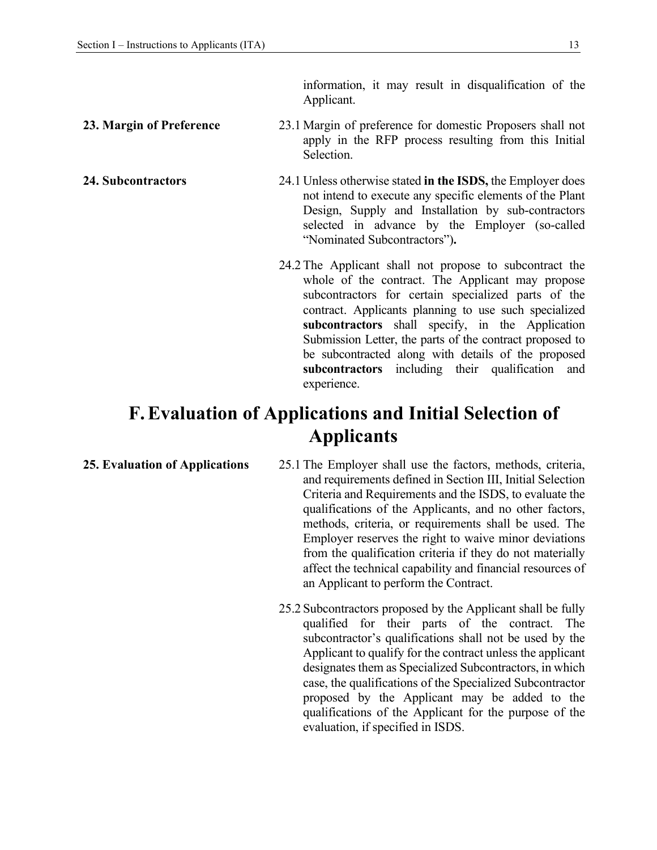information, it may result in disqualification of the Applicant.

### **23. Margin of Preference** 23.1 Margin of preference for domestic Proposers shall not apply in the RFP process resulting from this Initial Selection.

**24. Subcontractors** 24.1 Unless otherwise stated **in the ISDS,** the Employer does not intend to execute any specific elements of the Plant Design, Supply and Installation by sub-contractors selected in advance by the Employer (so-called "Nominated Subcontractors")**.** 

> 24.2 The Applicant shall not propose to subcontract the whole of the contract. The Applicant may propose subcontractors for certain specialized parts of the contract. Applicants planning to use such specialized **subcontractors** shall specify, in the Application Submission Letter, the parts of the contract proposed to be subcontracted along with details of the proposed **subcontractors** including their qualification and experience.

## **F.Evaluation of Applications and Initial Selection of Applicants**

**25. Evaluation of Applications** 25.1 The Employer shall use the factors, methods, criteria, and requirements defined in Section III, Initial Selection Criteria and Requirements and the ISDS, to evaluate the qualifications of the Applicants, and no other factors, methods, criteria, or requirements shall be used. The Employer reserves the right to waive minor deviations from the qualification criteria if they do not materially affect the technical capability and financial resources of an Applicant to perform the Contract.

> 25.2 Subcontractors proposed by the Applicant shall be fully qualified for their parts of the contract. The subcontractor's qualifications shall not be used by the Applicant to qualify for the contract unless the applicant designates them as Specialized Subcontractors, in which case, the qualifications of the Specialized Subcontractor proposed by the Applicant may be added to the qualifications of the Applicant for the purpose of the evaluation, if specified in ISDS.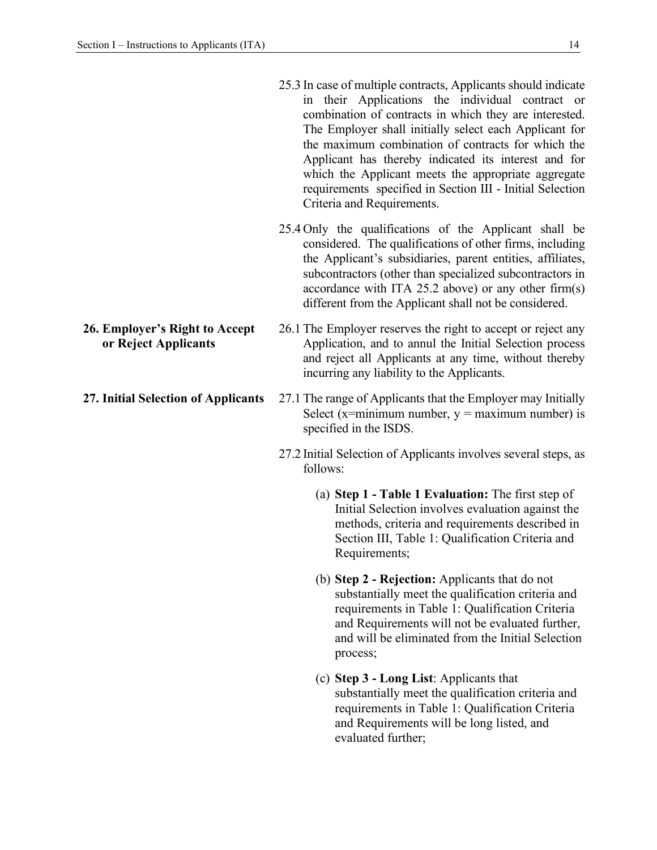| 25.3 In case of multiple contracts, Applicants should indicate                                                                                 |
|------------------------------------------------------------------------------------------------------------------------------------------------|
| in their Applications the individual contract or                                                                                               |
| combination of contracts in which they are interested.                                                                                         |
| The Employer shall initially select each Applicant for                                                                                         |
| the maximum combination of contracts for which the                                                                                             |
| Applicant has thereby indicated its interest and for                                                                                           |
| which the Applicant meets the appropriate aggregate<br>requirements specified in Section III - Initial Selection<br>Criteria and Requirements. |
|                                                                                                                                                |

- 25.4 Only the qualifications of the Applicant shall be considered. The qualifications of other firms, including the Applicant's subsidiaries, parent entities, affiliates, subcontractors (other than specialized subcontractors in accordance with ITA 25.2 above) or any other firm(s) different from the Applicant shall not be considered.
- **26. Employer's Right to Accept or Reject Applicants**  26.1 The Employer reserves the right to accept or reject any Application, and to annul the Initial Selection process and reject all Applicants at any time, without thereby incurring any liability to the Applicants.
- **27. Initial Selection of Applicants** 27.1 The range of Applicants that the Employer may Initially Select (x=minimum number,  $y =$  maximum number) is specified in the ISDS.
	- 27.2 Initial Selection of Applicants involves several steps, as follows:
		- (a) **Step 1 Table 1 Evaluation:** The first step of Initial Selection involves evaluation against the methods, criteria and requirements described in Section III, Table 1: Qualification Criteria and Requirements;
		- (b) **Step 2 Rejection:** Applicants that do not substantially meet the qualification criteria and requirements in Table 1: Qualification Criteria and Requirements will not be evaluated further, and will be eliminated from the Initial Selection process;
		- (c) **Step 3 Long List**: Applicants that substantially meet the qualification criteria and requirements in Table 1: Qualification Criteria and Requirements will be long listed, and evaluated further;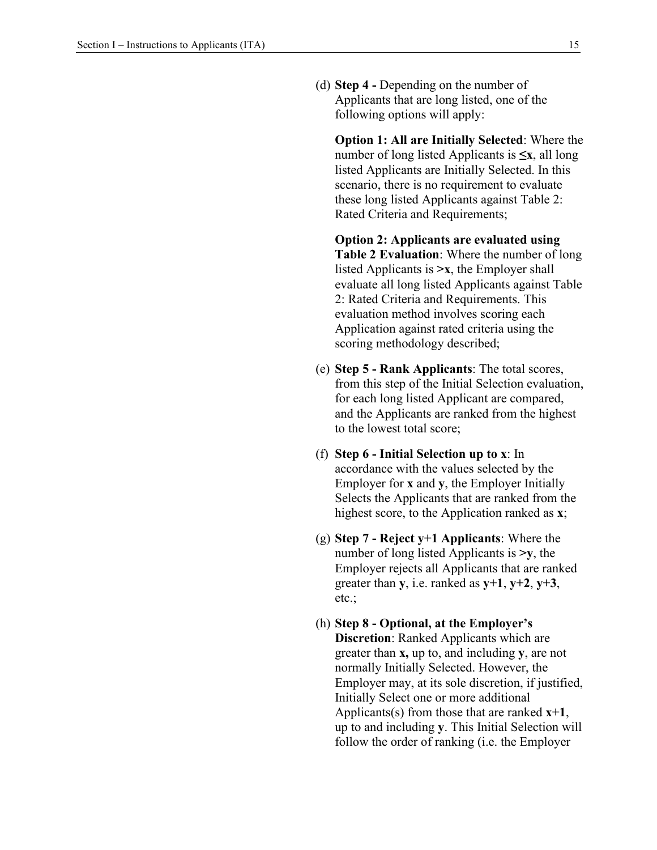(d) **Step 4 -** Depending on the number of Applicants that are long listed, one of the following options will apply:

**Option 1: All are Initially Selected**: Where the number of long listed Applicants is **≤x**, all long listed Applicants are Initially Selected. In this scenario, there is no requirement to evaluate these long listed Applicants against Table 2: Rated Criteria and Requirements;

**Option 2: Applicants are evaluated using Table 2 Evaluation**: Where the number of long listed Applicants is  $\geq x$ , the Employer shall evaluate all long listed Applicants against Table 2: Rated Criteria and Requirements. This evaluation method involves scoring each Application against rated criteria using the scoring methodology described;

- (e) **Step 5 - Rank Applicants**: The total scores, from this step of the Initial Selection evaluation, for each long listed Applicant are compared, and the Applicants are ranked from the highest to the lowest total score;
- (f) **Step 6 Initial Selection up to x**: In accordance with the values selected by the Employer for **x** and **y**, the Employer Initially Selects the Applicants that are ranked from the highest score, to the Application ranked as **x**;
- (g) **Step 7 Reject y+1 Applicants**: Where the number of long listed Applicants is **˃y**, the Employer rejects all Applicants that are ranked greater than **y**, i.e. ranked as **y+1**, **y+2**, **y+3**, etc.;
- (h) **Step 8 Optional, at the Employer's Discretion**: Ranked Applicants which are greater than **x,** up to, and including **y**, are not normally Initially Selected. However, the Employer may, at its sole discretion, if justified, Initially Select one or more additional Applicants(s) from those that are ranked **x+1**, up to and including **y**. This Initial Selection will follow the order of ranking (i.e. the Employer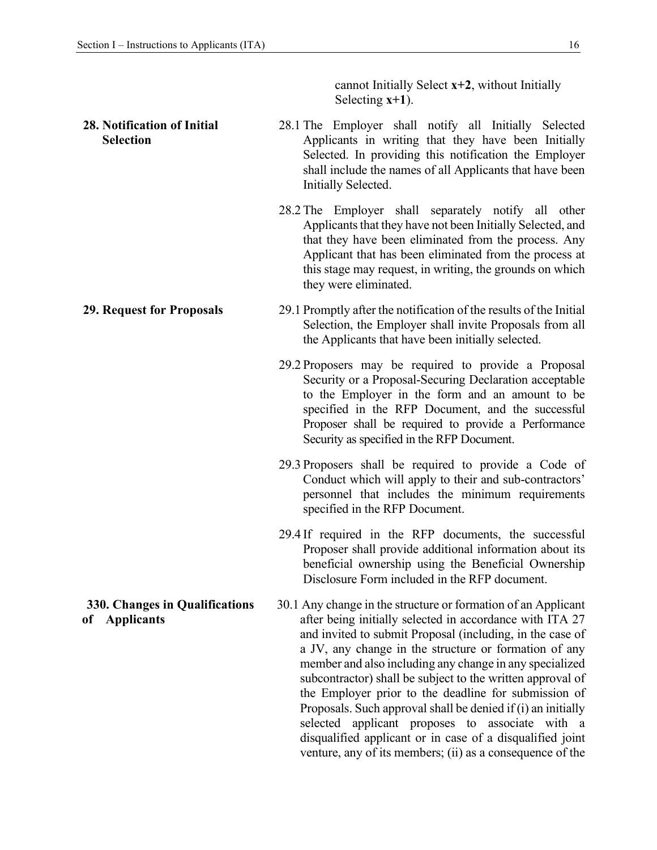cannot Initially Select **x+2**, without Initially Selecting **x+1**).

subcontractor) shall be subject to the written approval of the Employer prior to the deadline for submission of Proposals. Such approval shall be denied if (i) an initially selected applicant proposes to associate with a disqualified applicant or in case of a disqualified joint venture, any of its members; (ii) as a consequence of the

| 28. Notification of Initial<br><b>Selection</b> | 28.1 The Employer shall notify all Initially Selected<br>Applicants in writing that they have been Initially<br>Selected. In providing this notification the Employer<br>shall include the names of all Applicants that have been<br>Initially Selected.                                                                    |  |  |  |  |
|-------------------------------------------------|-----------------------------------------------------------------------------------------------------------------------------------------------------------------------------------------------------------------------------------------------------------------------------------------------------------------------------|--|--|--|--|
|                                                 | 28.2 The Employer shall separately notify all other<br>Applicants that they have not been Initially Selected, and<br>that they have been eliminated from the process. Any<br>Applicant that has been eliminated from the process at<br>this stage may request, in writing, the grounds on which<br>they were eliminated.    |  |  |  |  |
| <b>29. Request for Proposals</b>                | 29.1 Promptly after the notification of the results of the Initial<br>Selection, the Employer shall invite Proposals from all<br>the Applicants that have been initially selected.                                                                                                                                          |  |  |  |  |
|                                                 | 29.2 Proposers may be required to provide a Proposal<br>Security or a Proposal-Securing Declaration acceptable<br>to the Employer in the form and an amount to be<br>specified in the RFP Document, and the successful<br>Proposer shall be required to provide a Performance<br>Security as specified in the RFP Document. |  |  |  |  |
|                                                 | 29.3 Proposers shall be required to provide a Code of<br>Conduct which will apply to their and sub-contractors'<br>personnel that includes the minimum requirements<br>specified in the RFP Document.                                                                                                                       |  |  |  |  |
|                                                 | 29.4 If required in the RFP documents, the successful<br>Proposer shall provide additional information about its<br>beneficial ownership using the Beneficial Ownership<br>Disclosure Form included in the RFP document.                                                                                                    |  |  |  |  |
| 330. Changes in Qualifications<br>of Applicants | 30.1 Any change in the structure or formation of an Applicant<br>after being initially selected in accordance with ITA 27<br>and invited to submit Proposal (including, in the case of<br>a JV, any change in the structure or formation of any<br>member and also including any change in any specialized                  |  |  |  |  |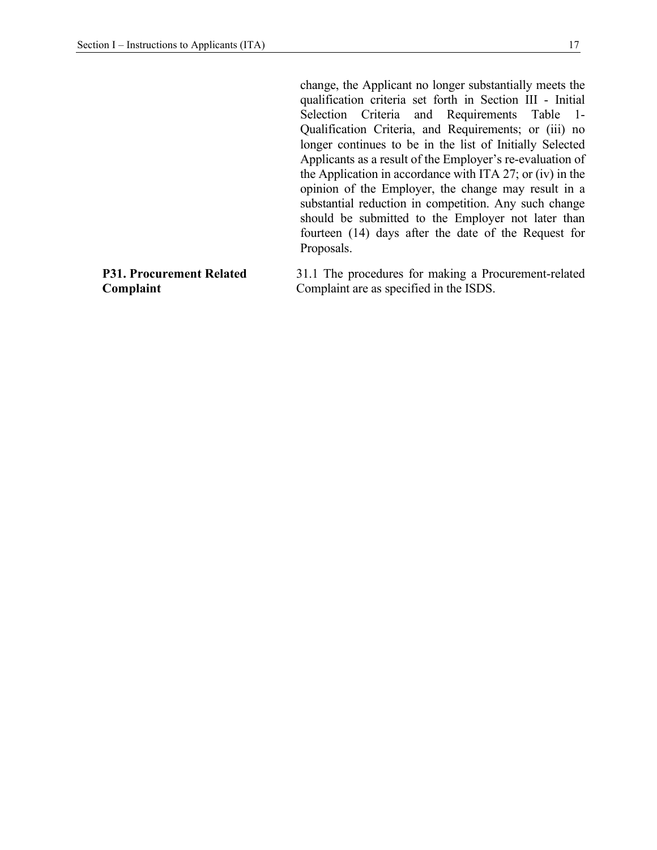change, the Applicant no longer substantially meets the qualification criteria set forth in Section III - Initial Selection Criteria and Requirements Table 1- Qualification Criteria, and Requirements; or (iii) no longer continues to be in the list of Initially Selected Applicants as a result of the Employer's re-evaluation of the Application in accordance with ITA 27; or (iv) in the opinion of the Employer, the change may result in a substantial reduction in competition. Any such change should be submitted to the Employer not later than fourteen (14) days after the date of the Request for Proposals.

### **P31. Procurement Related Complaint**

31.1 The procedures for making a Procurement-related Complaint are as specified in the ISDS.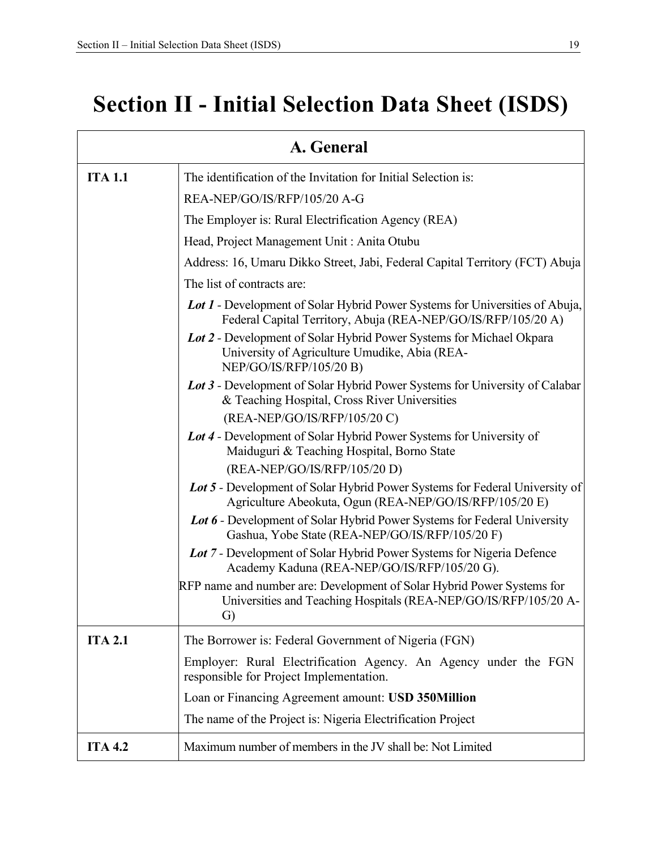# **Section II - Initial Selection Data Sheet (ISDS)**

| A. General     |                                                                                                                                                      |  |  |  |  |
|----------------|------------------------------------------------------------------------------------------------------------------------------------------------------|--|--|--|--|
| <b>ITA 1.1</b> | The identification of the Invitation for Initial Selection is:                                                                                       |  |  |  |  |
|                | REA-NEP/GO/IS/RFP/105/20 A-G                                                                                                                         |  |  |  |  |
|                | The Employer is: Rural Electrification Agency (REA)                                                                                                  |  |  |  |  |
|                | Head, Project Management Unit: Anita Otubu                                                                                                           |  |  |  |  |
|                | Address: 16, Umaru Dikko Street, Jabi, Federal Capital Territory (FCT) Abuja                                                                         |  |  |  |  |
|                | The list of contracts are:                                                                                                                           |  |  |  |  |
|                | <b>Lot 1 - Development of Solar Hybrid Power Systems for Universities of Abuja,</b><br>Federal Capital Territory, Abuja (REA-NEP/GO/IS/RFP/105/20 A) |  |  |  |  |
|                | Lot 2 - Development of Solar Hybrid Power Systems for Michael Okpara<br>University of Agriculture Umudike, Abia (REA-<br>NEP/GO/IS/RFP/105/20 B)     |  |  |  |  |
|                | Lot 3 - Development of Solar Hybrid Power Systems for University of Calabar<br>& Teaching Hospital, Cross River Universities                         |  |  |  |  |
|                | (REA-NEP/GO/IS/RFP/105/20 C)                                                                                                                         |  |  |  |  |
|                | Lot 4 - Development of Solar Hybrid Power Systems for University of<br>Maiduguri & Teaching Hospital, Borno State                                    |  |  |  |  |
|                | (REA-NEP/GO/IS/RFP/105/20 D)                                                                                                                         |  |  |  |  |
|                | Lot 5 - Development of Solar Hybrid Power Systems for Federal University of<br>Agriculture Abeokuta, Ogun (REA-NEP/GO/IS/RFP/105/20 E)               |  |  |  |  |
|                | Lot 6 - Development of Solar Hybrid Power Systems for Federal University<br>Gashua, Yobe State (REA-NEP/GO/IS/RFP/105/20 F)                          |  |  |  |  |
|                | Lot 7 - Development of Solar Hybrid Power Systems for Nigeria Defence<br>Academy Kaduna (REA-NEP/GO/IS/RFP/105/20 G).                                |  |  |  |  |
|                | RFP name and number are: Development of Solar Hybrid Power Systems for<br>Universities and Teaching Hospitals (REA-NEP/GO/IS/RFP/105/20 A-<br>G)     |  |  |  |  |
| <b>ITA 2.1</b> | The Borrower is: Federal Government of Nigeria (FGN)                                                                                                 |  |  |  |  |
|                | Employer: Rural Electrification Agency. An Agency under the FGN<br>responsible for Project Implementation.                                           |  |  |  |  |
|                | Loan or Financing Agreement amount: USD 350Million                                                                                                   |  |  |  |  |
|                | The name of the Project is: Nigeria Electrification Project                                                                                          |  |  |  |  |
| <b>ITA 4.2</b> | Maximum number of members in the JV shall be: Not Limited                                                                                            |  |  |  |  |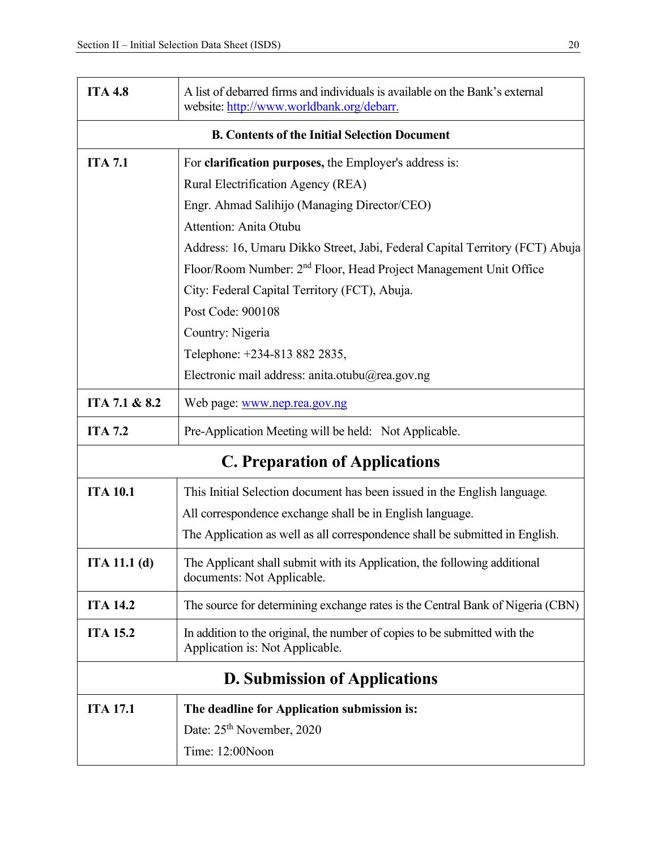| <b>ITA 4.8</b>                     | A list of debarred firms and individuals is available on the Bank's external<br>website: http://www.worldbank.org/debarr. |  |  |  |  |
|------------------------------------|---------------------------------------------------------------------------------------------------------------------------|--|--|--|--|
|                                    | <b>B. Contents of the Initial Selection Document</b>                                                                      |  |  |  |  |
| <b>ITA 7.1</b>                     | For <b>clarification purposes</b> , the Employer's address is:                                                            |  |  |  |  |
| Rural Electrification Agency (REA) |                                                                                                                           |  |  |  |  |
|                                    | Engr. Ahmad Salihijo (Managing Director/CEO)                                                                              |  |  |  |  |
|                                    | Attention: Anita Otubu                                                                                                    |  |  |  |  |
|                                    | Address: 16, Umaru Dikko Street, Jabi, Federal Capital Territory (FCT) Abuja                                              |  |  |  |  |
|                                    | Floor/Room Number: 2 <sup>nd</sup> Floor, Head Project Management Unit Office                                             |  |  |  |  |
|                                    | City: Federal Capital Territory (FCT), Abuja.                                                                             |  |  |  |  |
|                                    | Post Code: 900108                                                                                                         |  |  |  |  |
|                                    | Country: Nigeria                                                                                                          |  |  |  |  |
|                                    | Telephone: +234-813 882 2835,                                                                                             |  |  |  |  |
|                                    | Electronic mail address: anita.otubu@rea.gov.ng                                                                           |  |  |  |  |
| ITA 7.1 & 8.2                      | Web page: www.nep.rea.gov.ng                                                                                              |  |  |  |  |
| <b>ITA 7.2</b>                     | Pre-Application Meeting will be held: Not Applicable.                                                                     |  |  |  |  |
|                                    | <b>C. Preparation of Applications</b>                                                                                     |  |  |  |  |
| <b>ITA 10.1</b>                    | This Initial Selection document has been issued in the English language.                                                  |  |  |  |  |
|                                    | All correspondence exchange shall be in English language.                                                                 |  |  |  |  |
|                                    | The Application as well as all correspondence shall be submitted in English.                                              |  |  |  |  |
| ITA 11.1(d)                        | The Applicant shall submit with its Application, the following additional<br>documents: Not Applicable.                   |  |  |  |  |
| <b>ITA 14.2</b>                    | The source for determining exchange rates is the Central Bank of Nigeria (CBN)                                            |  |  |  |  |
| <b>ITA 15.2</b>                    | In addition to the original, the number of copies to be submitted with the<br>Application is: Not Applicable.             |  |  |  |  |
|                                    | <b>D. Submission of Applications</b>                                                                                      |  |  |  |  |
| <b>ITA 17.1</b>                    | The deadline for Application submission is:                                                                               |  |  |  |  |
|                                    | Date: 25 <sup>th</sup> November, 2020                                                                                     |  |  |  |  |
|                                    | Time: 12:00Noon                                                                                                           |  |  |  |  |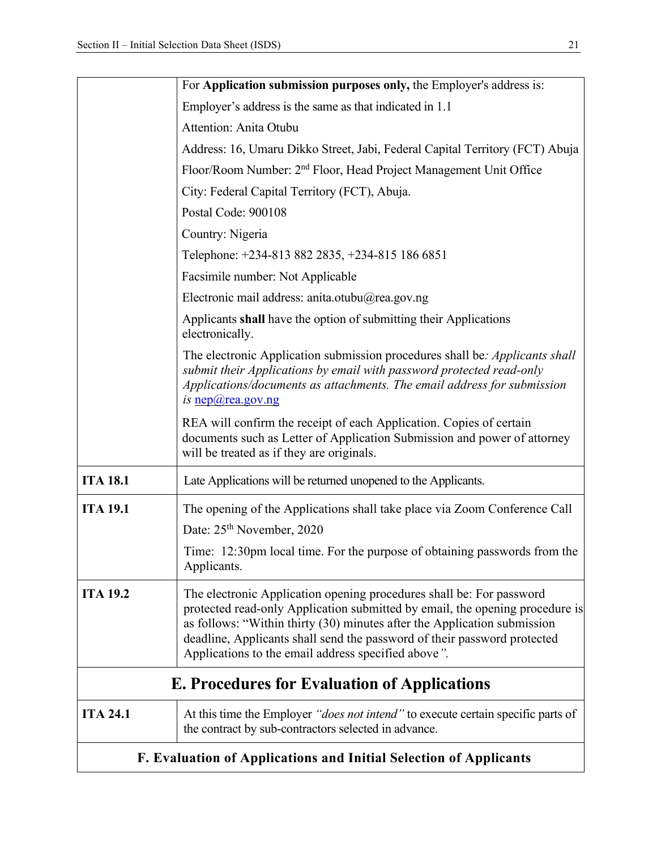|                 | For Application submission purposes only, the Employer's address is:                                                                                                                                                                                                                                                                                                |
|-----------------|---------------------------------------------------------------------------------------------------------------------------------------------------------------------------------------------------------------------------------------------------------------------------------------------------------------------------------------------------------------------|
|                 | Employer's address is the same as that indicated in 1.1                                                                                                                                                                                                                                                                                                             |
|                 | Attention: Anita Otubu                                                                                                                                                                                                                                                                                                                                              |
|                 | Address: 16, Umaru Dikko Street, Jabi, Federal Capital Territory (FCT) Abuja                                                                                                                                                                                                                                                                                        |
|                 | Floor/Room Number: 2 <sup>nd</sup> Floor, Head Project Management Unit Office                                                                                                                                                                                                                                                                                       |
|                 | City: Federal Capital Territory (FCT), Abuja.                                                                                                                                                                                                                                                                                                                       |
|                 | Postal Code: 900108                                                                                                                                                                                                                                                                                                                                                 |
|                 | Country: Nigeria                                                                                                                                                                                                                                                                                                                                                    |
|                 | Telephone: +234-813 882 2835, +234-815 186 6851                                                                                                                                                                                                                                                                                                                     |
|                 | Facsimile number: Not Applicable                                                                                                                                                                                                                                                                                                                                    |
|                 | Electronic mail address: anita.otubu@rea.gov.ng                                                                                                                                                                                                                                                                                                                     |
|                 | Applicants shall have the option of submitting their Applications<br>electronically.                                                                                                                                                                                                                                                                                |
|                 | The electronic Application submission procedures shall be: Applicants shall<br>submit their Applications by email with password protected read-only<br>Applications/documents as attachments. The email address for submission<br>is $nep@rea.gov.ng$                                                                                                               |
|                 | REA will confirm the receipt of each Application. Copies of certain<br>documents such as Letter of Application Submission and power of attorney<br>will be treated as if they are originals.                                                                                                                                                                        |
| <b>ITA 18.1</b> | Late Applications will be returned unopened to the Applicants.                                                                                                                                                                                                                                                                                                      |
| <b>ITA 19.1</b> | The opening of the Applications shall take place via Zoom Conference Call<br>Date: 25 <sup>th</sup> November, 2020                                                                                                                                                                                                                                                  |
|                 | Time: 12:30pm local time. For the purpose of obtaining passwords from the<br>Applicants.                                                                                                                                                                                                                                                                            |
| <b>ITA 19.2</b> | The electronic Application opening procedures shall be: For password<br>protected read-only Application submitted by email, the opening procedure is<br>as follows: "Within thirty (30) minutes after the Application submission<br>deadline, Applicants shall send the password of their password protected<br>Applications to the email address specified above". |
|                 | <b>E. Procedures for Evaluation of Applications</b>                                                                                                                                                                                                                                                                                                                 |
| <b>ITA 24.1</b> | At this time the Employer "does not intend" to execute certain specific parts of<br>the contract by sub-contractors selected in advance.                                                                                                                                                                                                                            |
|                 | F. Evaluation of Applications and Initial Selection of Applicants                                                                                                                                                                                                                                                                                                   |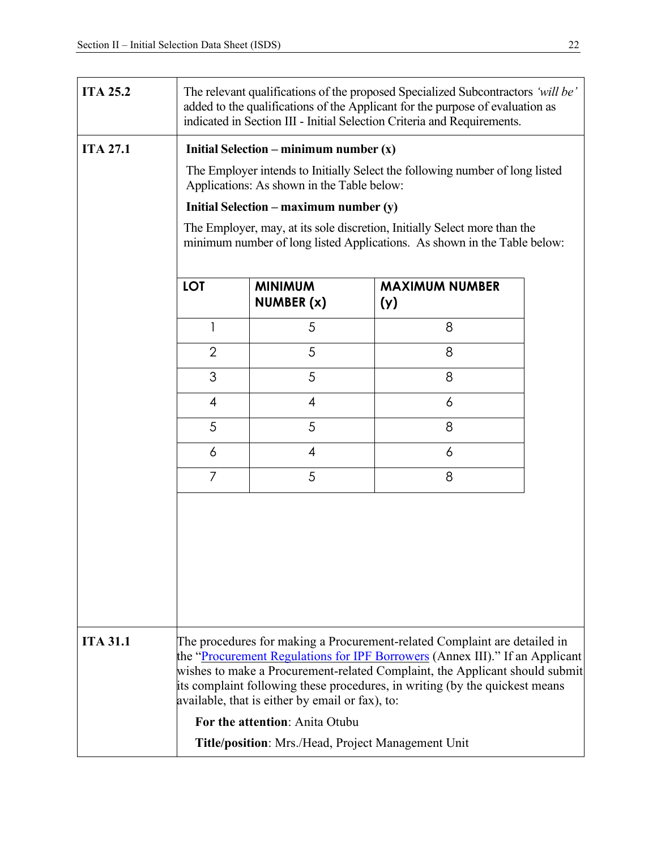| <b>ITA 25.2</b> | The relevant qualifications of the proposed Specialized Subcontractors 'will be'<br>added to the qualifications of the Applicant for the purpose of evaluation as<br>indicated in Section III - Initial Selection Criteria and Requirements.                                                                                                                               |                                                                                                                                                       |                              |  |  |
|-----------------|----------------------------------------------------------------------------------------------------------------------------------------------------------------------------------------------------------------------------------------------------------------------------------------------------------------------------------------------------------------------------|-------------------------------------------------------------------------------------------------------------------------------------------------------|------------------------------|--|--|
| <b>ITA 27.1</b> | Initial Selection – minimum number $(x)$                                                                                                                                                                                                                                                                                                                                   |                                                                                                                                                       |                              |  |  |
|                 | The Employer intends to Initially Select the following number of long listed<br>Applications: As shown in the Table below:                                                                                                                                                                                                                                                 |                                                                                                                                                       |                              |  |  |
|                 |                                                                                                                                                                                                                                                                                                                                                                            | Initial Selection – maximum number $(y)$                                                                                                              |                              |  |  |
|                 |                                                                                                                                                                                                                                                                                                                                                                            | The Employer, may, at its sole discretion, Initially Select more than the<br>minimum number of long listed Applications. As shown in the Table below: |                              |  |  |
|                 | <b>LOT</b>                                                                                                                                                                                                                                                                                                                                                                 | <b>MINIMUM</b><br>NUMBER (x)                                                                                                                          | <b>MAXIMUM NUMBER</b><br>(y) |  |  |
|                 | 1                                                                                                                                                                                                                                                                                                                                                                          | 5                                                                                                                                                     | 8                            |  |  |
|                 | $\overline{2}$                                                                                                                                                                                                                                                                                                                                                             | 5                                                                                                                                                     | 8                            |  |  |
|                 | 3                                                                                                                                                                                                                                                                                                                                                                          | 5                                                                                                                                                     | 8                            |  |  |
|                 | 4                                                                                                                                                                                                                                                                                                                                                                          | $\overline{4}$                                                                                                                                        | 6                            |  |  |
|                 | 5                                                                                                                                                                                                                                                                                                                                                                          | 5                                                                                                                                                     | 8                            |  |  |
|                 | 6                                                                                                                                                                                                                                                                                                                                                                          | 4                                                                                                                                                     | 6                            |  |  |
|                 | 7                                                                                                                                                                                                                                                                                                                                                                          | 5                                                                                                                                                     | 8                            |  |  |
|                 |                                                                                                                                                                                                                                                                                                                                                                            |                                                                                                                                                       |                              |  |  |
| <b>ITA 31.1</b> | The procedures for making a Procurement-related Complaint are detailed in<br>the "Procurement Regulations for IPF Borrowers (Annex III)." If an Applicant<br>wishes to make a Procurement-related Complaint, the Applicant should submit<br>its complaint following these procedures, in writing (by the quickest means<br>available, that is either by email or fax), to: |                                                                                                                                                       |                              |  |  |
|                 |                                                                                                                                                                                                                                                                                                                                                                            | For the attention: Anita Otubu                                                                                                                        |                              |  |  |
|                 | Title/position: Mrs./Head, Project Management Unit                                                                                                                                                                                                                                                                                                                         |                                                                                                                                                       |                              |  |  |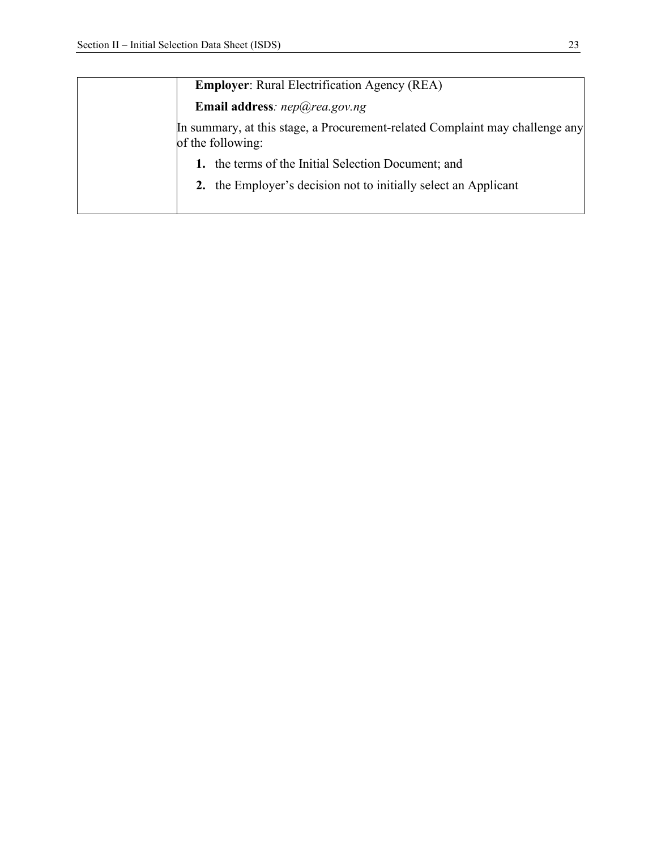| <b>Employer:</b> Rural Electrification Agency (REA)                                               |  |  |  |  |
|---------------------------------------------------------------------------------------------------|--|--|--|--|
| Email address: $nep@rea.gov.ng$                                                                   |  |  |  |  |
| In summary, at this stage, a Procurement-related Complaint may challenge any<br>of the following: |  |  |  |  |
| 1. the terms of the Initial Selection Document; and                                               |  |  |  |  |
| 2. the Employer's decision not to initially select an Applicant                                   |  |  |  |  |
|                                                                                                   |  |  |  |  |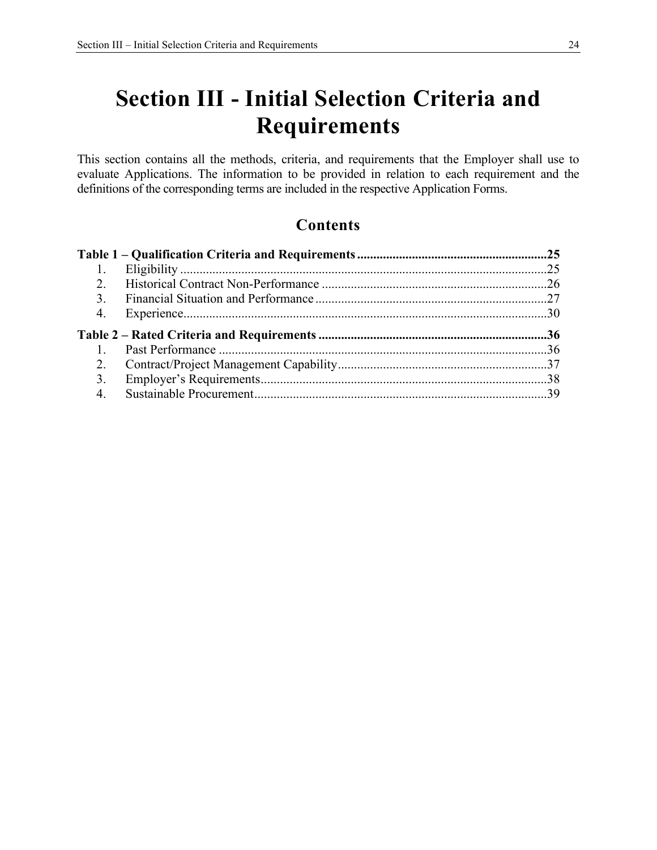# **Section III - Initial Selection Criteria and Requirements**

This section contains all the methods, criteria, and requirements that the Employer shall use to evaluate Applications. The information to be provided in relation to each requirement and the definitions of the corresponding terms are included in the respective Application Forms.

### **Contents**

| 1.               |  |
|------------------|--|
| 2.               |  |
| $\overline{3}$ . |  |
| 4.               |  |
|                  |  |
| $1_{\odot}$      |  |
| 2.               |  |
| 3.               |  |
| 4.               |  |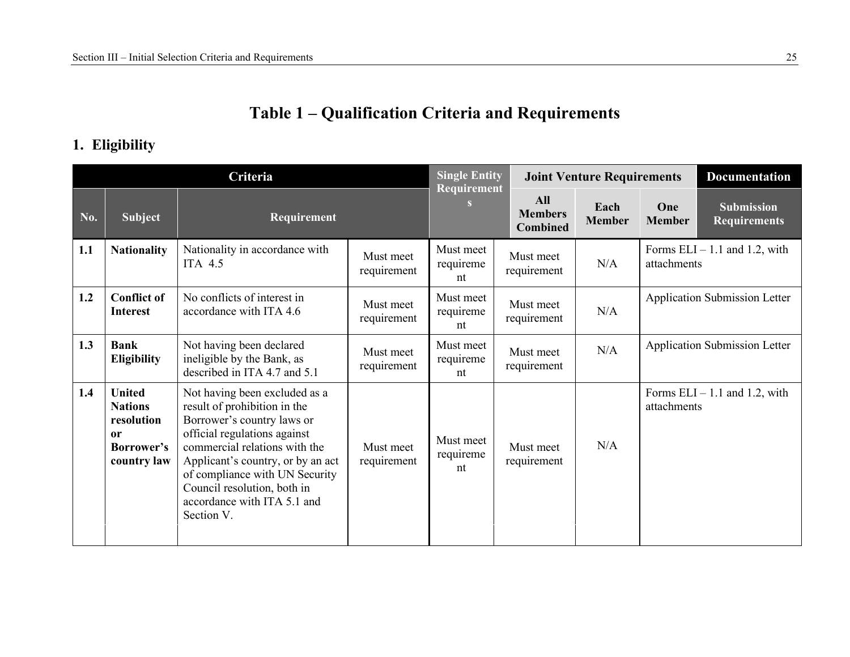## **Table 1 – Qualification Criteria and Requirements**

### **1. Eligibility**

| Criteria |                                                                                  | <b>Single Entity</b>                                                                                                                                                                                                                                                                                            |                          | <b>Joint Venture Requirements</b> |                                                 | <b>Documentation</b>  |                      |                                          |
|----------|----------------------------------------------------------------------------------|-----------------------------------------------------------------------------------------------------------------------------------------------------------------------------------------------------------------------------------------------------------------------------------------------------------------|--------------------------|-----------------------------------|-------------------------------------------------|-----------------------|----------------------|------------------------------------------|
| No.      | <b>Subject</b>                                                                   | Requirement                                                                                                                                                                                                                                                                                                     |                          | Requirement                       | <b>All</b><br><b>Members</b><br><b>Combined</b> | Each<br><b>Member</b> | One<br><b>Member</b> | <b>Submission</b><br><b>Requirements</b> |
| 1.1      | <b>Nationality</b>                                                               | Nationality in accordance with<br>ITA 4.5                                                                                                                                                                                                                                                                       | Must meet<br>requirement | Must meet<br>requireme<br>nt      | Must meet<br>requirement                        | N/A                   | attachments          | Forms $ELI - 1.1$ and 1.2, with          |
| 1.2      | <b>Conflict of</b><br><b>Interest</b>                                            | No conflicts of interest in<br>accordance with ITA 4.6                                                                                                                                                                                                                                                          | Must meet<br>requirement | Must meet<br>requireme<br>nt      | Must meet<br>requirement                        | N/A                   |                      | <b>Application Submission Letter</b>     |
| 1.3      | <b>Bank</b><br><b>Eligibility</b>                                                | Not having been declared<br>ineligible by the Bank, as<br>described in ITA 4.7 and 5.1                                                                                                                                                                                                                          | Must meet<br>requirement | Must meet<br>requireme<br>nt      | Must meet<br>requirement                        | N/A                   |                      | Application Submission Letter            |
| 1.4      | <b>United</b><br><b>Nations</b><br>resolution<br>0r<br>Borrower's<br>country law | Not having been excluded as a<br>result of prohibition in the<br>Borrower's country laws or<br>official regulations against<br>commercial relations with the<br>Applicant's country, or by an act<br>of compliance with UN Security<br>Council resolution, both in<br>accordance with ITA 5.1 and<br>Section V. | Must meet<br>requirement | Must meet<br>requireme<br>nt      | Must meet<br>requirement                        | N/A                   | attachments          | Forms $ELI - 1.1$ and 1.2, with          |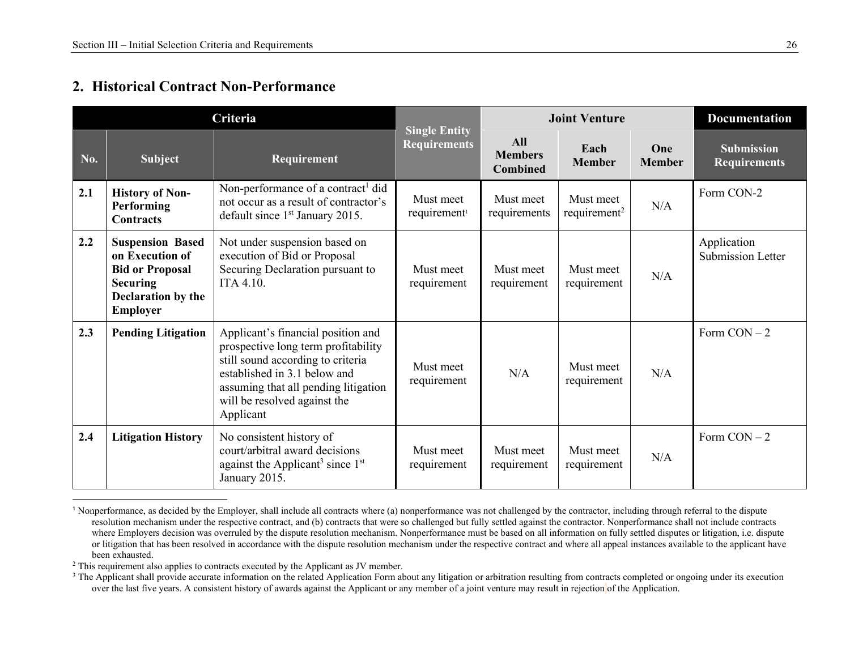### **2. Historical Contract Non-Performance**

|     | Criteria                                                                                                                         |                                                                                                                                                                                                                                     |                                             | <b>Joint Venture</b>                            | <b>Documentation</b>                  |                      |                                          |
|-----|----------------------------------------------------------------------------------------------------------------------------------|-------------------------------------------------------------------------------------------------------------------------------------------------------------------------------------------------------------------------------------|---------------------------------------------|-------------------------------------------------|---------------------------------------|----------------------|------------------------------------------|
| No. | <b>Subject</b>                                                                                                                   | Requirement                                                                                                                                                                                                                         | <b>Single Entity</b><br><b>Requirements</b> | <b>All</b><br><b>Members</b><br><b>Combined</b> | Each<br><b>Member</b>                 | One<br><b>Member</b> | <b>Submission</b><br><b>Requirements</b> |
| 2.1 | <b>History of Non-</b><br><b>Performing</b><br><b>Contracts</b>                                                                  | Non-performance of a contract <sup>1</sup> did<br>not occur as a result of contractor's<br>default since 1 <sup>st</sup> January 2015.                                                                                              | Must meet<br>requirement <sup>1</sup>       | Must meet<br>requirements                       | Must meet<br>requirement <sup>2</sup> | N/A                  | Form CON-2                               |
| 2.2 | <b>Suspension Based</b><br>on Execution of<br><b>Bid or Proposal</b><br><b>Securing</b><br>Declaration by the<br><b>Employer</b> | Not under suspension based on<br>execution of Bid or Proposal<br>Securing Declaration pursuant to<br>ITA 4.10.                                                                                                                      | Must meet<br>requirement                    | Must meet<br>requirement                        | Must meet<br>requirement              | N/A                  | Application<br>Submission Letter         |
| 2.3 | <b>Pending Litigation</b>                                                                                                        | Applicant's financial position and<br>prospective long term profitability<br>still sound according to criteria<br>established in 3.1 below and<br>assuming that all pending litigation<br>will be resolved against the<br>Applicant | Must meet<br>requirement                    | N/A                                             | Must meet<br>requirement              | N/A                  | Form $CON-2$                             |
| 2.4 | <b>Litigation History</b>                                                                                                        | No consistent history of<br>court/arbitral award decisions<br>against the Applicant <sup>3</sup> since $1st$<br>January 2015.                                                                                                       | Must meet<br>requirement                    | Must meet<br>requirement                        | Must meet<br>requirement              | N/A                  | Form $CON-2$                             |

<sup>1</sup> Nonperformance, as decided by the Employer, shall include all contracts where (a) nonperformance was not challenged by the contractor, including through referral to the dispute resolution mechanism under the respective contract, and (b) contracts that were so challenged but fully settled against the contractor. Nonperformance shall not include contracts where Employers decision was overruled by the dispute resolution mechanism. Nonperformance must be based on all information on fully settled disputes or litigation, i.e. dispute or litigation that has been resolved in accordance with the dispute resolution mechanism under the respective contract and where all appeal instances available to the applicant have been exhausted.

 $2$  This requirement also applies to contracts executed by the Applicant as JV member.

<sup>&</sup>lt;sup>3</sup> The Applicant shall provide accurate information on the related Application Form about any litigation or arbitration resulting from contracts completed or ongoing under its execution over the last five years. A consistent history of awards against the Applicant or any member of a joint venture may result in rejection of the Application.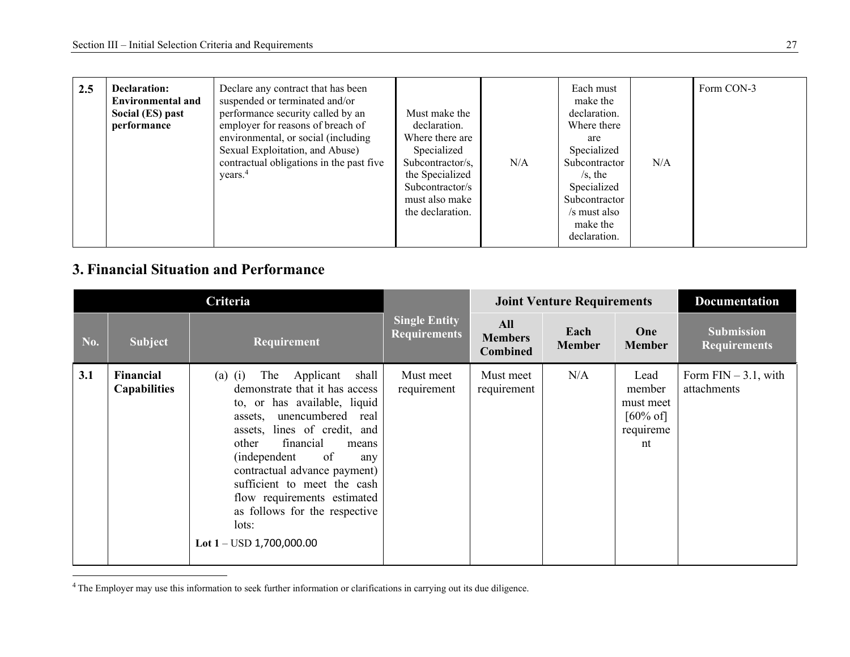| 2.5 | <b>Declaration:</b><br><b>Environmental and</b><br>Social (ES) past<br>performance | Declare any contract that has been<br>suspended or terminated and/or<br>performance security called by an<br>employer for reasons of breach of<br>environmental, or social (including<br>Sexual Exploitation, and Abuse)<br>contractual obligations in the past five<br>years. <sup>4</sup> | Must make the<br>declaration.<br>Where there are<br>Specialized<br>Subcontractor/s,<br>the Specialized<br>Subcontractor/s<br>must also make<br>the declaration. | N/A | Each must<br>make the<br>declaration.<br>Where there<br>are<br>Specialized<br>Subcontractor<br>$/s$ , the<br>Specialized<br>Subcontractor<br>/s must also<br>make the<br>declaration. | N/A | Form CON-3 |
|-----|------------------------------------------------------------------------------------|---------------------------------------------------------------------------------------------------------------------------------------------------------------------------------------------------------------------------------------------------------------------------------------------|-----------------------------------------------------------------------------------------------------------------------------------------------------------------|-----|---------------------------------------------------------------------------------------------------------------------------------------------------------------------------------------|-----|------------|
|-----|------------------------------------------------------------------------------------|---------------------------------------------------------------------------------------------------------------------------------------------------------------------------------------------------------------------------------------------------------------------------------------------|-----------------------------------------------------------------------------------------------------------------------------------------------------------------|-----|---------------------------------------------------------------------------------------------------------------------------------------------------------------------------------------|-----|------------|

### **3. Financial Situation and Performance**

|     |                                  |                                                                                                                                                                                                                                                                                                                                                                                                                   |                                             | <b>Joint Venture Requirements</b>        |                       | <b>Documentation</b>                                                  |                                          |
|-----|----------------------------------|-------------------------------------------------------------------------------------------------------------------------------------------------------------------------------------------------------------------------------------------------------------------------------------------------------------------------------------------------------------------------------------------------------------------|---------------------------------------------|------------------------------------------|-----------------------|-----------------------------------------------------------------------|------------------------------------------|
| No. | <b>Subject</b>                   | Requirement                                                                                                                                                                                                                                                                                                                                                                                                       | <b>Single Entity</b><br><b>Requirements</b> | All<br><b>Members</b><br><b>Combined</b> | Each<br><b>Member</b> | <b>One</b><br><b>Member</b>                                           | <b>Submission</b><br><b>Requirements</b> |
| 3.1 | Financial<br><b>Capabilities</b> | Applicant<br>shall<br>$(a)$ $(i)$<br>The<br>demonstrate that it has access<br>to, or has available, liquid<br>assets, unencumbered real<br>assets, lines of credit, and<br>financial<br>other<br>means<br>of<br><i>(independent)</i><br>any<br>contractual advance payment)<br>sufficient to meet the cash<br>flow requirements estimated<br>as follows for the respective<br>lots:<br>Lot $1 -$ USD 1,700,000.00 | Must meet<br>requirement                    | Must meet<br>requirement                 | N/A                   | Lead<br>member<br>must meet<br>$[60\% \text{ of}]$<br>requireme<br>nt | Form $FIN - 3.1$ , with<br>attachments   |

<sup>&</sup>lt;sup>4</sup>The Employer may use this information to seek further information or clarifications in carrying out its due diligence.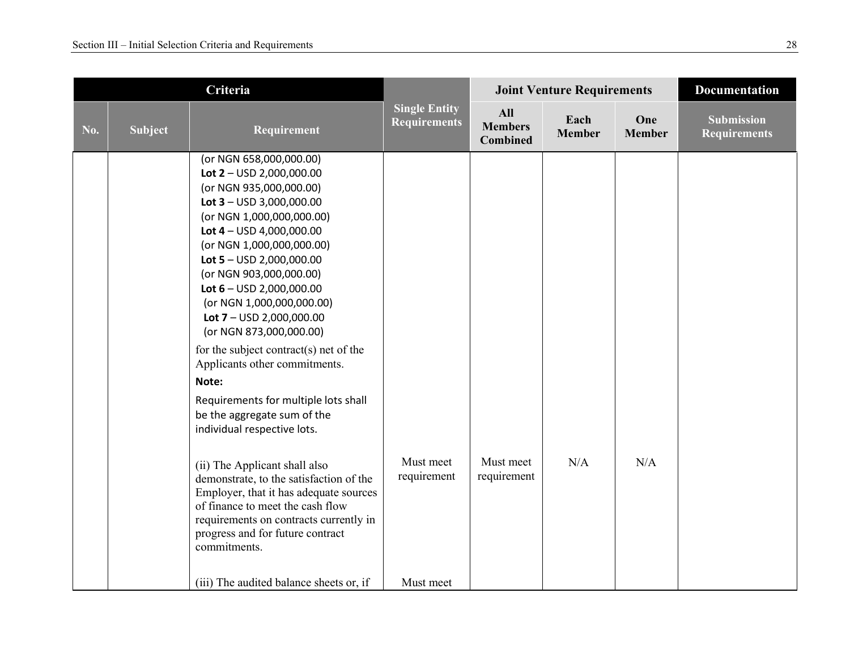|     |                | Criteria                                                                                                                                                                                                                                                                                                                                                                                                                                                                                                                                                                      | <b>Joint Venture Requirements</b>           |                                                 |                       | <b>Documentation</b> |                                          |
|-----|----------------|-------------------------------------------------------------------------------------------------------------------------------------------------------------------------------------------------------------------------------------------------------------------------------------------------------------------------------------------------------------------------------------------------------------------------------------------------------------------------------------------------------------------------------------------------------------------------------|---------------------------------------------|-------------------------------------------------|-----------------------|----------------------|------------------------------------------|
| No. | <b>Subject</b> | Requirement                                                                                                                                                                                                                                                                                                                                                                                                                                                                                                                                                                   | <b>Single Entity</b><br><b>Requirements</b> | <b>All</b><br><b>Members</b><br><b>Combined</b> | Each<br><b>Member</b> | One<br><b>Member</b> | <b>Submission</b><br><b>Requirements</b> |
|     |                | (or NGN 658,000,000.00)<br>Lot $2 -$ USD 2,000,000.00<br>(or NGN 935,000,000.00)<br>Lot $3 -$ USD 3,000,000.00<br>(or NGN 1,000,000,000.00)<br>Lot $4 -$ USD 4,000,000.00<br>(or NGN 1,000,000,000.00)<br>Lot $5 -$ USD 2,000,000.00<br>(or NGN 903,000,000.00)<br>Lot $6 -$ USD 2,000,000.00<br>(or NGN 1,000,000,000.00)<br>Lot $7 -$ USD 2,000,000.00<br>(or NGN 873,000,000.00)<br>for the subject contract(s) net of the<br>Applicants other commitments.<br>Note:<br>Requirements for multiple lots shall<br>be the aggregate sum of the<br>individual respective lots. |                                             |                                                 |                       |                      |                                          |
|     |                | (ii) The Applicant shall also<br>demonstrate, to the satisfaction of the<br>Employer, that it has adequate sources<br>of finance to meet the cash flow<br>requirements on contracts currently in<br>progress and for future contract<br>commitments.                                                                                                                                                                                                                                                                                                                          | Must meet<br>requirement                    | Must meet<br>requirement                        | N/A                   | N/A                  |                                          |
|     |                | (iii) The audited balance sheets or, if                                                                                                                                                                                                                                                                                                                                                                                                                                                                                                                                       | Must meet                                   |                                                 |                       |                      |                                          |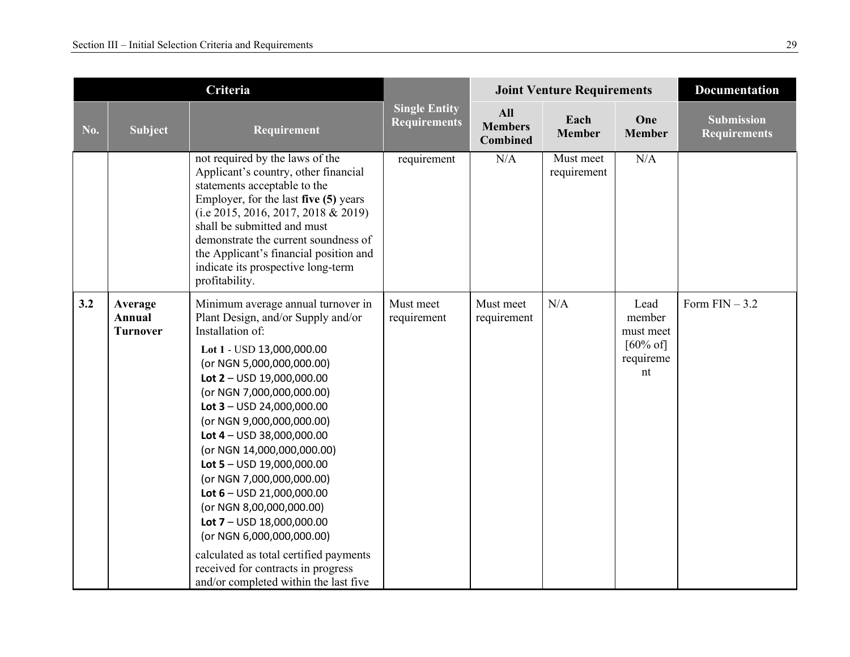|     |                                      | Criteria                                                                                                                                                                                                                                                                                                                                                                                                                                                                                                                                                                                                                                                | <b>Joint Venture Requirements</b>           |                                                 |                          | <b>Documentation</b>                                                  |                                          |
|-----|--------------------------------------|---------------------------------------------------------------------------------------------------------------------------------------------------------------------------------------------------------------------------------------------------------------------------------------------------------------------------------------------------------------------------------------------------------------------------------------------------------------------------------------------------------------------------------------------------------------------------------------------------------------------------------------------------------|---------------------------------------------|-------------------------------------------------|--------------------------|-----------------------------------------------------------------------|------------------------------------------|
| No. | <b>Subject</b>                       | Requirement                                                                                                                                                                                                                                                                                                                                                                                                                                                                                                                                                                                                                                             | <b>Single Entity</b><br><b>Requirements</b> | <b>All</b><br><b>Members</b><br><b>Combined</b> | Each<br><b>Member</b>    | One<br><b>Member</b>                                                  | <b>Submission</b><br><b>Requirements</b> |
|     |                                      | not required by the laws of the<br>Applicant's country, other financial<br>statements acceptable to the<br>Employer, for the last five (5) years<br>(i.e 2015, 2016, 2017, 2018 & 2019)<br>shall be submitted and must<br>demonstrate the current soundness of<br>the Applicant's financial position and<br>indicate its prospective long-term<br>profitability.                                                                                                                                                                                                                                                                                        | requirement                                 | N/A                                             | Must meet<br>requirement | N/A                                                                   |                                          |
| 3.2 | Average<br>Annual<br><b>Turnover</b> | Minimum average annual turnover in<br>Plant Design, and/or Supply and/or<br>Installation of:<br>Lot 1 - USD 13,000,000.00<br>(or NGN 5,000,000,000.00)<br>Lot $2 -$ USD 19,000,000.00<br>(or NGN 7,000,000,000.00)<br>Lot $3 -$ USD 24,000,000.00<br>(or NGN 9,000,000,000.00)<br>Lot $4 -$ USD 38,000,000.00<br>(or NGN 14,000,000,000.00)<br>Lot $5 -$ USD 19,000,000.00<br>(or NGN 7,000,000,000.00)<br>Lot $6 -$ USD 21,000,000.00<br>(or NGN 8,00,000,000.00)<br>Lot $7 -$ USD 18,000,000.00<br>(or NGN 6,000,000,000.00)<br>calculated as total certified payments<br>received for contracts in progress<br>and/or completed within the last five | Must meet<br>requirement                    | Must meet<br>requirement                        | N/A                      | Lead<br>member<br>must meet<br>$[60\% \text{ of}]$<br>requireme<br>nt | Form $FIN-3.2$                           |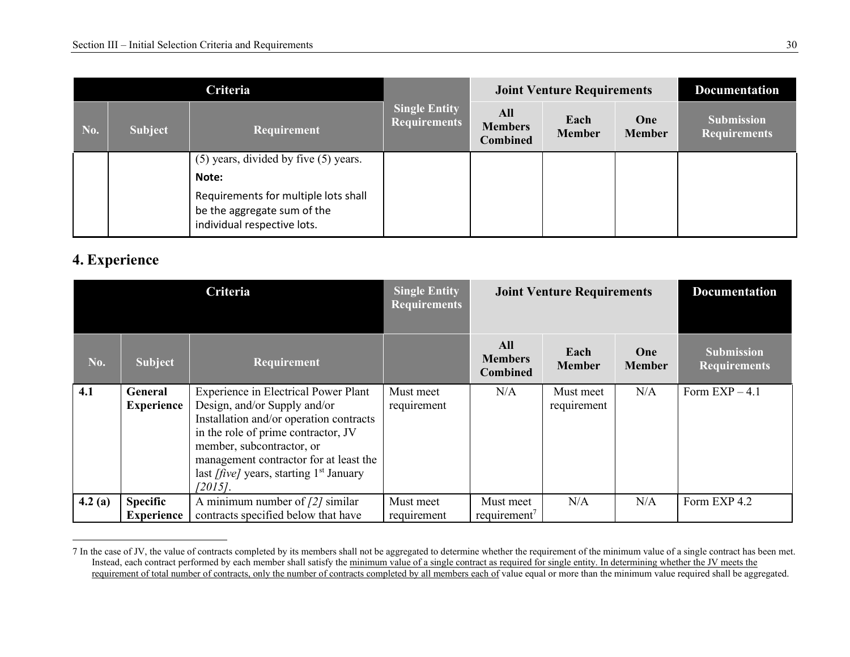| Criteria |         |                                                                                                    |                                             |                                          | <b>Joint Venture Requirements</b> | <b>Documentation</b> |                                          |
|----------|---------|----------------------------------------------------------------------------------------------------|---------------------------------------------|------------------------------------------|-----------------------------------|----------------------|------------------------------------------|
| No.      | Subject | Requirement                                                                                        | <b>Single Entity</b><br><b>Requirements</b> | All<br><b>Members</b><br><b>Combined</b> | Each<br><b>Member</b>             | One<br><b>Member</b> | <b>Submission</b><br><b>Requirements</b> |
|          |         | $(5)$ years, divided by five $(5)$ years.                                                          |                                             |                                          |                                   |                      |                                          |
|          |         | Note:                                                                                              |                                             |                                          |                                   |                      |                                          |
|          |         | Requirements for multiple lots shall<br>be the aggregate sum of the<br>individual respective lots. |                                             |                                          |                                   |                      |                                          |

### **4. Experience**

| Criteria |                                      |                                                                                                                                                                                                                                                                                                        | <b>Single Entity</b><br><b>Requirements</b> |                                          | <b>Joint Venture Requirements</b> | <b>Documentation</b> |                                          |
|----------|--------------------------------------|--------------------------------------------------------------------------------------------------------------------------------------------------------------------------------------------------------------------------------------------------------------------------------------------------------|---------------------------------------------|------------------------------------------|-----------------------------------|----------------------|------------------------------------------|
| No.      | Subject                              | <b>Requirement</b>                                                                                                                                                                                                                                                                                     |                                             | All<br><b>Members</b><br><b>Combined</b> | Each<br><b>Member</b>             | One<br><b>Member</b> | <b>Submission</b><br><b>Requirements</b> |
| 4.1      | <b>General</b><br><b>Experience</b>  | <b>Experience in Electrical Power Plant</b><br>Design, and/or Supply and/or<br>Installation and/or operation contracts<br>in the role of prime contractor, JV<br>member, subcontractor, or<br>management contractor for at least the<br>last <i>[five]</i> years, starting $1st$ January<br>$[2015]$ . | Must meet<br>requirement                    | N/A                                      | Must meet<br>requirement          | N/A                  | Form $EXP-4.1$                           |
| 4.2(a)   | <b>Specific</b><br><b>Experience</b> | A minimum number of $\frac{2}{3}$ similar<br>contracts specified below that have                                                                                                                                                                                                                       | Must meet<br>requirement                    | Must meet<br>requirement <sup>7</sup>    | N/A                               | N/A                  | Form EXP 4.2                             |

<sup>7</sup> In the case of JV, the value of contracts completed by its members shall not be aggregated to determine whether the requirement of the minimum value of a single contract has been met. Instead, each contract performed by each member shall satisfy the <u>minimum value of a single contract as required for single entity. In determining whether the JV meets the<br>requirement of total number of contracts, only th</u>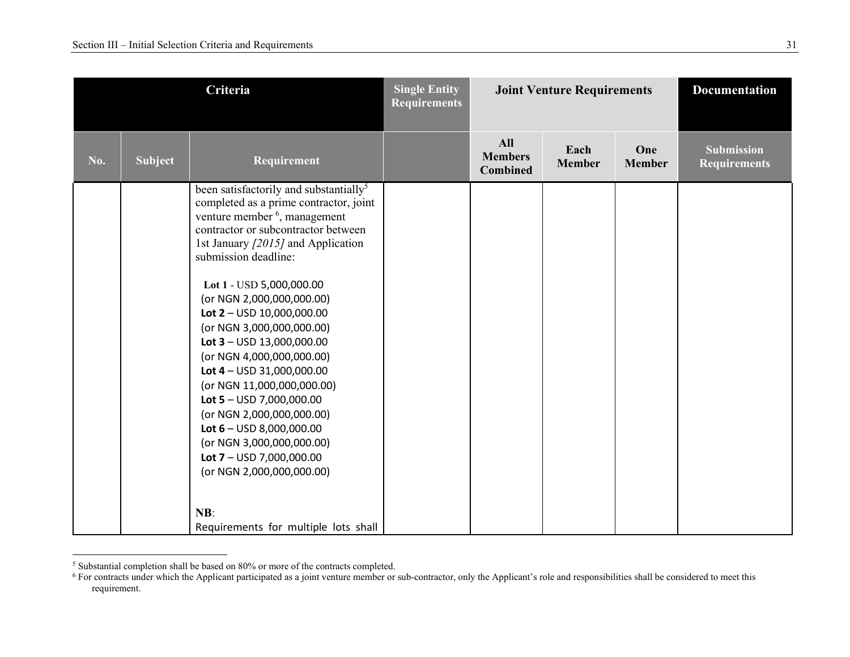| Criteria |                |                                                                                                                                                                                                                                                                                                                                                                                                                                                                                                                                                                                                                                                                              | <b>Single Entity</b><br><b>Requirements</b> |                                                 | <b>Joint Venture Requirements</b> |                      | <b>Documentation</b>                     |
|----------|----------------|------------------------------------------------------------------------------------------------------------------------------------------------------------------------------------------------------------------------------------------------------------------------------------------------------------------------------------------------------------------------------------------------------------------------------------------------------------------------------------------------------------------------------------------------------------------------------------------------------------------------------------------------------------------------------|---------------------------------------------|-------------------------------------------------|-----------------------------------|----------------------|------------------------------------------|
| No.      | <b>Subject</b> | Requirement                                                                                                                                                                                                                                                                                                                                                                                                                                                                                                                                                                                                                                                                  |                                             | <b>All</b><br><b>Members</b><br><b>Combined</b> | Each<br><b>Member</b>             | One<br><b>Member</b> | <b>Submission</b><br><b>Requirements</b> |
|          |                | been satisfactorily and substantially <sup>5</sup><br>completed as a prime contractor, joint<br>venture member <sup>6</sup> , management<br>contractor or subcontractor between<br>1st January [2015] and Application<br>submission deadline:<br>Lot 1 - USD 5,000,000.00<br>(or NGN 2,000,000,000.00)<br>Lot $2 -$ USD 10,000,000.00<br>(or NGN 3,000,000,000.00)<br>Lot $3 -$ USD 13,000,000.00<br>(or NGN 4,000,000,000.00)<br>Lot $4 -$ USD 31,000,000.00<br>(or NGN 11,000,000,000.00)<br>Lot $5 -$ USD 7,000,000.00<br>(or NGN 2,000,000,000.00)<br>Lot $6 -$ USD 8,000,000.00<br>(or NGN 3,000,000,000.00)<br>Lot $7 -$ USD 7,000,000.00<br>(or NGN 2,000,000,000.00) |                                             |                                                 |                                   |                      |                                          |
|          |                | NB:<br>Requirements for multiple lots shall                                                                                                                                                                                                                                                                                                                                                                                                                                                                                                                                                                                                                                  |                                             |                                                 |                                   |                      |                                          |

<sup>&</sup>lt;sup>5</sup> Substantial completion shall be based on 80% or more of the contracts completed.<br><sup>6</sup> For contracts under which the Applicant participated as a joint venture member or sub-contractor, only the Applicant's role and respo requirement.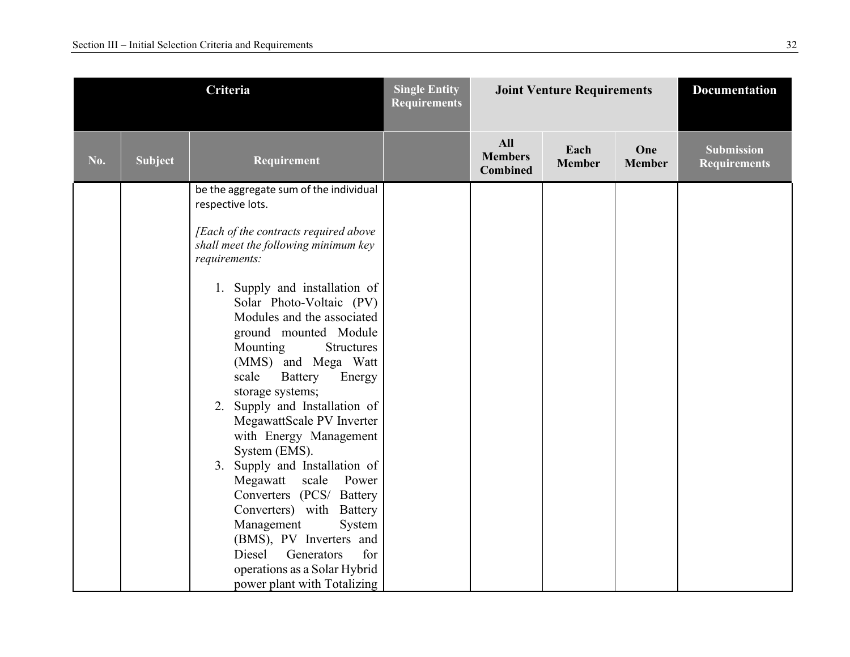| Criteria |                | <b>Single Entity</b><br><b>Requirements</b>                                                                                                                                                                                                                                                                                                                                                                                                                                                                                                                                                                                                                                                                                                                           |  | <b>Joint Venture Requirements</b>               |                       | <b>Documentation</b> |                                          |
|----------|----------------|-----------------------------------------------------------------------------------------------------------------------------------------------------------------------------------------------------------------------------------------------------------------------------------------------------------------------------------------------------------------------------------------------------------------------------------------------------------------------------------------------------------------------------------------------------------------------------------------------------------------------------------------------------------------------------------------------------------------------------------------------------------------------|--|-------------------------------------------------|-----------------------|----------------------|------------------------------------------|
| No.      | <b>Subject</b> | Requirement                                                                                                                                                                                                                                                                                                                                                                                                                                                                                                                                                                                                                                                                                                                                                           |  | <b>All</b><br><b>Members</b><br><b>Combined</b> | Each<br><b>Member</b> | One<br><b>Member</b> | <b>Submission</b><br><b>Requirements</b> |
|          |                | be the aggregate sum of the individual<br>respective lots.<br>[Each of the contracts required above<br>shall meet the following minimum key<br>requirements:<br>1. Supply and installation of<br>Solar Photo-Voltaic (PV)<br>Modules and the associated<br>ground mounted Module<br>Mounting<br><b>Structures</b><br>(MMS) and Mega Watt<br>scale<br>Battery<br>Energy<br>storage systems;<br>2. Supply and Installation of<br>MegawattScale PV Inverter<br>with Energy Management<br>System (EMS).<br>3. Supply and Installation of<br>Megawatt scale Power<br>Converters (PCS/ Battery<br>Converters) with Battery<br>Management<br>System<br>(BMS), PV Inverters and<br>Diesel<br>Generators<br>for<br>operations as a Solar Hybrid<br>power plant with Totalizing |  |                                                 |                       |                      |                                          |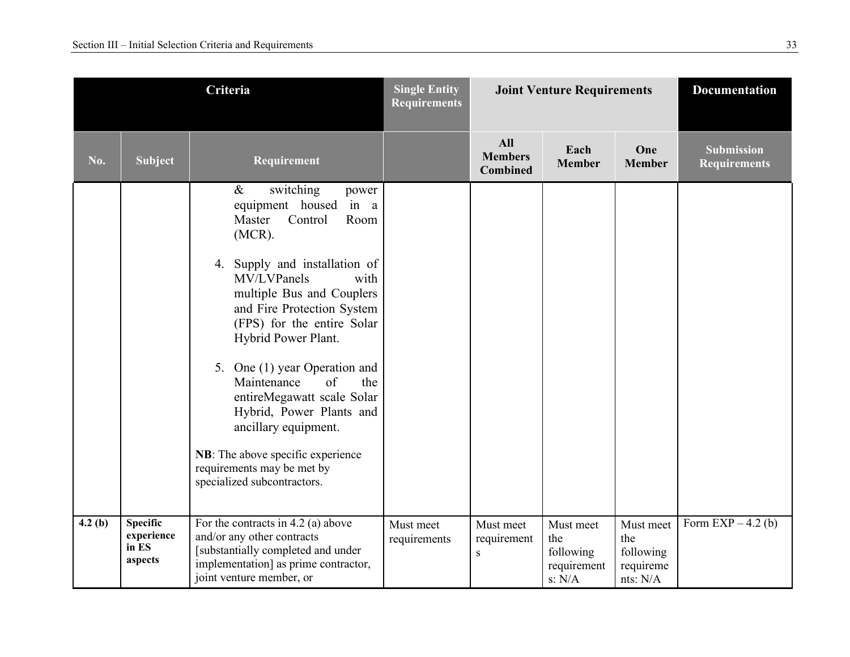| Criteria |                                                   |                                                                                                                                                                                                                                                                                                                                                                                                                                                                                                                              | <b>Single Entity</b><br><b>Requirements</b> |                                                 | <b>Joint Venture Requirements</b>                      |                                                        | <b>Documentation</b>                     |
|----------|---------------------------------------------------|------------------------------------------------------------------------------------------------------------------------------------------------------------------------------------------------------------------------------------------------------------------------------------------------------------------------------------------------------------------------------------------------------------------------------------------------------------------------------------------------------------------------------|---------------------------------------------|-------------------------------------------------|--------------------------------------------------------|--------------------------------------------------------|------------------------------------------|
| No.      | <b>Subject</b>                                    | Requirement                                                                                                                                                                                                                                                                                                                                                                                                                                                                                                                  |                                             | <b>All</b><br><b>Members</b><br><b>Combined</b> | Each<br><b>Member</b>                                  | One<br><b>Member</b>                                   | <b>Submission</b><br><b>Requirements</b> |
|          |                                                   | $\&$<br>switching<br>power<br>in a<br>equipment housed<br>Master<br>Control<br>Room<br>$(MCR)$ .<br>Supply and installation of<br>4.<br>MV/LVPanels<br>with<br>multiple Bus and Couplers<br>and Fire Protection System<br>(FPS) for the entire Solar<br>Hybrid Power Plant.<br>5. One (1) year Operation and<br>Maintenance<br>of<br>the<br>entireMegawatt scale Solar<br>Hybrid, Power Plants and<br>ancillary equipment.<br>NB: The above specific experience<br>requirements may be met by<br>specialized subcontractors. |                                             |                                                 |                                                        |                                                        |                                          |
| 4.2(b)   | <b>Specific</b><br>experience<br>in ES<br>aspects | For the contracts in $4.2$ (a) above<br>and/or any other contracts<br>[substantially completed and under<br>implementation] as prime contractor,<br>joint venture member, or                                                                                                                                                                                                                                                                                                                                                 | Must meet<br>requirements                   | Must meet<br>requirement<br>${\bf S}$           | Must meet<br>the<br>following<br>requirement<br>s: N/A | Must meet<br>the<br>following<br>requireme<br>nts: N/A | Form $EXP-4.2(b)$                        |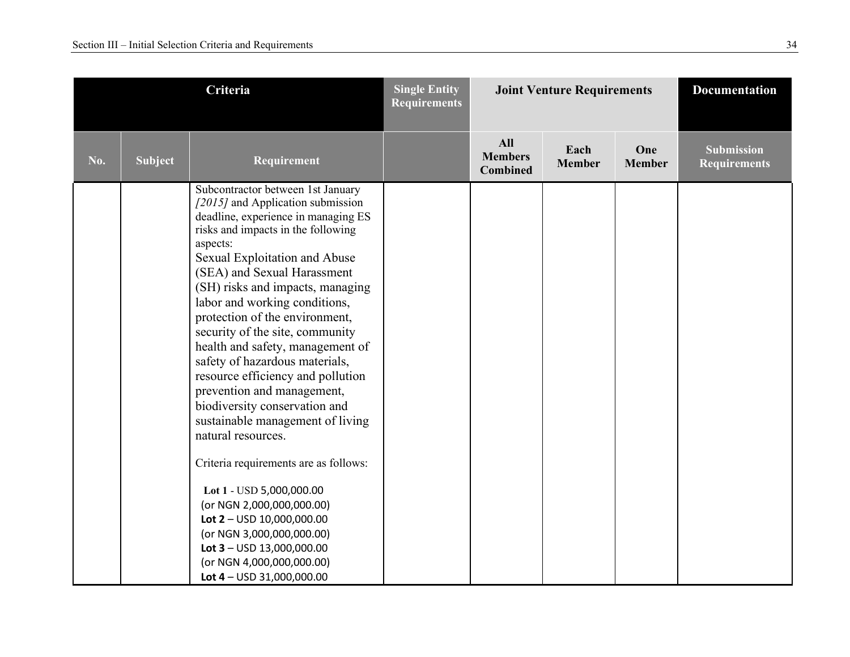|     | Criteria |                                                                                                                                                                                                                                                                                                                                                                                                                                                                                                                                                                                                                                                                                                                                                                                                                                                                        | <b>Single Entity</b><br><b>Requirements</b> | <b>Joint Venture Requirements</b>               |                       |                      | <b>Documentation</b>                     |
|-----|----------|------------------------------------------------------------------------------------------------------------------------------------------------------------------------------------------------------------------------------------------------------------------------------------------------------------------------------------------------------------------------------------------------------------------------------------------------------------------------------------------------------------------------------------------------------------------------------------------------------------------------------------------------------------------------------------------------------------------------------------------------------------------------------------------------------------------------------------------------------------------------|---------------------------------------------|-------------------------------------------------|-----------------------|----------------------|------------------------------------------|
| No. | Subject  | Requirement                                                                                                                                                                                                                                                                                                                                                                                                                                                                                                                                                                                                                                                                                                                                                                                                                                                            |                                             | <b>All</b><br><b>Members</b><br><b>Combined</b> | Each<br><b>Member</b> | One<br><b>Member</b> | <b>Submission</b><br><b>Requirements</b> |
|     |          | Subcontractor between 1st January<br>[2015] and Application submission<br>deadline, experience in managing ES<br>risks and impacts in the following<br>aspects:<br>Sexual Exploitation and Abuse<br>(SEA) and Sexual Harassment<br>(SH) risks and impacts, managing<br>labor and working conditions,<br>protection of the environment,<br>security of the site, community<br>health and safety, management of<br>safety of hazardous materials,<br>resource efficiency and pollution<br>prevention and management,<br>biodiversity conservation and<br>sustainable management of living<br>natural resources.<br>Criteria requirements are as follows:<br>Lot 1 - USD 5,000,000.00<br>(or NGN 2,000,000,000.00)<br>Lot $2 -$ USD 10,000,000.00<br>(or NGN 3,000,000,000.00)<br>Lot $3 -$ USD 13,000,000.00<br>(or NGN 4,000,000,000.00)<br>Lot $4 -$ USD 31,000,000.00 |                                             |                                                 |                       |                      |                                          |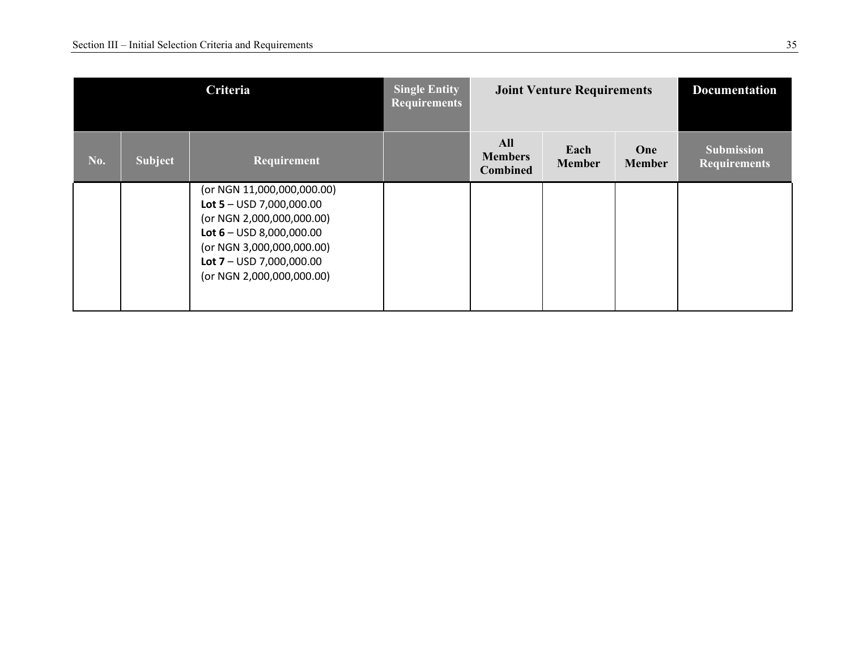| Criteria |                |                                                                                                                                                                                                           | <b>Single Entity</b><br><b>Requirements</b> |                                          | <b>Joint Venture Requirements</b> |                      | <b>Documentation</b>                     |
|----------|----------------|-----------------------------------------------------------------------------------------------------------------------------------------------------------------------------------------------------------|---------------------------------------------|------------------------------------------|-----------------------------------|----------------------|------------------------------------------|
| No.      | <b>Subject</b> | Requirement                                                                                                                                                                                               |                                             | All<br><b>Members</b><br><b>Combined</b> | Each<br><b>Member</b>             | One<br><b>Member</b> | <b>Submission</b><br><b>Requirements</b> |
|          |                | (or NGN 11,000,000,000.00)<br>Lot 5 – USD 7,000,000.00<br>(or NGN 2,000,000,000.00)<br>Lot $6 -$ USD 8,000,000.00<br>(or NGN 3,000,000,000.00)<br>Lot $7 -$ USD 7,000,000.00<br>(or NGN 2,000,000,000.00) |                                             |                                          |                                   |                      |                                          |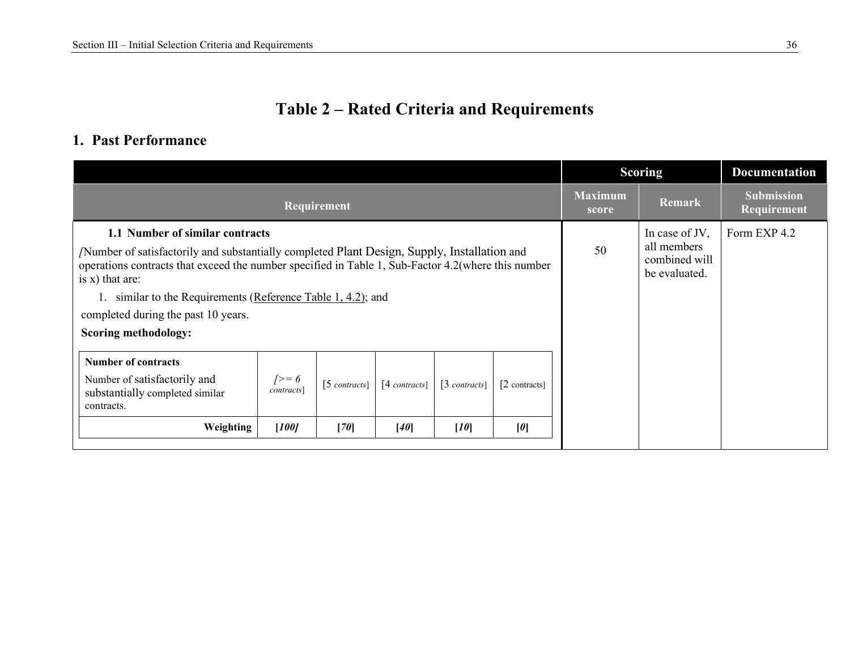### **Table 2 – Rated Criteria and Requirements**

#### **1. Past Performance**

|                                                                                                                                                                                                                                                                                                                                                                                                 |                              |                 |                 |                      |                 |                                                                 | <b>Scoring</b> | <b>Documentation</b>             |
|-------------------------------------------------------------------------------------------------------------------------------------------------------------------------------------------------------------------------------------------------------------------------------------------------------------------------------------------------------------------------------------------------|------------------------------|-----------------|-----------------|----------------------|-----------------|-----------------------------------------------------------------|----------------|----------------------------------|
|                                                                                                                                                                                                                                                                                                                                                                                                 |                              | Requirement     |                 |                      |                 | <b>Maximum</b><br>score                                         | <b>Remark</b>  | <b>Submission</b><br>Requirement |
| 1.1 Number of similar contracts<br>Number of satisfactorily and substantially completed Plant Design, Supply, Installation and<br>operations contracts that exceed the number specified in Table 1, Sub-Factor 4.2(where this number<br>is $x)$ that are:<br>1. similar to the Requirements (Reference Table 1, 4.2); and<br>completed during the past 10 years.<br><b>Scoring methodology:</b> |                              |                 |                 |                      | 50              | In case of JV,<br>all members<br>combined will<br>be evaluated. | Form EXP 4.2   |                                  |
| <b>Number of contracts</b><br>Number of satisfactorily and<br>substantially completed similar<br>contracts.                                                                                                                                                                                                                                                                                     | $\sqrt{ } = 6$<br>contracts] | $[5$ contracts] | $[4$ contracts] | $\lceil 3$ contracts | $[2$ contracts] |                                                                 |                |                                  |
| Weighting                                                                                                                                                                                                                                                                                                                                                                                       | $[100]$                      | [70]            | $[40]$          | [10]                 | [0]             |                                                                 |                |                                  |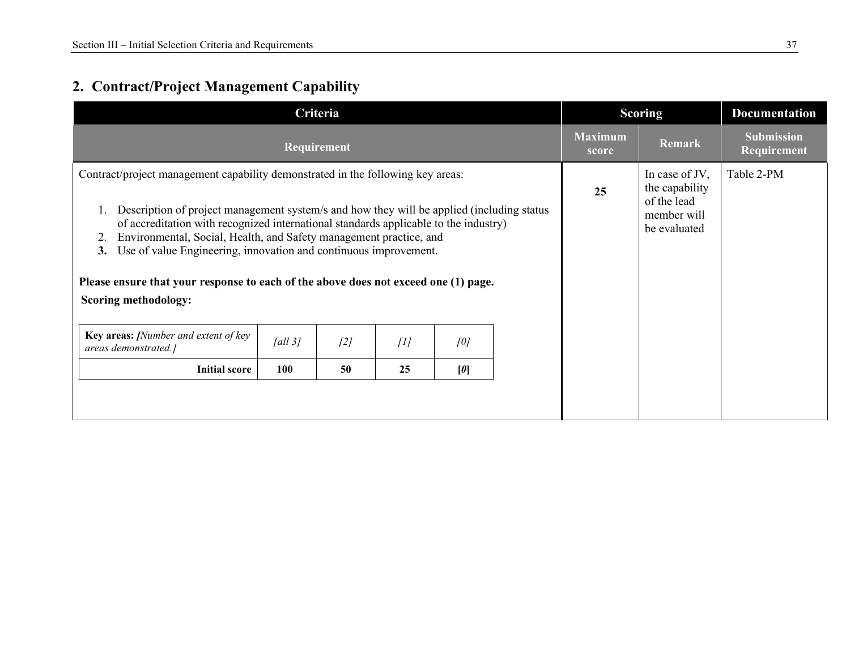### **2. Contract/Project Management Capability**

| Criteria                                                                                                                                                                                                                                                                                                                                                                                                                                                                                                                                          |         |             |     |     |  | <b>Scoring</b>          |                                                                                | <b>Documentation</b>             |
|---------------------------------------------------------------------------------------------------------------------------------------------------------------------------------------------------------------------------------------------------------------------------------------------------------------------------------------------------------------------------------------------------------------------------------------------------------------------------------------------------------------------------------------------------|---------|-------------|-----|-----|--|-------------------------|--------------------------------------------------------------------------------|----------------------------------|
|                                                                                                                                                                                                                                                                                                                                                                                                                                                                                                                                                   |         | Requirement |     |     |  | <b>Maximum</b><br>score | <b>Remark</b>                                                                  | <b>Submission</b><br>Requirement |
| Contract/project management capability demonstrated in the following key areas:<br>Description of project management system/s and how they will be applied (including status)<br>of accreditation with recognized international standards applicable to the industry)<br>Environmental, Social, Health, and Safety management practice, and<br>2.<br>Use of value Engineering, innovation and continuous improvement.<br>3.<br>Please ensure that your response to each of the above does not exceed one (1) page.<br><b>Scoring methodology:</b> |         |             |     |     |  | 25                      | In case of JV,<br>the capability<br>of the lead<br>member will<br>be evaluated | Table 2-PM                       |
| Key areas: [Number and extent of key<br>areas demonstrated.]                                                                                                                                                                                                                                                                                                                                                                                                                                                                                      | fall 31 | [2]         | [1] | [0] |  |                         |                                                                                |                                  |
| <b>Initial score</b>                                                                                                                                                                                                                                                                                                                                                                                                                                                                                                                              | 100     | 50          | 25  | [0] |  |                         |                                                                                |                                  |
|                                                                                                                                                                                                                                                                                                                                                                                                                                                                                                                                                   |         |             |     |     |  |                         |                                                                                |                                  |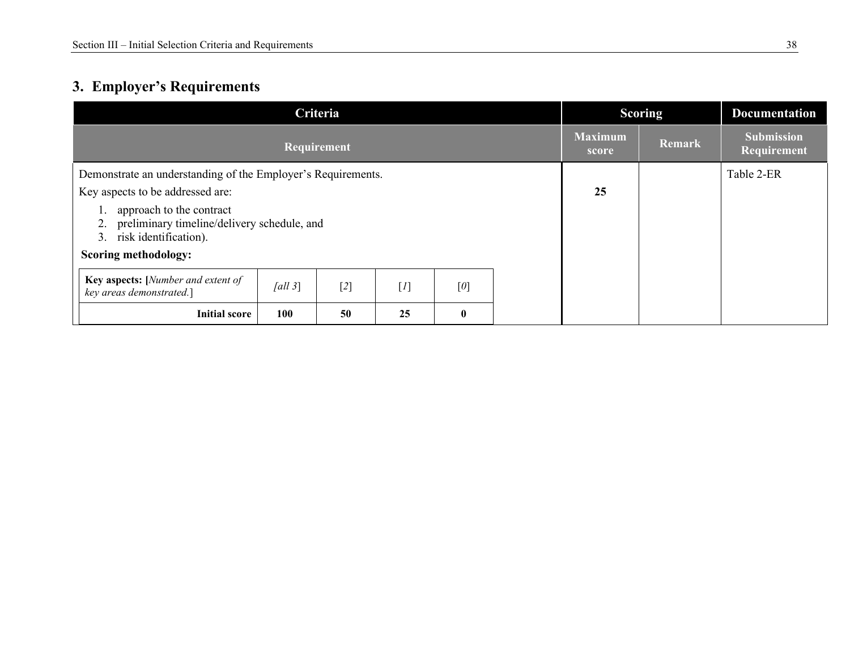### **3. Employer's Requirements**

| Criteria                                                                                                  |         |       |       |              |  |    | <b>Scoring</b> | <b>Documentation</b>             |
|-----------------------------------------------------------------------------------------------------------|---------|-------|-------|--------------|--|----|----------------|----------------------------------|
| Requirement                                                                                               |         |       |       |              |  |    | Remark         | <b>Submission</b><br>Requirement |
| Demonstrate an understanding of the Employer's Requirements.                                              |         |       |       |              |  |    |                | Table 2-ER                       |
| Key aspects to be addressed are:                                                                          |         |       |       |              |  | 25 |                |                                  |
| approach to the contract<br>2. preliminary timeline/delivery schedule, and<br>risk identification).<br>3. |         |       |       |              |  |    |                |                                  |
| <b>Scoring methodology:</b>                                                                               |         |       |       |              |  |    |                |                                  |
| Key aspects: [Number and extent of<br>key areas demonstrated.]                                            | fall 3] | $[2]$ | $[1]$ | $[0]$        |  |    |                |                                  |
| <b>Initial score</b>                                                                                      | 100     | 50    | 25    | $\mathbf{0}$ |  |    |                |                                  |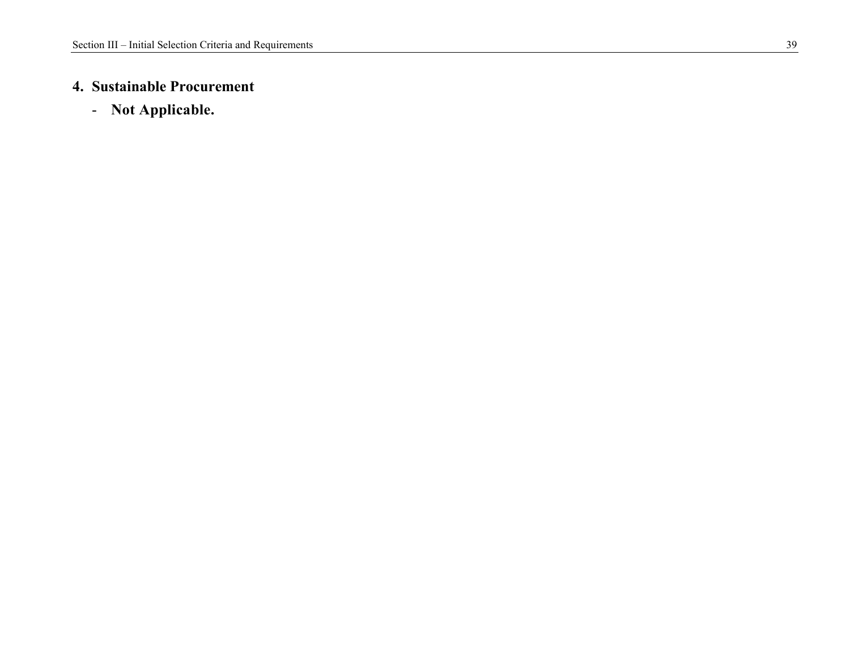#### **4. Sustainable Procurement**

- **Not Applicable.**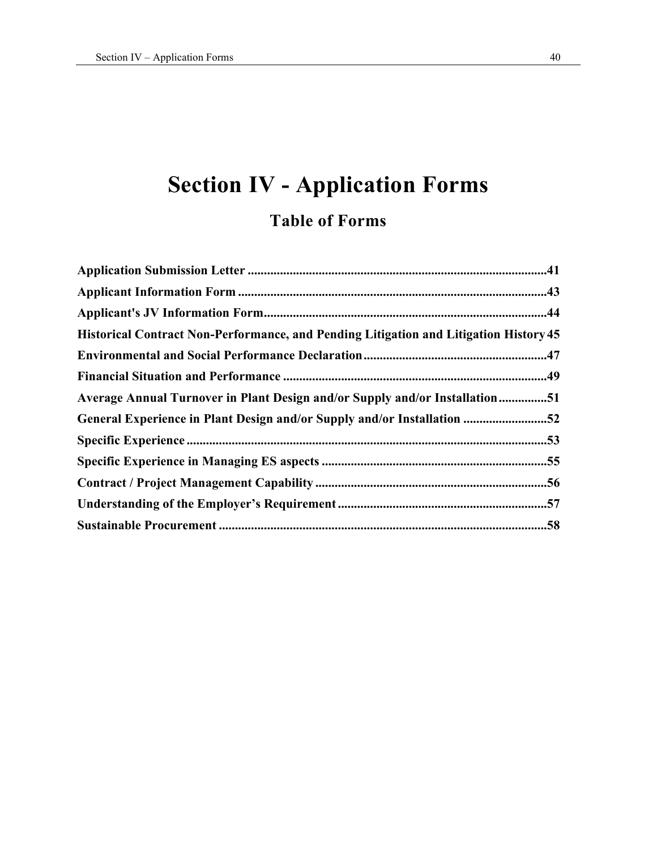# **Section IV - Application Forms Table of Forms**

| <b>Historical Contract Non-Performance, and Pending Litigation and Litigation History 45</b> |  |
|----------------------------------------------------------------------------------------------|--|
|                                                                                              |  |
|                                                                                              |  |
| Average Annual Turnover in Plant Design and/or Supply and/or Installation51                  |  |
| General Experience in Plant Design and/or Supply and/or Installation 52                      |  |
|                                                                                              |  |
|                                                                                              |  |
|                                                                                              |  |
|                                                                                              |  |
|                                                                                              |  |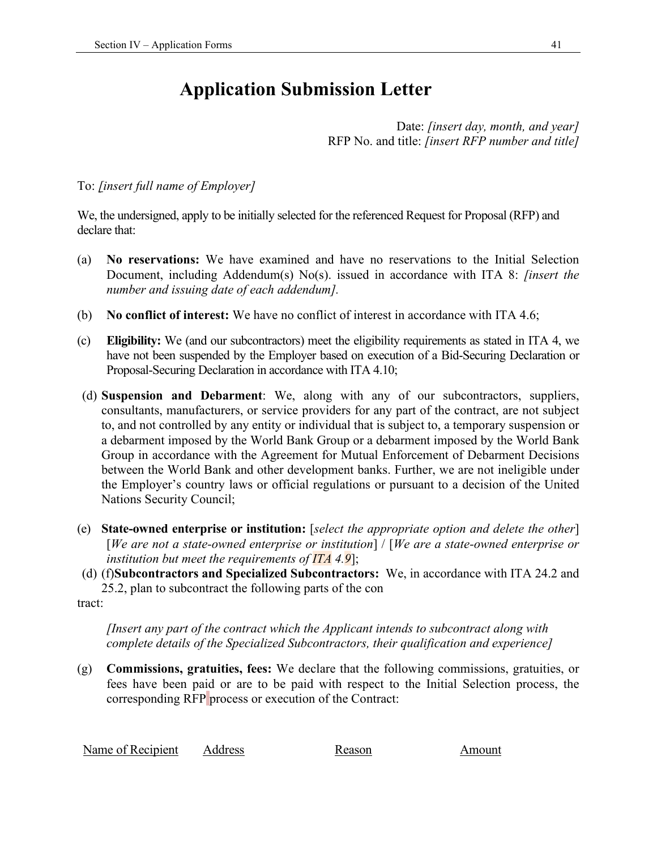## **Application Submission Letter**

Date: *[insert day, month, and year]*  RFP No. and title: *[insert RFP number and title]* 

#### To: *[insert full name of Employer]*

We, the undersigned, apply to be initially selected for the referenced Request for Proposal (RFP) and declare that:

- (a) **No reservations:** We have examined and have no reservations to the Initial Selection Document, including Addendum(s) No(s). issued in accordance with ITA 8: *[insert the number and issuing date of each addendum].*
- (b) **No conflict of interest:** We have no conflict of interest in accordance with ITA 4.6;
- (c) **Eligibility:** We (and our subcontractors) meet the eligibility requirements as stated in ITA 4, we have not been suspended by the Employer based on execution of a Bid-Securing Declaration or Proposal-Securing Declaration in accordance with ITA 4.10;
- (d) **Suspension and Debarment**: We, along with any of our subcontractors, suppliers, consultants, manufacturers, or service providers for any part of the contract, are not subject to, and not controlled by any entity or individual that is subject to, a temporary suspension or a debarment imposed by the World Bank Group or a debarment imposed by the World Bank Group in accordance with the Agreement for Mutual Enforcement of Debarment Decisions between the World Bank and other development banks. Further, we are not ineligible under the Employer's country laws or official regulations or pursuant to a decision of the United Nations Security Council;
- (e) **State-owned enterprise or institution:** [*select the appropriate option and delete the other*] [*We are not a state-owned enterprise or institution*] / [*We are a state-owned enterprise or institution but meet the requirements of ITA 4.9*];
- (d) (f)**Subcontractors and Specialized Subcontractors:** We, in accordance with ITA 24.2 and 25.2, plan to subcontract the following parts of the con

tract:

*[Insert any part of the contract which the Applicant intends to subcontract along with complete details of the Specialized Subcontractors, their qualification and experience]* 

(g) **Commissions, gratuities, fees:** We declare that the following commissions, gratuities, or fees have been paid or are to be paid with respect to the Initial Selection process, the corresponding RFP process or execution of the Contract:

| Name of Recipient | <b>Address</b> | Reason | Amount |
|-------------------|----------------|--------|--------|
|-------------------|----------------|--------|--------|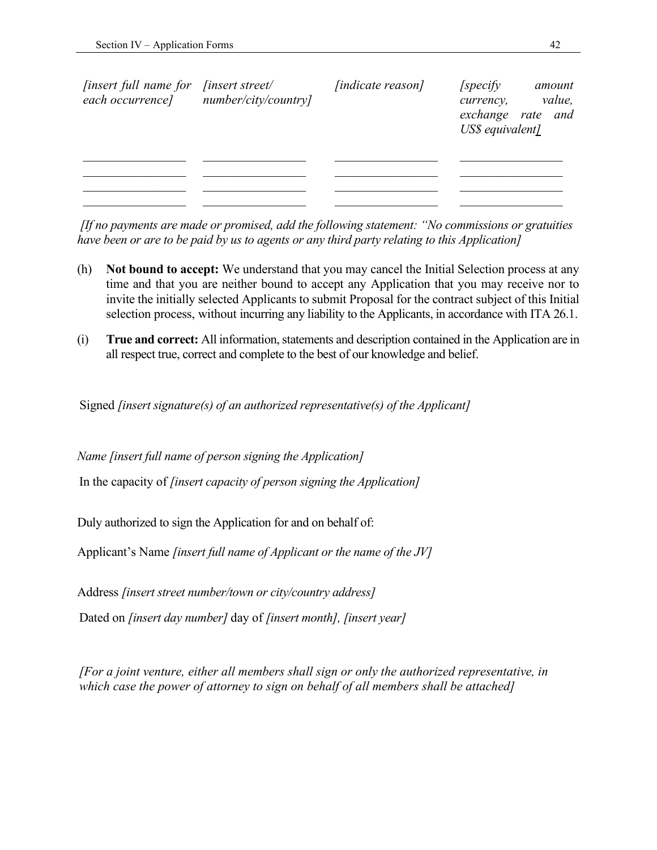| <i>finsert full name for</i><br>each occurrence] | <i>finsert street/</i><br>number/city/country] | <i>[indicate reason]</i> | <i>specify</i><br>currency,<br>US\$ equivalent] | amount<br>value,<br>exchange rate and |
|--------------------------------------------------|------------------------------------------------|--------------------------|-------------------------------------------------|---------------------------------------|
|                                                  |                                                |                          |                                                 |                                       |
|                                                  |                                                |                          |                                                 |                                       |

 *[If no payments are made or promised, add the following statement: "No commissions or gratuities have been or are to be paid by us to agents or any third party relating to this Application]* 

- (h) **Not bound to accept:** We understand that you may cancel the Initial Selection process at any time and that you are neither bound to accept any Application that you may receive nor to invite the initially selected Applicants to submit Proposal for the contract subject of this Initial selection process, without incurring any liability to the Applicants, in accordance with ITA 26.1.
- (i) **True and correct:** All information, statements and description contained in the Application are in all respect true, correct and complete to the best of our knowledge and belief.

Signed *[insert signature(s) of an authorized representative(s) of the Applicant]* 

*Name [insert full name of person signing the Application]* 

In the capacity of *[insert capacity of person signing the Application]*

Duly authorized to sign the Application for and on behalf of:

Applicant's Name *[insert full name of Applicant or the name of the JV]* 

Address *[insert street number/town or city/country address]*

Dated on *[insert day number]* day of *[insert month], [insert year]* 

*[For a joint venture, either all members shall sign or only the authorized representative, in which case the power of attorney to sign on behalf of all members shall be attached]*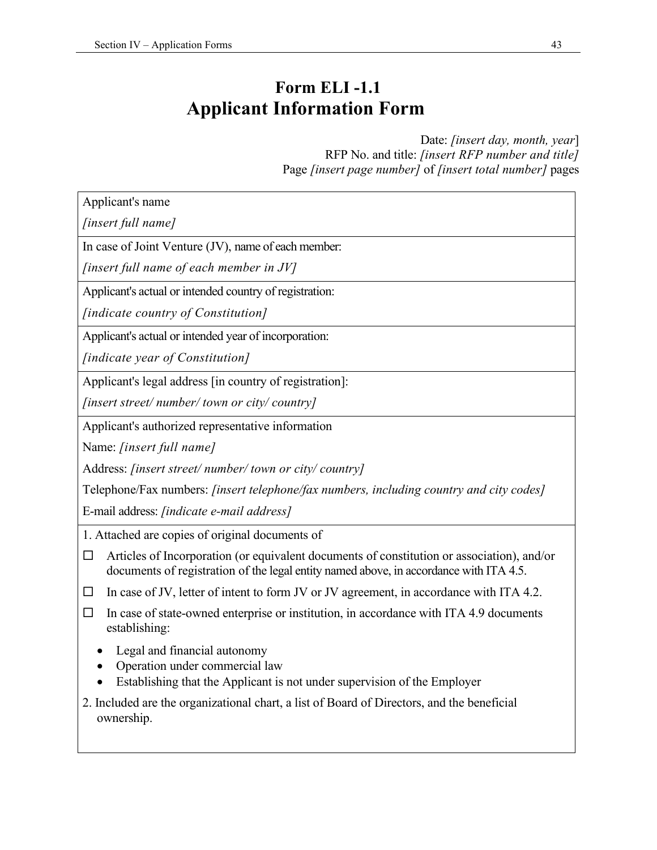### **Form ELI -1.1 Applicant Information Form**

Date: *[insert day, month, year*] RFP No. and title: *[insert RFP number and title]* Page *[insert page number]* of *[insert total number]* pages

Applicant's name

*[insert full name]* 

In case of Joint Venture (JV), name of each member:

*[insert full name of each member in JV]* 

Applicant's actual or intended country of registration:

*[indicate country of Constitution]* 

Applicant's actual or intended year of incorporation:

*[indicate year of Constitution]* 

Applicant's legal address [in country of registration]:

*[insert street/ number/ town or city/ country]* 

Applicant's authorized representative information

Name: *[insert full name]*

Address: *[insert street/ number/ town or city/ country]* 

Telephone/Fax numbers: *[insert telephone/fax numbers, including country and city codes]*

E-mail address: *[indicate e-mail address]*

1. Attached are copies of original documents of

- $\Box$  Articles of Incorporation (or equivalent documents of constitution or association), and/or documents of registration of the legal entity named above, in accordance with ITA 4.5.
- $\Box$  In case of JV, letter of intent to form JV or JV agreement, in accordance with ITA 4.2.
- $\Box$  In case of state-owned enterprise or institution, in accordance with ITA 4.9 documents establishing:
	- Legal and financial autonomy
	- Operation under commercial law
	- Establishing that the Applicant is not under supervision of the Employer
- 2. Included are the organizational chart, a list of Board of Directors, and the beneficial ownership.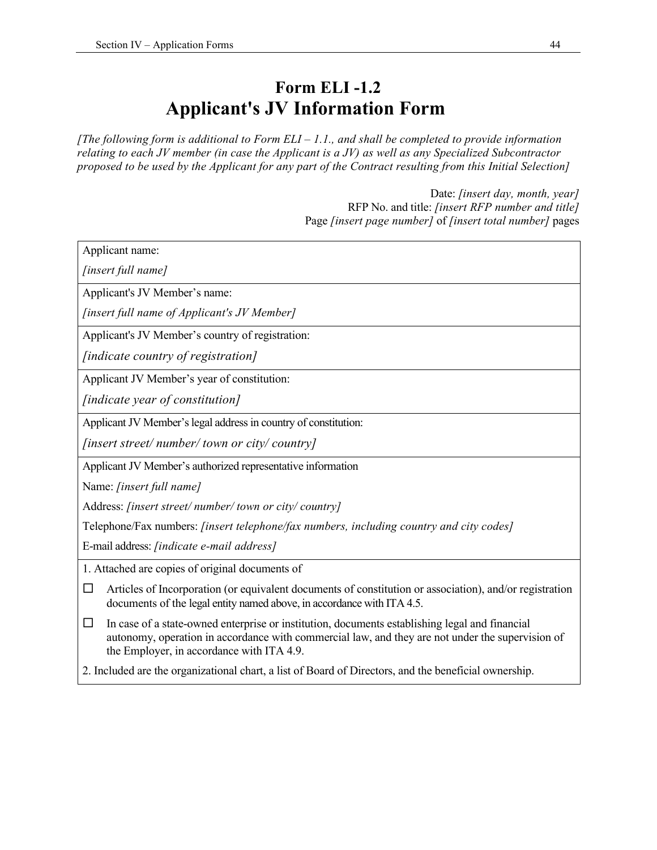### **Form ELI -1.2 Applicant's JV Information Form**

*[The following form is additional to Form ELI – 1.1., and shall be completed to provide information relating to each JV member (in case the Applicant is a JV) as well as any Specialized Subcontractor proposed to be used by the Applicant for any part of the Contract resulting from this Initial Selection]* 

> Date: *[insert day, month, year]*  RFP No. and title: *[insert RFP number and title]*  Page *[insert page number]* of *[insert total number]* pages

| Applicant name:                                                                                                                                                                                                                                           |
|-----------------------------------------------------------------------------------------------------------------------------------------------------------------------------------------------------------------------------------------------------------|
| [insert full name]                                                                                                                                                                                                                                        |
| Applicant's JV Member's name:                                                                                                                                                                                                                             |
| [insert full name of Applicant's JV Member]                                                                                                                                                                                                               |
| Applicant's JV Member's country of registration:                                                                                                                                                                                                          |
| [indicate country of registration]                                                                                                                                                                                                                        |
| Applicant JV Member's year of constitution:                                                                                                                                                                                                               |
| [indicate year of constitution]                                                                                                                                                                                                                           |
| Applicant JV Member's legal address in country of constitution:                                                                                                                                                                                           |
| [insert street/number/town or city/country]                                                                                                                                                                                                               |
| Applicant JV Member's authorized representative information                                                                                                                                                                                               |
| Name: [insert full name]                                                                                                                                                                                                                                  |
| Address: [insert street/number/town or city/country]                                                                                                                                                                                                      |
| Telephone/Fax numbers: [insert telephone/fax numbers, including country and city codes]                                                                                                                                                                   |
| E-mail address: [indicate e-mail address]                                                                                                                                                                                                                 |
| 1. Attached are copies of original documents of                                                                                                                                                                                                           |
| Articles of Incorporation (or equivalent documents of constitution or association), and/or registration<br>□<br>documents of the legal entity named above, in accordance with ITA 4.5.                                                                    |
| In case of a state-owned enterprise or institution, documents establishing legal and financial<br>$\Box$<br>autonomy, operation in accordance with commercial law, and they are not under the supervision of<br>the Employer, in accordance with ITA 4.9. |
| 2. Included are the organizational chart, a list of Board of Directors, and the beneficial ownership.                                                                                                                                                     |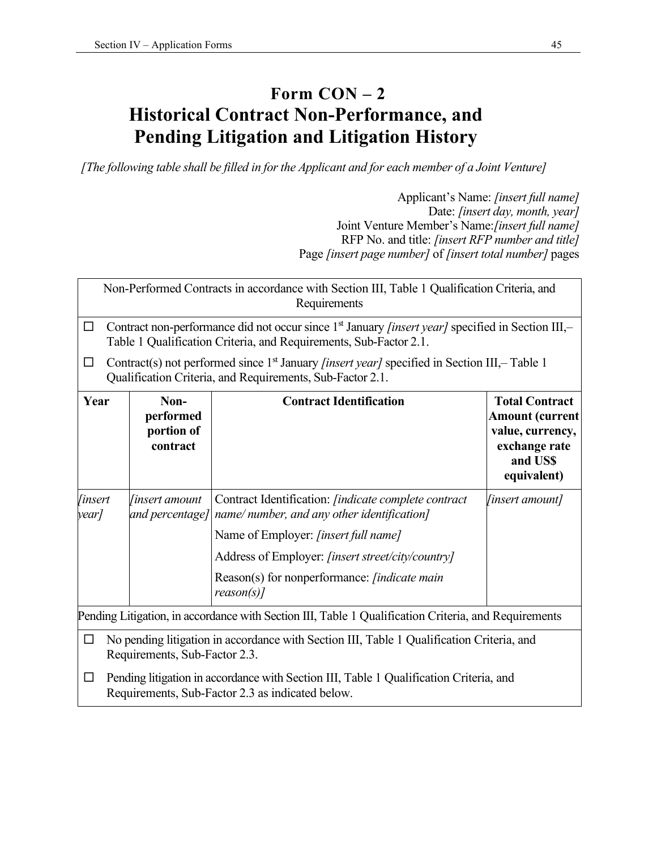### **Form CON – 2 Historical Contract Non-Performance, and Pending Litigation and Litigation History**

*[The following table shall be filled in for the Applicant and for each member of a Joint Venture]* 

Applicant's Name: *[insert full name]*  Date: *[insert day, month, year]*  Joint Venture Member's Name:*[insert full name]*  RFP No. and title: *[insert RFP number and title]*  Page *[insert page number]* of *[insert total number]* pages

Non-Performed Contracts in accordance with Section III, Table 1 Qualification Criteria, and Requirements

 Contract non-performance did not occur since 1st January *[insert year]* specified in Section III,– Table 1 Qualification Criteria, and Requirements, Sub-Factor 2.1.

Contract(s) not performed since  $1<sup>st</sup>$  January *[insert year]* specified in Section III,-Table 1 Qualification Criteria, and Requirements, Sub-Factor 2.1.

| Year                                                                                                                            | Non-<br>performed<br>portion of<br>contract                                                                                                | <b>Contract Identification</b>                                                                                             | <b>Total Contract</b><br><b>Amount (current</b><br>value, currency,<br>exchange rate<br>and US\$<br>equivalent) |  |  |  |  |  |
|---------------------------------------------------------------------------------------------------------------------------------|--------------------------------------------------------------------------------------------------------------------------------------------|----------------------------------------------------------------------------------------------------------------------------|-----------------------------------------------------------------------------------------------------------------|--|--|--|--|--|
| <i>finsert</i><br>year]                                                                                                         | <i>finsert amount</i>                                                                                                                      | Contract Identification: <i>[indicate complete contract</i><br>and percentage] name/ number, and any other identification] | <i>[insert amount]</i>                                                                                          |  |  |  |  |  |
|                                                                                                                                 |                                                                                                                                            | Name of Employer: <i>[insert full name]</i>                                                                                |                                                                                                                 |  |  |  |  |  |
|                                                                                                                                 |                                                                                                                                            | Address of Employer: [insert street/city/country]                                                                          |                                                                                                                 |  |  |  |  |  |
|                                                                                                                                 |                                                                                                                                            | Reason(s) for nonperformance: <i>[indicate main</i> ]<br>$reason(s)$ ]                                                     |                                                                                                                 |  |  |  |  |  |
| Pending Litigation, in accordance with Section III, Table 1 Qualification Criteria, and Requirements                            |                                                                                                                                            |                                                                                                                            |                                                                                                                 |  |  |  |  |  |
| No pending litigation in accordance with Section III, Table 1 Qualification Criteria, and<br>ப<br>Requirements, Sub-Factor 2.3. |                                                                                                                                            |                                                                                                                            |                                                                                                                 |  |  |  |  |  |
| ப                                                                                                                               | Pending litigation in accordance with Section III, Table 1 Qualification Criteria, and<br>Requirements, Sub-Factor 2.3 as indicated below. |                                                                                                                            |                                                                                                                 |  |  |  |  |  |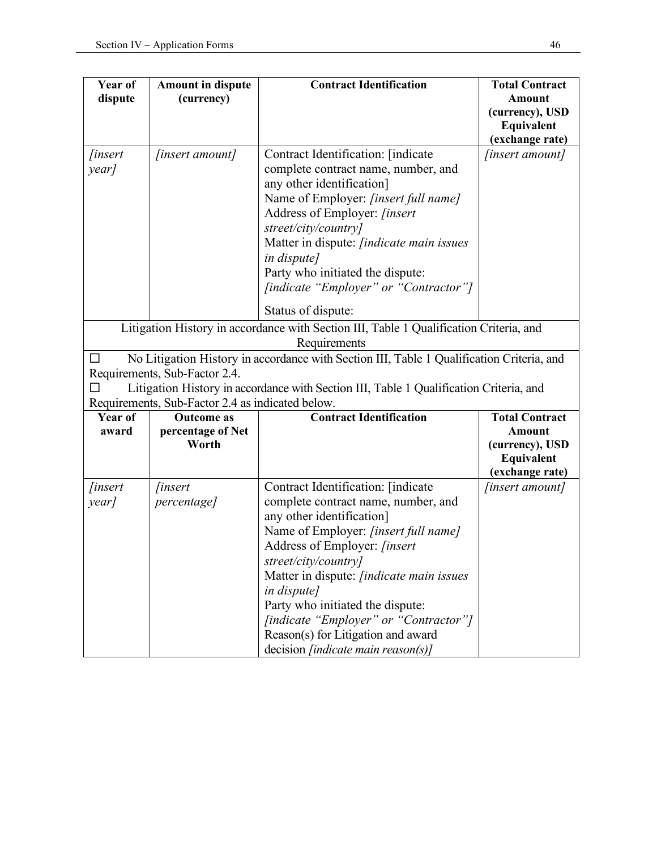| Year of                                                                                | <b>Amount in dispute</b>                         | <b>Contract Identification</b>                                                            | <b>Total Contract</b>         |  |  |  |  |
|----------------------------------------------------------------------------------------|--------------------------------------------------|-------------------------------------------------------------------------------------------|-------------------------------|--|--|--|--|
| dispute                                                                                | (currency)                                       |                                                                                           | <b>Amount</b>                 |  |  |  |  |
|                                                                                        |                                                  |                                                                                           | (currency), USD               |  |  |  |  |
|                                                                                        |                                                  |                                                                                           | Equivalent<br>(exchange rate) |  |  |  |  |
| <i>finsert</i>                                                                         | [insert amount]                                  | Contract Identification: [indicate                                                        | [insert amount]               |  |  |  |  |
| year]                                                                                  |                                                  | complete contract name, number, and                                                       |                               |  |  |  |  |
|                                                                                        |                                                  | any other identification]                                                                 |                               |  |  |  |  |
|                                                                                        |                                                  | Name of Employer: [insert full name]                                                      |                               |  |  |  |  |
|                                                                                        |                                                  | Address of Employer: [insert                                                              |                               |  |  |  |  |
|                                                                                        |                                                  | street/city/country]                                                                      |                               |  |  |  |  |
|                                                                                        |                                                  | Matter in dispute: <i>[indicate main issues</i>                                           |                               |  |  |  |  |
|                                                                                        |                                                  | in dispute]                                                                               |                               |  |  |  |  |
|                                                                                        |                                                  | Party who initiated the dispute:                                                          |                               |  |  |  |  |
|                                                                                        |                                                  | [indicate "Employer" or "Contractor"]                                                     |                               |  |  |  |  |
|                                                                                        |                                                  | Status of dispute:                                                                        |                               |  |  |  |  |
|                                                                                        |                                                  |                                                                                           |                               |  |  |  |  |
| Litigation History in accordance with Section III, Table 1 Qualification Criteria, and |                                                  |                                                                                           |                               |  |  |  |  |
|                                                                                        |                                                  | Requirements                                                                              |                               |  |  |  |  |
| □                                                                                      | Requirements, Sub-Factor 2.4.                    | No Litigation History in accordance with Section III, Table 1 Qualification Criteria, and |                               |  |  |  |  |
|                                                                                        |                                                  | Litigation History in accordance with Section III, Table 1 Qualification Criteria, and    |                               |  |  |  |  |
|                                                                                        | Requirements, Sub-Factor 2.4 as indicated below. |                                                                                           |                               |  |  |  |  |
| Year of                                                                                | <b>Outcome</b> as                                | <b>Contract Identification</b>                                                            | <b>Total Contract</b>         |  |  |  |  |
| award                                                                                  | percentage of Net                                |                                                                                           | <b>Amount</b>                 |  |  |  |  |
|                                                                                        | Worth                                            |                                                                                           | (currency), USD               |  |  |  |  |
|                                                                                        |                                                  |                                                                                           | Equivalent                    |  |  |  |  |
|                                                                                        |                                                  |                                                                                           | (exchange rate)               |  |  |  |  |
| <i>finsert</i>                                                                         | <i>finsert</i>                                   | Contract Identification: [indicate                                                        | [insert amount]               |  |  |  |  |
| year]                                                                                  | percentage]                                      | complete contract name, number, and                                                       |                               |  |  |  |  |
|                                                                                        |                                                  | any other identification]                                                                 |                               |  |  |  |  |
|                                                                                        |                                                  | Name of Employer: [insert full name]                                                      |                               |  |  |  |  |
|                                                                                        |                                                  | Address of Employer: [insert                                                              |                               |  |  |  |  |
|                                                                                        |                                                  | street/city/country]                                                                      |                               |  |  |  |  |
|                                                                                        |                                                  | Matter in dispute: <i>[indicate main issues</i>                                           |                               |  |  |  |  |
|                                                                                        |                                                  | in dispute]                                                                               |                               |  |  |  |  |
|                                                                                        |                                                  | Party who initiated the dispute:                                                          |                               |  |  |  |  |
|                                                                                        |                                                  | [indicate "Employer" or "Contractor"]                                                     |                               |  |  |  |  |
|                                                                                        |                                                  | Reason(s) for Litigation and award                                                        |                               |  |  |  |  |
|                                                                                        |                                                  | decision [indicate main reason(s)]                                                        |                               |  |  |  |  |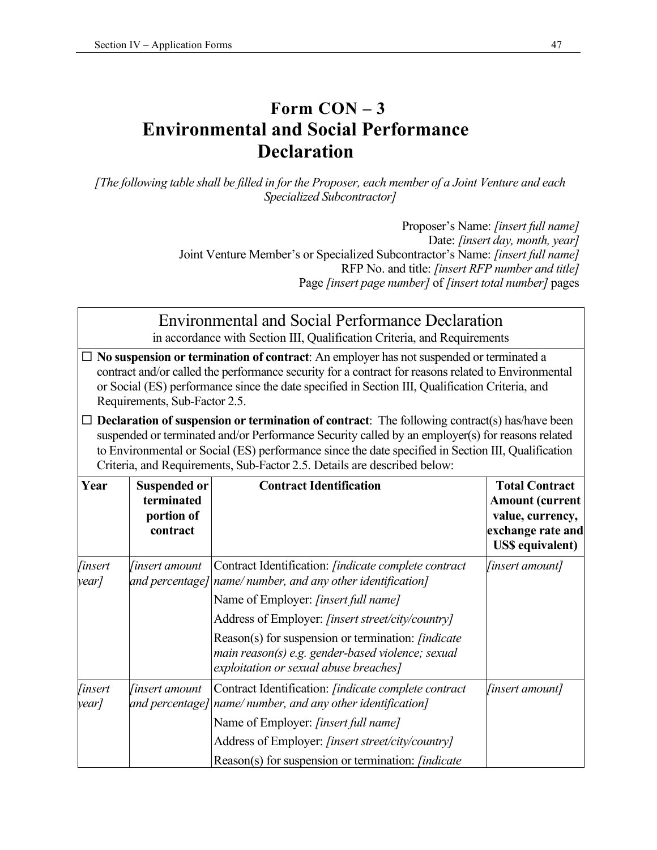### **Form CON – 3 Environmental and Social Performance Declaration**

*[The following table shall be filled in for the Proposer, each member of a Joint Venture and each Specialized Subcontractor]* 

> Proposer's Name: *[insert full name]*  Date: *[insert day, month, year]*  Joint Venture Member's or Specialized Subcontractor's Name: *[insert full name]*  RFP No. and title: *[insert RFP number and title]*  Page *[insert page number]* of *[insert total number]* pages

## Environmental and Social Performance Declaration

in accordance with Section III, Qualification Criteria, and Requirements

- **No suspension or termination of contract**: An employer has not suspended or terminated a contract and/or called the performance security for a contract for reasons related to Environmental or Social (ES) performance since the date specified in Section III, Qualification Criteria, and Requirements, Sub-Factor 2.5.
- **Declaration of suspension or termination of contract**: The following contract(s) has/have been suspended or terminated and/or Performance Security called by an employer(s) for reasons related to Environmental or Social (ES) performance since the date specified in Section III, Qualification Criteria, and Requirements, Sub-Factor 2.5. Details are described below:

| Year                    | <b>Suspended or</b><br>terminated<br>portion of<br>contract | <b>Contract Identification</b>                                                                                                                             | <b>Total Contract</b><br><b>Amount (current</b><br>value, currency,<br>exchange rate and<br><b>US\$</b> equivalent) |
|-------------------------|-------------------------------------------------------------|------------------------------------------------------------------------------------------------------------------------------------------------------------|---------------------------------------------------------------------------------------------------------------------|
| <i>finsert</i><br>year/ | linsert amount                                              | Contract Identification: [indicate complete contract<br>and percentage] name/number, and any other identification]                                         | <i>finsert amount]</i>                                                                                              |
|                         |                                                             | Name of Employer: [insert full name]                                                                                                                       |                                                                                                                     |
|                         |                                                             | Address of Employer: [insert street/city/country]                                                                                                          |                                                                                                                     |
|                         |                                                             | Reason(s) for suspension or termination: <i>[indicate</i> ]<br>main reason(s) e.g. gender-based violence; sexual<br>exploitation or sexual abuse breaches] |                                                                                                                     |
| <i>linsert</i><br>year/ | <i>finsert amount</i>                                       | Contract Identification: <i>[indicate complete contract</i> ]<br>and percentage] $ name/$ number, and any other identification]                            | <i>finsert amount]</i>                                                                                              |
|                         |                                                             | Name of Employer: [insert full name]                                                                                                                       |                                                                                                                     |
|                         |                                                             | Address of Employer: [insert street/city/country]                                                                                                          |                                                                                                                     |
|                         |                                                             | Reason(s) for suspension or termination: <i>[indicate</i> ]                                                                                                |                                                                                                                     |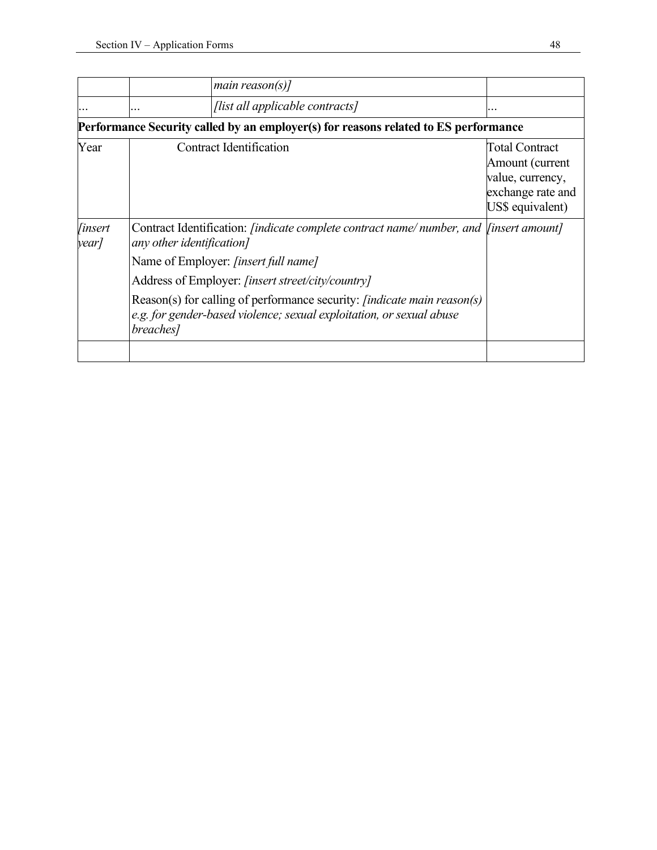|                         |                                                                                                                                   | main reason(s)]                                                                                                                                        |                                                                                                       |  |  |  |  |
|-------------------------|-----------------------------------------------------------------------------------------------------------------------------------|--------------------------------------------------------------------------------------------------------------------------------------------------------|-------------------------------------------------------------------------------------------------------|--|--|--|--|
|                         | .                                                                                                                                 | [list all applicable contracts]                                                                                                                        | .                                                                                                     |  |  |  |  |
|                         | Performance Security called by an employer(s) for reasons related to ES performance                                               |                                                                                                                                                        |                                                                                                       |  |  |  |  |
| Year                    | Contract Identification                                                                                                           |                                                                                                                                                        | <b>Total Contract</b><br>Amount (current<br>value, currency,<br>exchange rate and<br>US\$ equivalent) |  |  |  |  |
| <i>finsert</i><br>year/ | Contract Identification: <i>[indicate complete contract name</i> /number, and <i>[insert amount]</i><br>any other identification] |                                                                                                                                                        |                                                                                                       |  |  |  |  |
|                         | Name of Employer: [insert full name]                                                                                              |                                                                                                                                                        |                                                                                                       |  |  |  |  |
|                         |                                                                                                                                   | Address of Employer: [insert street/city/country]                                                                                                      |                                                                                                       |  |  |  |  |
|                         | breaches]                                                                                                                         | Reason(s) for calling of performance security: <i>[indicate main reason(s)</i><br>e.g. for gender-based violence; sexual exploitation, or sexual abuse |                                                                                                       |  |  |  |  |
|                         |                                                                                                                                   |                                                                                                                                                        |                                                                                                       |  |  |  |  |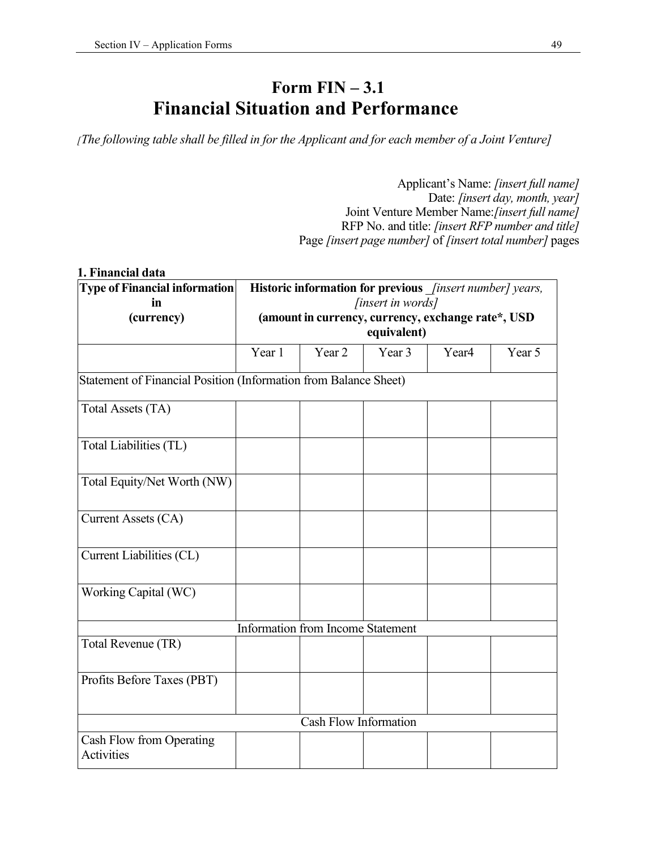### **Form FIN – 3.1 Financial Situation and Performance**

*[The following table shall be filled in for the Applicant and for each member of a Joint Venture]* 

Applicant's Name: *[insert full name]*  Date: *[insert day, month, year]*  Joint Venture Member Name:*[insert full name]*  RFP No. and title: *[insert RFP number and title]*  Page *[insert page number]* of *[insert total number]* pages

| 1. Financial data                                                |                                                                   |                                                          |                   |                   |        |
|------------------------------------------------------------------|-------------------------------------------------------------------|----------------------------------------------------------|-------------------|-------------------|--------|
| <b>Type of Financial information</b><br>in                       |                                                                   | Historic information for previous [insert number] years, | [insert in words] |                   |        |
| (currency)                                                       | (amount in currency, currency, exchange rate*, USD<br>equivalent) |                                                          |                   |                   |        |
|                                                                  | Year 1                                                            | Year 2                                                   | Year 3            | Year <sub>4</sub> | Year 5 |
| Statement of Financial Position (Information from Balance Sheet) |                                                                   |                                                          |                   |                   |        |
| Total Assets (TA)                                                |                                                                   |                                                          |                   |                   |        |
| Total Liabilities (TL)                                           |                                                                   |                                                          |                   |                   |        |
| Total Equity/Net Worth (NW)                                      |                                                                   |                                                          |                   |                   |        |
| Current Assets (CA)                                              |                                                                   |                                                          |                   |                   |        |
| Current Liabilities (CL)                                         |                                                                   |                                                          |                   |                   |        |
| Working Capital (WC)                                             |                                                                   |                                                          |                   |                   |        |
|                                                                  |                                                                   | Information from Income Statement                        |                   |                   |        |
| Total Revenue (TR)                                               |                                                                   |                                                          |                   |                   |        |
| Profits Before Taxes (PBT)                                       |                                                                   |                                                          |                   |                   |        |
|                                                                  |                                                                   | <b>Cash Flow Information</b>                             |                   |                   |        |
| Cash Flow from Operating<br>Activities                           |                                                                   |                                                          |                   |                   |        |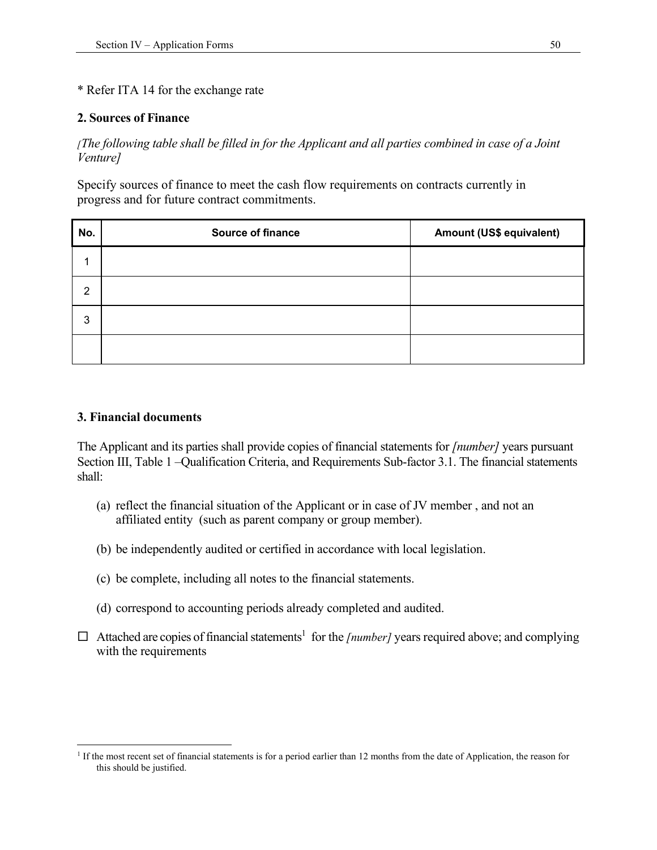#### \* Refer ITA 14 for the exchange rate

#### **2. Sources of Finance**

*[The following table shall be filled in for the Applicant and all parties combined in case of a Joint Venture]* 

Specify sources of finance to meet the cash flow requirements on contracts currently in progress and for future contract commitments.

| No. | Source of finance | Amount (US\$ equivalent) |
|-----|-------------------|--------------------------|
| 4   |                   |                          |
| 2   |                   |                          |
| 3   |                   |                          |
|     |                   |                          |

#### **3. Financial documents**

The Applicant and its parties shall provide copies of financial statements for *[number]* years pursuant Section III, Table 1 –Qualification Criteria, and Requirements Sub-factor 3.1. The financial statements shall:

- (a) reflect the financial situation of the Applicant or in case of JV member , and not an affiliated entity (such as parent company or group member).
- (b) be independently audited or certified in accordance with local legislation.
- (c) be complete, including all notes to the financial statements.
- (d) correspond to accounting periods already completed and audited.
- $\Box$  Attached are copies of financial statements<sup>1</sup> for the [number] years required above; and complying with the requirements

<sup>&</sup>lt;sup>1</sup> If the most recent set of financial statements is for a period earlier than 12 months from the date of Application, the reason for this should be justified.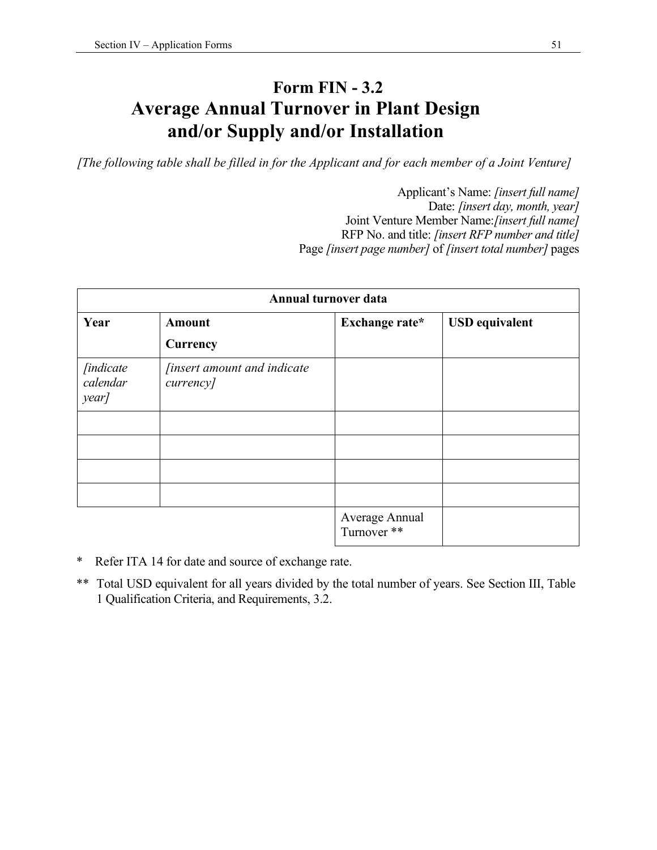### **Form FIN - 3.2 Average Annual Turnover in Plant Design and/or Supply and/or Installation**

*[The following table shall be filled in for the Applicant and for each member of a Joint Venture]* 

Applicant's Name: *[insert full name]*  Date: *[insert day, month, year]*  Joint Venture Member Name:*[insert full name]*  RFP No. and title: *[insert RFP number and title]*  Page *[insert page number]* of *[insert total number]* pages

| Annual turnover data                   |                                                 |                               |                       |
|----------------------------------------|-------------------------------------------------|-------------------------------|-----------------------|
| Year                                   | <b>Amount</b>                                   | Exchange rate*                | <b>USD</b> equivalent |
|                                        | <b>Currency</b>                                 |                               |                       |
| <i>[indicate]</i><br>calendar<br>year] | <i>finsert amount and indicate</i><br>currency] |                               |                       |
|                                        |                                                 |                               |                       |
|                                        |                                                 |                               |                       |
|                                        |                                                 |                               |                       |
|                                        |                                                 |                               |                       |
|                                        |                                                 | Average Annual<br>Turnover ** |                       |

- \* Refer ITA 14 for date and source of exchange rate.
- \*\* Total USD equivalent for all years divided by the total number of years. See Section III, Table 1 Qualification Criteria, and Requirements, 3.2.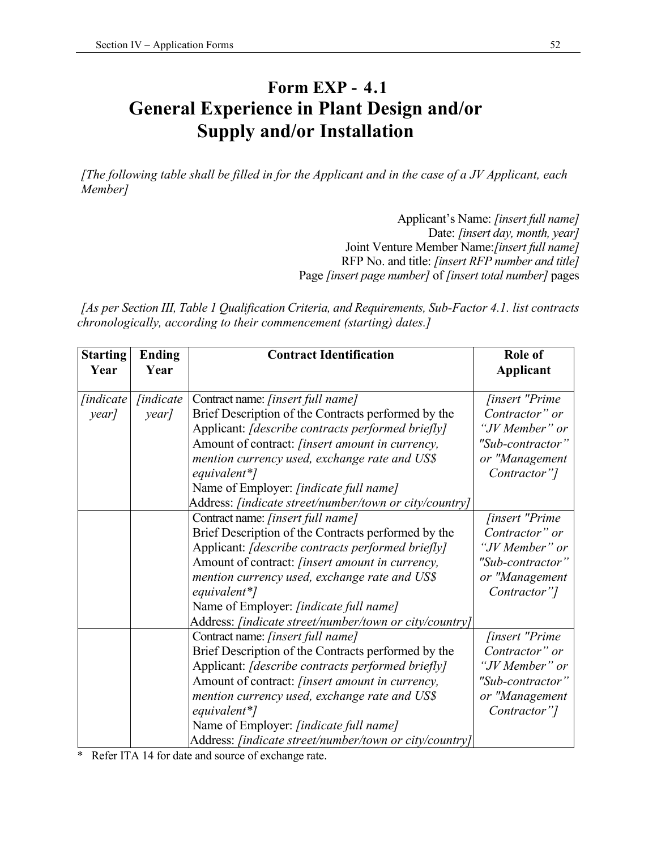### **Form EXP - 4.1 General Experience in Plant Design and/or Supply and/or Installation**

*[The following table shall be filled in for the Applicant and in the case of a JV Applicant, each Member]* 

> Applicant's Name: *[insert full name]*  Date: *[insert day, month, year]*  Joint Venture Member Name:*[insert full name]*  RFP No. and title: *[insert RFP number and title]*  Page *[insert page number]* of *[insert total number]* pages

*[As per Section III, Table 1 Qualification Criteria, and Requirements, Sub-Factor 4.1. list contracts chronologically, according to their commencement (starting) dates.]* 

| <b>Starting</b><br>Year | <b>Ending</b><br>Year | <b>Contract Identification</b>                          | Role of<br><b>Applicant</b> |
|-------------------------|-----------------------|---------------------------------------------------------|-----------------------------|
| <i>[indicate]</i>       | <i>findicate</i>      | Contract name: [insert full name]                       | <i>finsert "Prime</i>       |
| year]                   | year]                 | Brief Description of the Contracts performed by the     | Contractor" or              |
|                         |                       | Applicant: [describe contracts performed briefly]       | "JV Member" or              |
|                         |                       | Amount of contract: <i>[insert amount in currency</i> , | "Sub-contractor"            |
|                         |                       | mention currency used, exchange rate and US\$           | or "Management              |
|                         |                       | equivalent*]                                            | Contractor"]                |
|                         |                       | Name of Employer: [indicate full name]                  |                             |
|                         |                       | Address: [indicate street/number/town or city/country]  |                             |
|                         |                       | Contract name: [insert full name]                       | <i>finsert</i> "Prime"      |
|                         |                       | Brief Description of the Contracts performed by the     | Contractor" or              |
|                         |                       | Applicant: [describe contracts performed briefly]       | "JV Member" or              |
|                         |                       | Amount of contract: <i>[insert amount in currency</i> , | "Sub-contractor"            |
|                         |                       | mention currency used, exchange rate and US\$           | or "Management              |
|                         |                       | equivalent*]                                            | Contractor"]                |
|                         |                       | Name of Employer: [indicate full name]                  |                             |
|                         |                       | Address: [indicate street/number/town or city/country]  |                             |
|                         |                       | Contract name: [insert full name]                       | <i>finsert</i> "Prime"      |
|                         |                       | Brief Description of the Contracts performed by the     | Contractor" or              |
|                         |                       | Applicant: [describe contracts performed briefly]       | "JV Member" or              |
|                         |                       | Amount of contract: <i>[insert amount in currency</i> , | "Sub-contractor"            |
|                         |                       | mention currency used, exchange rate and US\$           | or "Management              |
|                         |                       | equivalent*]                                            | Contractor"]                |
|                         |                       | Name of Employer: [indicate full name]                  |                             |
|                         |                       | Address: [indicate street/number/town or city/country]  |                             |

\* Refer ITA 14 for date and source of exchange rate.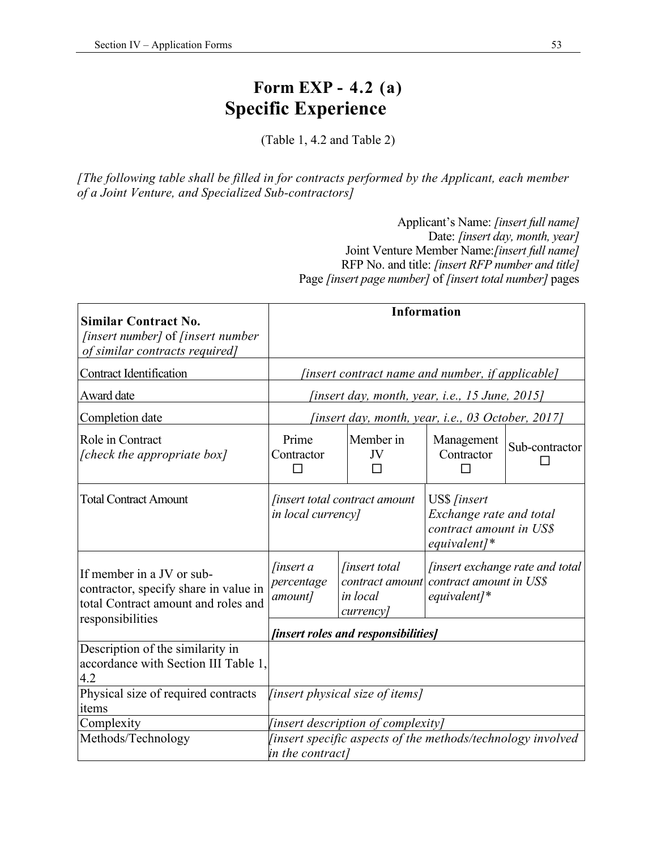### **Form EXP - 4.2 (a) Specific Experience**

(Table 1, 4.2 and Table 2)

*[The following table shall be filled in for contracts performed by the Applicant, each member of a Joint Venture, and Specialized Sub-contractors]* 

> Applicant's Name: *[insert full name]*  Date: *[insert day, month, year]*  Joint Venture Member Name:*[insert full name]*  RFP No. and title: *[insert RFP number and title]*  Page *[insert page number]* of *[insert total number]* pages

| <b>Similar Contract No.</b><br><i>[insert number]</i> of <i>[insert number</i> ]<br>of similar contracts required] |                                                                                  |                                                                  | <b>Information</b>                                                                              |                                        |
|--------------------------------------------------------------------------------------------------------------------|----------------------------------------------------------------------------------|------------------------------------------------------------------|-------------------------------------------------------------------------------------------------|----------------------------------------|
| <b>Contract Identification</b>                                                                                     |                                                                                  | [insert contract name and number, if applicable]                 |                                                                                                 |                                        |
| Award date                                                                                                         |                                                                                  | <i>(insert day, month, year, i.e., 15 June, 2015)</i>            |                                                                                                 |                                        |
| Completion date                                                                                                    |                                                                                  | [insert day, month, year, i.e., 03 October, 2017]                |                                                                                                 |                                        |
| Role in Contract<br>[check the appropriate box]                                                                    | Prime<br>Contractor                                                              | Member in<br>JV                                                  | Management<br>Contractor                                                                        | Sub-contractor                         |
| <b>Total Contract Amount</b>                                                                                       | in local currency]                                                               | <i>finsert total contract amount</i>                             | US\$ [insert<br>Exchange rate and total<br>contract amount in US\$<br>$equivalent$ <sup>*</sup> |                                        |
| If member in a JV or sub-<br>contractor, specify share in value in<br>total Contract amount and roles and          | <i>finsert a</i><br>percentage<br>amount]                                        | <i>finsert total</i><br>contract amount<br>in local<br>currency] | contract amount in US\$<br>$equivalent$ <sup>*</sup>                                            | <i>finsert exchange rate and total</i> |
| responsibilities                                                                                                   |                                                                                  | [insert roles and responsibilities]                              |                                                                                                 |                                        |
| Description of the similarity in<br>accordance with Section III Table 1,<br>4.2                                    |                                                                                  |                                                                  |                                                                                                 |                                        |
| Physical size of required contracts<br>items                                                                       |                                                                                  | [insert physical size of items]                                  |                                                                                                 |                                        |
| Complexity                                                                                                         |                                                                                  | [insert description of complexity]                               |                                                                                                 |                                        |
| Methods/Technology                                                                                                 | [insert specific aspects of the methods/technology involved]<br>in the contract] |                                                                  |                                                                                                 |                                        |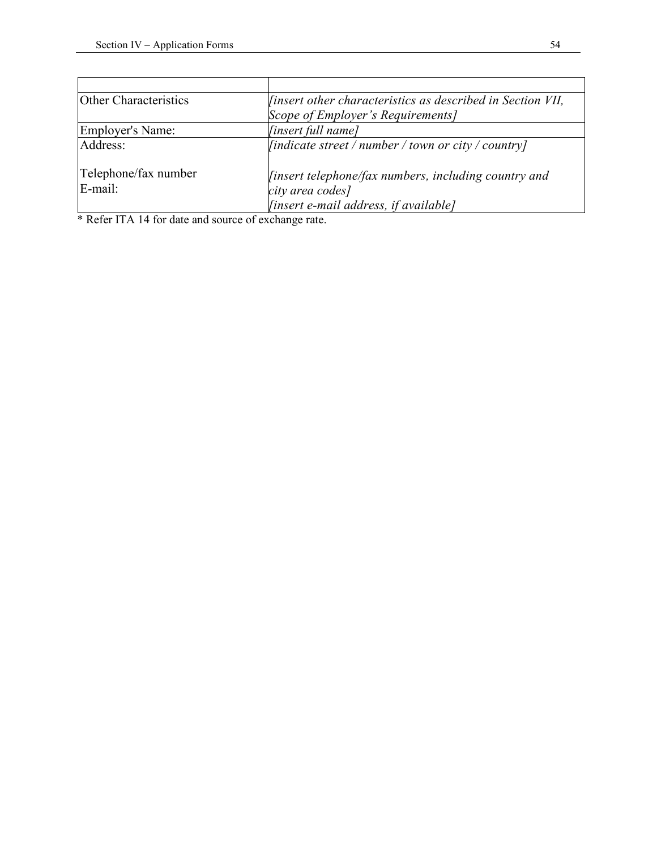| Other Characteristics           | <i>linsert other characteristics as described in Section VII,</i>                                                 |
|---------------------------------|-------------------------------------------------------------------------------------------------------------------|
|                                 | Scope of Employer's Requirements]                                                                                 |
| <b>Employer's Name:</b>         | [insert full name]                                                                                                |
| Address:                        | $\left  \int$ <i>[indicate street / number / town or city / country]</i>                                          |
| Telephone/fax number<br>E-mail: | linsert telephone/fax numbers, including country and<br>city area codes]<br>[insert e-mail address, if available] |

\* Refer ITA 14 for date and source of exchange rate.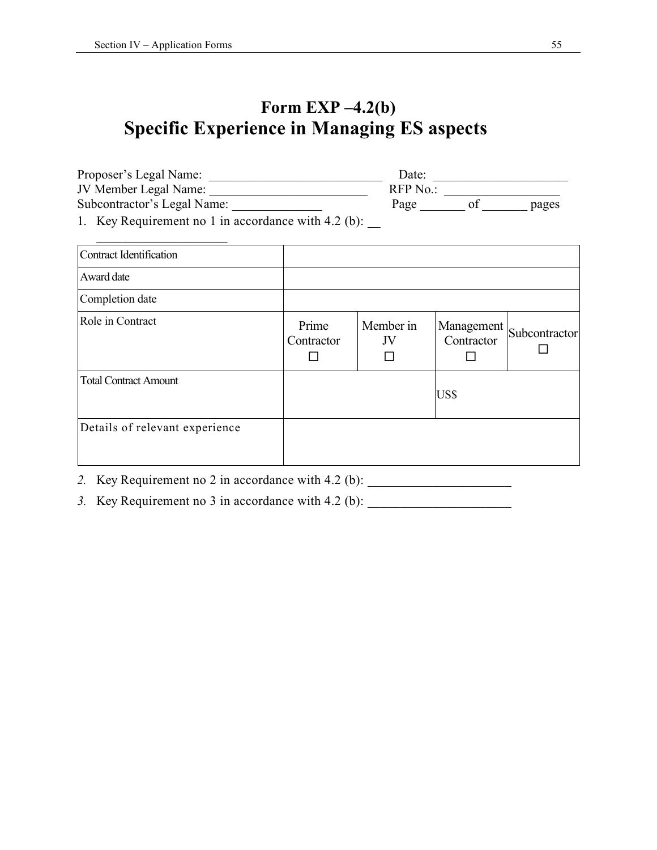### **Form EXP –4.2(b) Specific Experience in Managing ES aspects**

| Proposer's Legal Name:                                                          | Date:   |       |
|---------------------------------------------------------------------------------|---------|-------|
| JV Member Legal Name:                                                           | RFP No. |       |
| Subcontractor's Legal Name:                                                     | Page    | pages |
| $1$ $V_{\alpha V}$ $D_{\alpha \alpha V}$ is a $1$ in accordance with $4.2$ (b). |         |       |

1. Key Requirement no 1 in accordance with 4.2 (b):  $\frac{1}{\sqrt{2\pi}}$ 

| <b>Contract Identification</b> |                     |                 |                          |               |
|--------------------------------|---------------------|-----------------|--------------------------|---------------|
| Award date                     |                     |                 |                          |               |
| Completion date                |                     |                 |                          |               |
| Role in Contract               | Prime<br>Contractor | Member in<br>JV | Management<br>Contractor | Subcontractor |
| <b>Total Contract Amount</b>   |                     |                 | US\$                     |               |
| Details of relevant experience |                     |                 |                          |               |

*2.* Key Requirement no 2 in accordance with 4.2 (b): *\_\_\_\_\_\_\_\_\_\_\_\_\_\_\_\_\_\_\_\_\_\_* 

3. Key Requirement no 3 in accordance with 4.2 (b):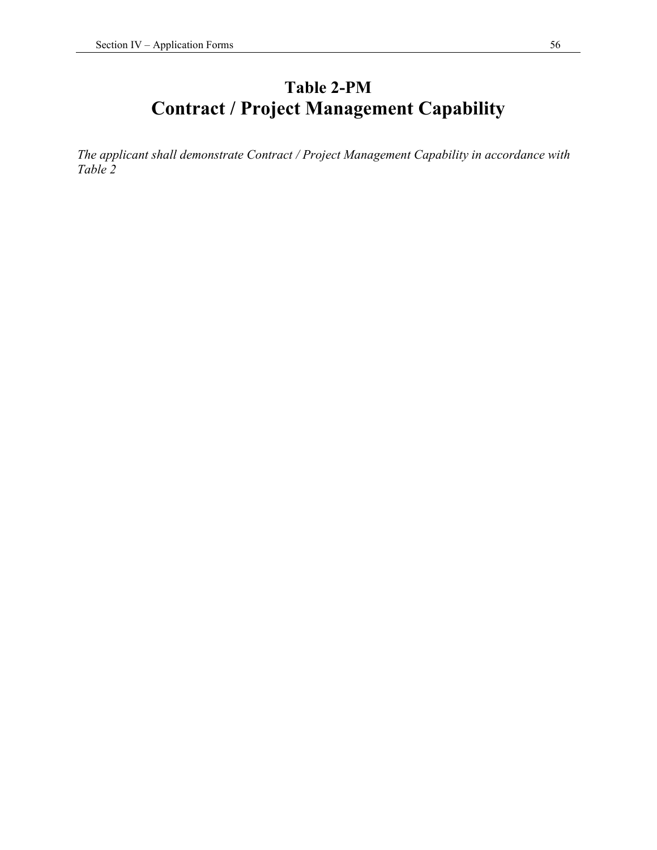### **Table 2-PM Contract / Project Management Capability**

*The applicant shall demonstrate Contract / Project Management Capability in accordance with Table 2*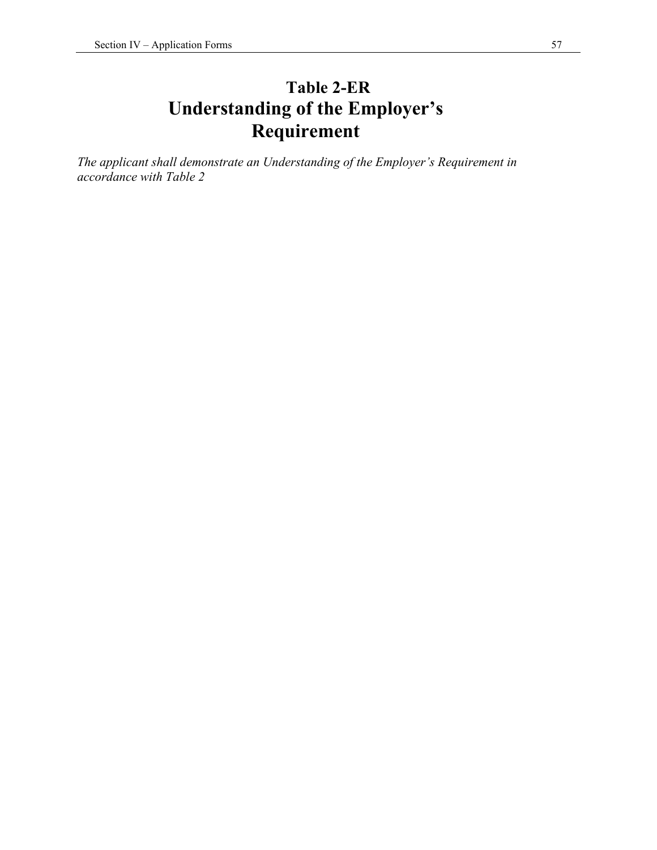### **Table 2-ER Understanding of the Employer's Requirement**

*The applicant shall demonstrate an Understanding of the Employer's Requirement in accordance with Table 2*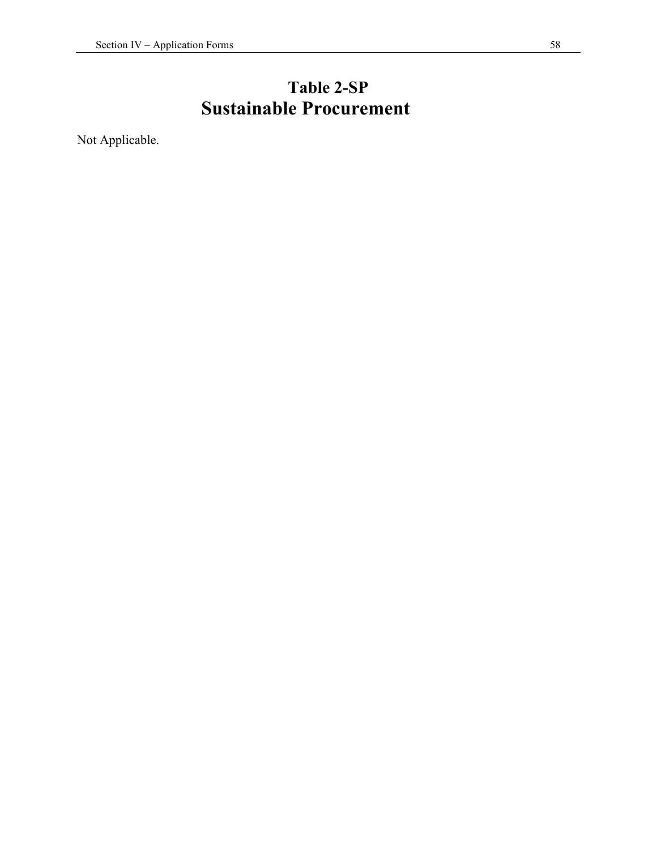### **Table 2-SP Sustainable Procurement**

Not Applicable.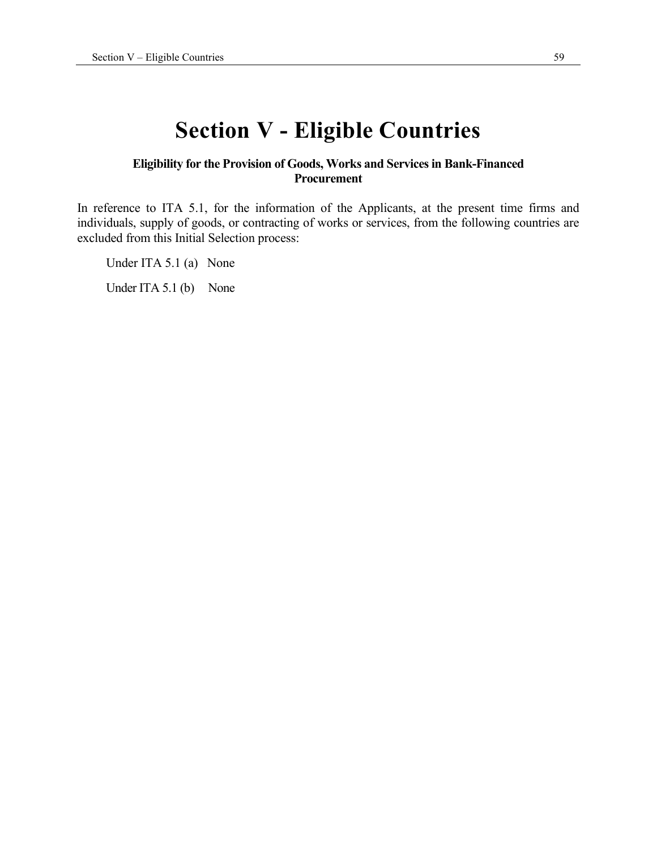## **Section V - Eligible Countries**

#### **Eligibility for the Provision of Goods, Works and Services in Bank-Financed Procurement**

In reference to ITA 5.1, for the information of the Applicants, at the present time firms and individuals, supply of goods, or contracting of works or services, from the following countries are excluded from this Initial Selection process:

Under ITA 5.1 (a) None

Under ITA 5.1 (b) None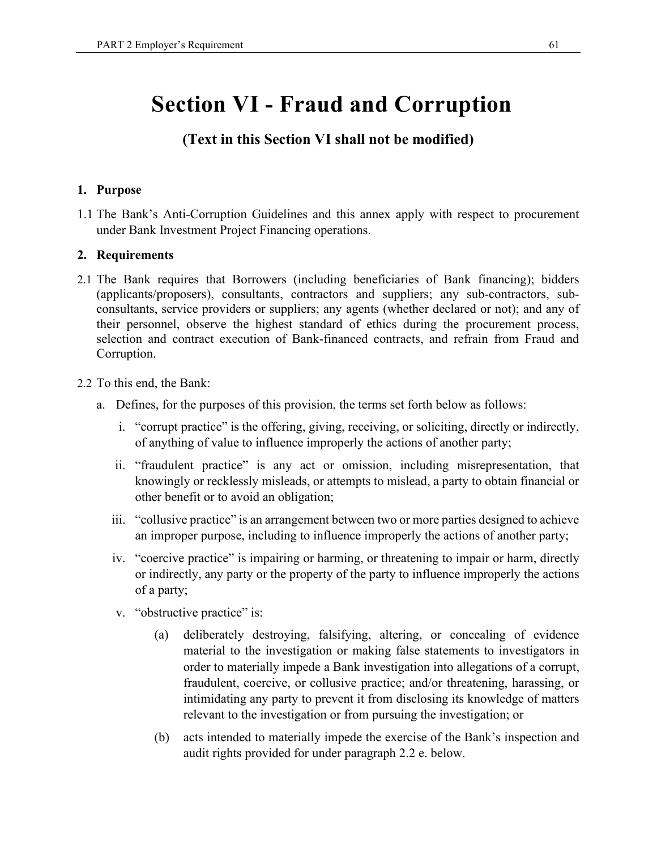## **Section VI - Fraud and Corruption**

#### **(Text in this Section VI shall not be modified)**

#### **1. Purpose**

1.1 The Bank's Anti-Corruption Guidelines and this annex apply with respect to procurement under Bank Investment Project Financing operations.

#### **2. Requirements**

- 2.1 The Bank requires that Borrowers (including beneficiaries of Bank financing); bidders (applicants/proposers), consultants, contractors and suppliers; any sub-contractors, subconsultants, service providers or suppliers; any agents (whether declared or not); and any of their personnel, observe the highest standard of ethics during the procurement process, selection and contract execution of Bank-financed contracts, and refrain from Fraud and Corruption.
- 2.2 To this end, the Bank:
	- a. Defines, for the purposes of this provision, the terms set forth below as follows:
		- i. "corrupt practice" is the offering, giving, receiving, or soliciting, directly or indirectly, of anything of value to influence improperly the actions of another party;
		- ii. "fraudulent practice" is any act or omission, including misrepresentation, that knowingly or recklessly misleads, or attempts to mislead, a party to obtain financial or other benefit or to avoid an obligation;
		- iii. "collusive practice" is an arrangement between two or more parties designed to achieve an improper purpose, including to influence improperly the actions of another party;
		- iv. "coercive practice" is impairing or harming, or threatening to impair or harm, directly or indirectly, any party or the property of the party to influence improperly the actions of a party;
		- v. "obstructive practice" is:
			- (a) deliberately destroying, falsifying, altering, or concealing of evidence material to the investigation or making false statements to investigators in order to materially impede a Bank investigation into allegations of a corrupt, fraudulent, coercive, or collusive practice; and/or threatening, harassing, or intimidating any party to prevent it from disclosing its knowledge of matters relevant to the investigation or from pursuing the investigation; or
			- (b) acts intended to materially impede the exercise of the Bank's inspection and audit rights provided for under paragraph 2.2 e. below.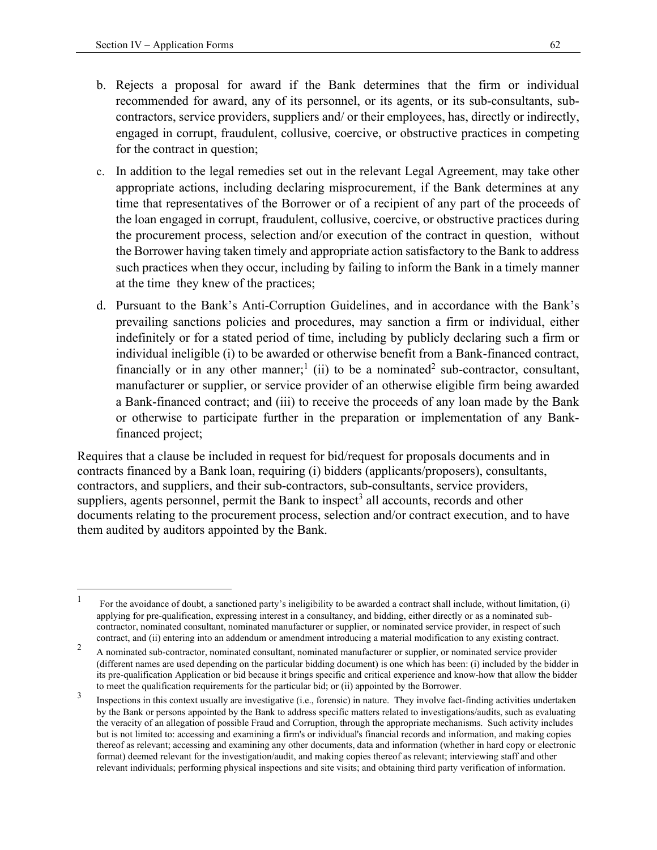- b. Rejects a proposal for award if the Bank determines that the firm or individual recommended for award, any of its personnel, or its agents, or its sub-consultants, subcontractors, service providers, suppliers and/ or their employees, has, directly or indirectly, engaged in corrupt, fraudulent, collusive, coercive, or obstructive practices in competing for the contract in question;
- c. In addition to the legal remedies set out in the relevant Legal Agreement, may take other appropriate actions, including declaring misprocurement, if the Bank determines at any time that representatives of the Borrower or of a recipient of any part of the proceeds of the loan engaged in corrupt, fraudulent, collusive, coercive, or obstructive practices during the procurement process, selection and/or execution of the contract in question, without the Borrower having taken timely and appropriate action satisfactory to the Bank to address such practices when they occur, including by failing to inform the Bank in a timely manner at the time they knew of the practices;
- d. Pursuant to the Bank's Anti-Corruption Guidelines, and in accordance with the Bank's prevailing sanctions policies and procedures, may sanction a firm or individual, either indefinitely or for a stated period of time, including by publicly declaring such a firm or individual ineligible (i) to be awarded or otherwise benefit from a Bank-financed contract, financially or in any other manner;<sup>1</sup> (ii) to be a nominated<sup>2</sup> sub-contractor, consultant, manufacturer or supplier, or service provider of an otherwise eligible firm being awarded a Bank-financed contract; and (iii) to receive the proceeds of any loan made by the Bank or otherwise to participate further in the preparation or implementation of any Bankfinanced project;

Requires that a clause be included in request for bid/request for proposals documents and in contracts financed by a Bank loan, requiring (i) bidders (applicants/proposers), consultants, contractors, and suppliers, and their sub-contractors, sub-consultants, service providers, suppliers, agents personnel, permit the Bank to inspect<sup>3</sup> all accounts, records and other documents relating to the procurement process, selection and/or contract execution, and to have them audited by auditors appointed by the Bank.

<sup>1</sup> For the avoidance of doubt, a sanctioned party's ineligibility to be awarded a contract shall include, without limitation, (i) applying for pre-qualification, expressing interest in a consultancy, and bidding, either directly or as a nominated subcontractor, nominated consultant, nominated manufacturer or supplier, or nominated service provider, in respect of such contract, and (ii) entering into an addendum or amendment introducing a material modification to any existing contract.

 $\mathfrak{D}$  A nominated sub-contractor, nominated consultant, nominated manufacturer or supplier, or nominated service provider (different names are used depending on the particular bidding document) is one which has been: (i) included by the bidder in its pre-qualification Application or bid because it brings specific and critical experience and know-how that allow the bidder to meet the qualification requirements for the particular bid; or (ii) appointed by the Borrower.

<sup>3</sup> Inspections in this context usually are investigative (i.e., forensic) in nature. They involve fact-finding activities undertaken by the Bank or persons appointed by the Bank to address specific matters related to investigations/audits, such as evaluating the veracity of an allegation of possible Fraud and Corruption, through the appropriate mechanisms. Such activity includes but is not limited to: accessing and examining a firm's or individual's financial records and information, and making copies thereof as relevant; accessing and examining any other documents, data and information (whether in hard copy or electronic format) deemed relevant for the investigation/audit, and making copies thereof as relevant; interviewing staff and other relevant individuals; performing physical inspections and site visits; and obtaining third party verification of information.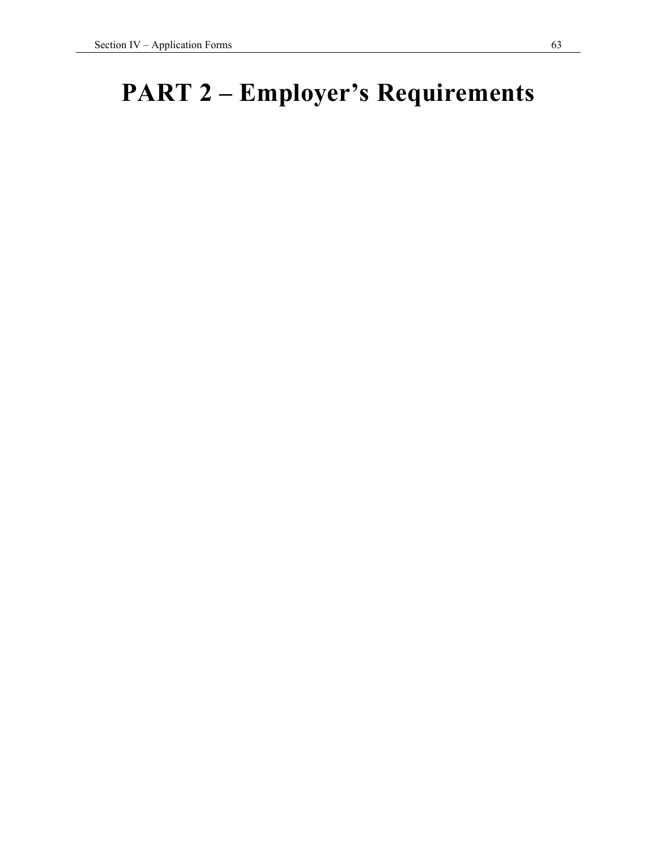# **PART 2 – Employer's Requirements**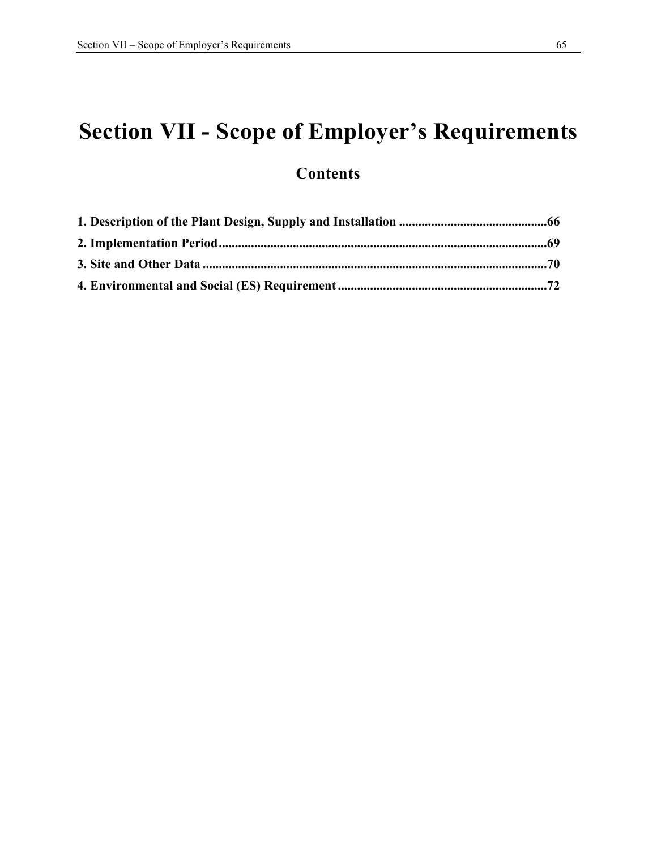# **Section VII - Scope of Employer's Requirements**

### **Contents**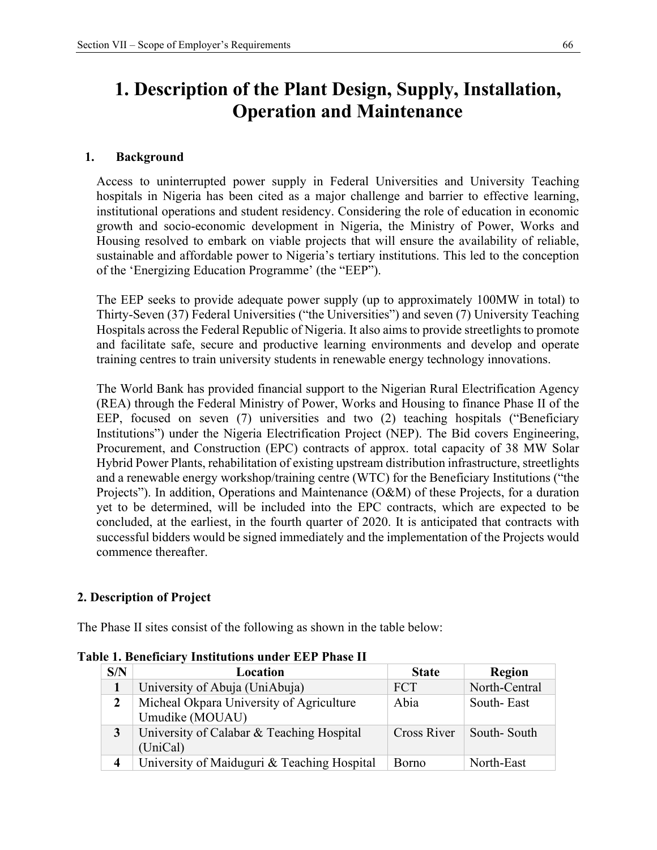### **1. Description of the Plant Design, Supply, Installation, Operation and Maintenance**

#### **1. Background**

Access to uninterrupted power supply in Federal Universities and University Teaching hospitals in Nigeria has been cited as a major challenge and barrier to effective learning, institutional operations and student residency. Considering the role of education in economic growth and socio-economic development in Nigeria, the Ministry of Power, Works and Housing resolved to embark on viable projects that will ensure the availability of reliable, sustainable and affordable power to Nigeria's tertiary institutions. This led to the conception of the 'Energizing Education Programme' (the "EEP").

The EEP seeks to provide adequate power supply (up to approximately 100MW in total) to Thirty-Seven (37) Federal Universities ("the Universities") and seven (7) University Teaching Hospitals across the Federal Republic of Nigeria. It also aims to provide streetlights to promote and facilitate safe, secure and productive learning environments and develop and operate training centres to train university students in renewable energy technology innovations.

The World Bank has provided financial support to the Nigerian Rural Electrification Agency (REA) through the Federal Ministry of Power, Works and Housing to finance Phase II of the EEP, focused on seven (7) universities and two (2) teaching hospitals ("Beneficiary Institutions") under the Nigeria Electrification Project (NEP). The Bid covers Engineering, Procurement, and Construction (EPC) contracts of approx. total capacity of 38 MW Solar Hybrid Power Plants, rehabilitation of existing upstream distribution infrastructure, streetlights and a renewable energy workshop/training centre (WTC) for the Beneficiary Institutions ("the Projects"). In addition, Operations and Maintenance (O&M) of these Projects, for a duration yet to be determined, will be included into the EPC contracts, which are expected to be concluded, at the earliest, in the fourth quarter of 2020. It is anticipated that contracts with successful bidders would be signed immediately and the implementation of the Projects would commence thereafter.

#### **2. Description of Project**

The Phase II sites consist of the following as shown in the table below:

| S/N | Location                                                    | <b>State</b> | Region        |
|-----|-------------------------------------------------------------|--------------|---------------|
|     | University of Abuja (UniAbuja)                              | <b>FCT</b>   | North-Central |
|     | Micheal Okpara University of Agriculture<br>Umudike (MOUAU) | Abia         | South-East    |
|     | University of Calabar & Teaching Hospital<br>(UniCal)       | Cross River  | South-South   |
| 4   | University of Maiduguri & Teaching Hospital                 | <b>Borno</b> | North-East    |

**Table 1. Beneficiary Institutions under EEP Phase II**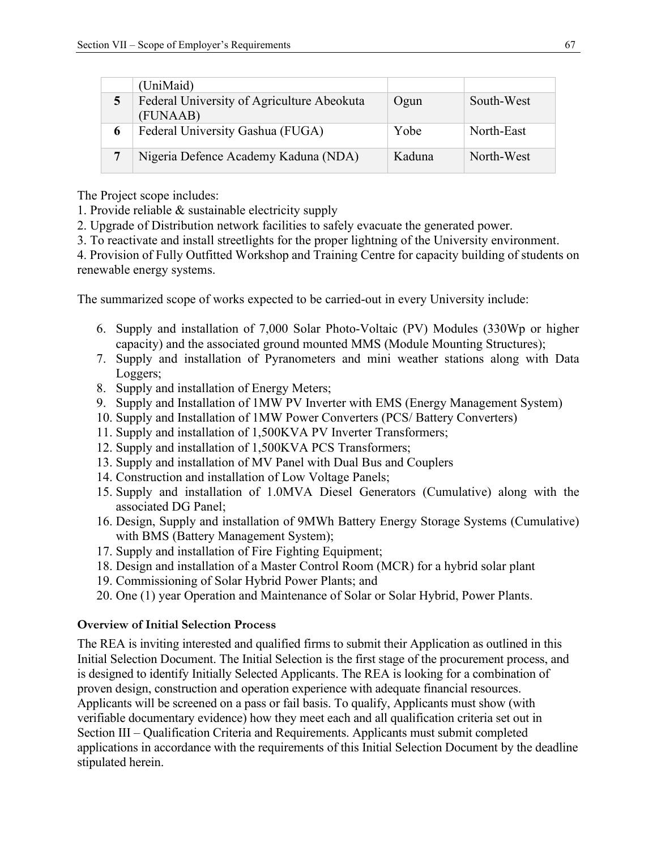|                | (UniMaid)                                              |        |            |
|----------------|--------------------------------------------------------|--------|------------|
| 5              | Federal University of Agriculture Abeokuta<br>(FUNAAB) | Ogun   | South-West |
| 6              | Federal University Gashua (FUGA)                       | Yobe   | North-East |
| $\overline{7}$ | Nigeria Defence Academy Kaduna (NDA)                   | Kaduna | North-West |

The Project scope includes:

1. Provide reliable & sustainable electricity supply

2. Upgrade of Distribution network facilities to safely evacuate the generated power.

3. To reactivate and install streetlights for the proper lightning of the University environment.

4. Provision of Fully Outfitted Workshop and Training Centre for capacity building of students on renewable energy systems.

The summarized scope of works expected to be carried-out in every University include:

- 6. Supply and installation of 7,000 Solar Photo-Voltaic (PV) Modules (330Wp or higher capacity) and the associated ground mounted MMS (Module Mounting Structures);
- 7. Supply and installation of Pyranometers and mini weather stations along with Data Loggers;
- 8. Supply and installation of Energy Meters;
- 9. Supply and Installation of 1MW PV Inverter with EMS (Energy Management System)
- 10. Supply and Installation of 1MW Power Converters (PCS/ Battery Converters)
- 11. Supply and installation of 1,500KVA PV Inverter Transformers;
- 12. Supply and installation of 1,500KVA PCS Transformers;
- 13. Supply and installation of MV Panel with Dual Bus and Couplers
- 14. Construction and installation of Low Voltage Panels;
- 15. Supply and installation of 1.0MVA Diesel Generators (Cumulative) along with the associated DG Panel;
- 16. Design, Supply and installation of 9MWh Battery Energy Storage Systems (Cumulative) with BMS (Battery Management System);
- 17. Supply and installation of Fire Fighting Equipment;
- 18. Design and installation of a Master Control Room (MCR) for a hybrid solar plant
- 19. Commissioning of Solar Hybrid Power Plants; and
- 20. One (1) year Operation and Maintenance of Solar or Solar Hybrid, Power Plants.

#### **Overview of Initial Selection Process**

The REA is inviting interested and qualified firms to submit their Application as outlined in this Initial Selection Document. The Initial Selection is the first stage of the procurement process, and is designed to identify Initially Selected Applicants. The REA is looking for a combination of proven design, construction and operation experience with adequate financial resources. Applicants will be screened on a pass or fail basis. To qualify, Applicants must show (with verifiable documentary evidence) how they meet each and all qualification criteria set out in Section III – Qualification Criteria and Requirements. Applicants must submit completed applications in accordance with the requirements of this Initial Selection Document by the deadline stipulated herein.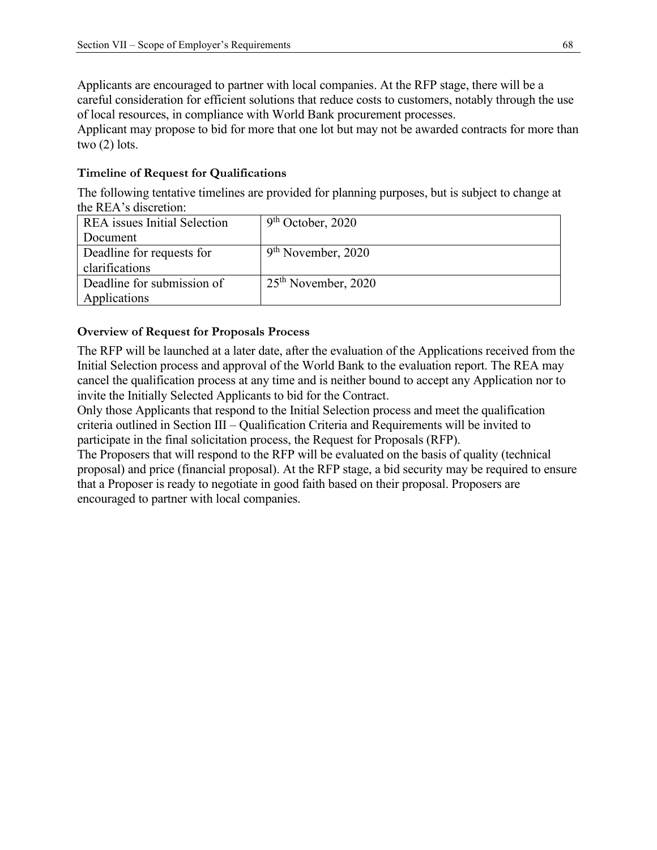Applicants are encouraged to partner with local companies. At the RFP stage, there will be a careful consideration for efficient solutions that reduce costs to customers, notably through the use of local resources, in compliance with World Bank procurement processes.

Applicant may propose to bid for more that one lot but may not be awarded contracts for more than two (2) lots.

#### **Timeline of Request for Qualifications**

The following tentative timelines are provided for planning purposes, but is subject to change at the REA's discretion:

| <b>REA</b> issues Initial Selection | $9th$ October, 2020   |
|-------------------------------------|-----------------------|
| Document                            |                       |
| Deadline for requests for           | $9th$ November, 2020  |
| clarifications                      |                       |
| Deadline for submission of          | $25th$ November, 2020 |
| Applications                        |                       |

#### **Overview of Request for Proposals Process**

The RFP will be launched at a later date, after the evaluation of the Applications received from the Initial Selection process and approval of the World Bank to the evaluation report. The REA may cancel the qualification process at any time and is neither bound to accept any Application nor to invite the Initially Selected Applicants to bid for the Contract.

Only those Applicants that respond to the Initial Selection process and meet the qualification criteria outlined in Section III – Qualification Criteria and Requirements will be invited to participate in the final solicitation process, the Request for Proposals (RFP).

The Proposers that will respond to the RFP will be evaluated on the basis of quality (technical proposal) and price (financial proposal). At the RFP stage, a bid security may be required to ensure that a Proposer is ready to negotiate in good faith based on their proposal. Proposers are encouraged to partner with local companies.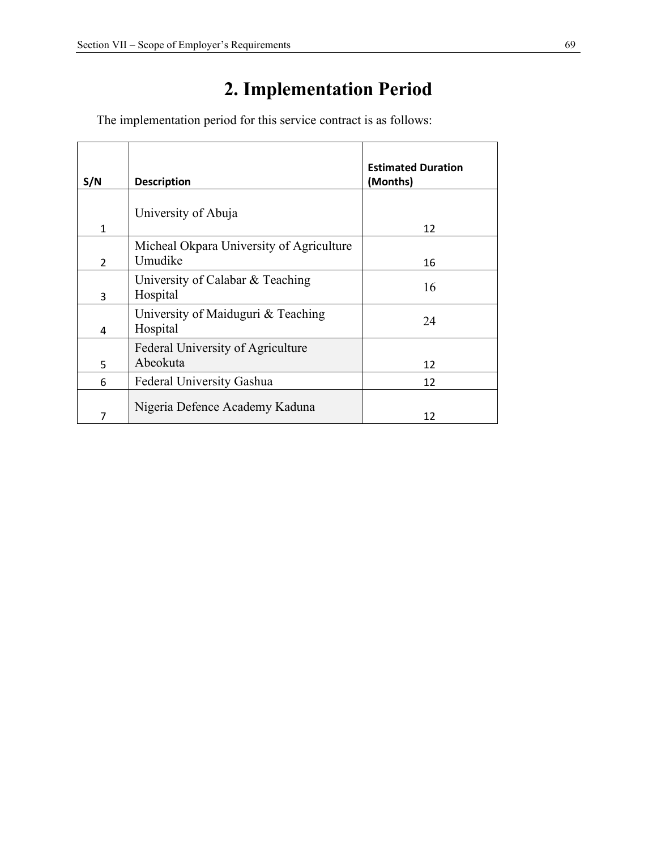## **2. Implementation Period**

The implementation period for this service contract is as follows:

| S/N            | <b>Description</b>                                  | <b>Estimated Duration</b><br>(Months) |
|----------------|-----------------------------------------------------|---------------------------------------|
| $\mathbf{1}$   | University of Abuja                                 | 12                                    |
| $\overline{2}$ | Micheal Okpara University of Agriculture<br>Umudike | 16                                    |
| 3              | University of Calabar & Teaching<br>Hospital        | 16                                    |
| 4              | University of Maiduguri & Teaching<br>Hospital      | 24                                    |
| 5              | Federal University of Agriculture<br>Abeokuta       | 12                                    |
| 6              | Federal University Gashua                           | 12                                    |
| 7              | Nigeria Defence Academy Kaduna                      | 12                                    |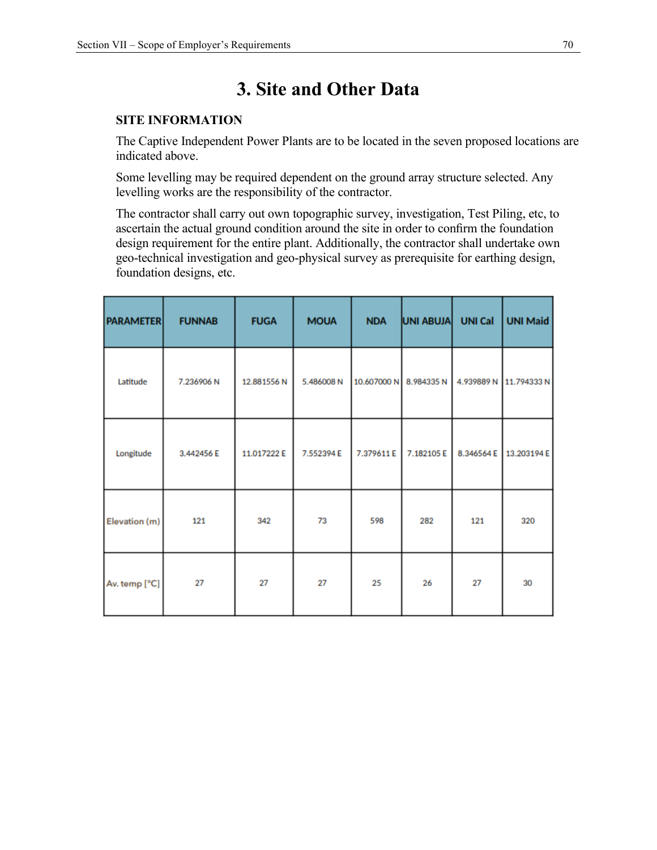### **3. Site and Other Data**

#### **SITE INFORMATION**

The Captive Independent Power Plants are to be located in the seven proposed locations are indicated above.

Some levelling may be required dependent on the ground array structure selected. Any levelling works are the responsibility of the contractor.

The contractor shall carry out own topographic survey, investigation, Test Piling, etc, to ascertain the actual ground condition around the site in order to confirm the foundation design requirement for the entire plant. Additionally, the contractor shall undertake own geo-technical investigation and geo-physical survey as prerequisite for earthing design, foundation designs, etc.

| <b>PARAMETER</b> | <b>FUNNAB</b> | <b>FUGA</b> | <b>MOUA</b> | <b>NDA</b>  | UNI ABUJA | <b>UNI Cal</b> | <b>UNI Maid</b> |
|------------------|---------------|-------------|-------------|-------------|-----------|----------------|-----------------|
| Latitude         | 7.236906N     | 12.881556N  | 5.486008N   | 10.607000 N | 8.984335N | 4.939889 N     | 11.794333N      |
| Longitude        | 3.442456 E    | 11.017222 E | 7.552394 E  | 7.379611E   | 7.182105E | 8.346564 E     | 13.203194 E     |
| Elevation (m)    | 121           | 342         | 73          | 598         | 282       | 121            | 320             |
| Av. temp [°C]    | 27            | 27          | 27          | 25          | 26        | 27             | 30              |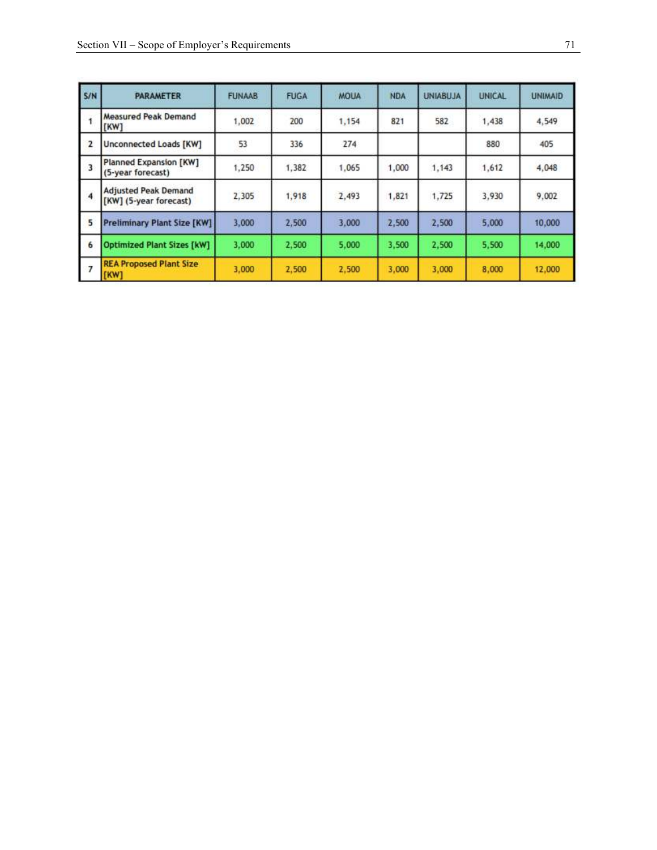| S/N                     | <b>PARAMETER</b>                                      | <b>FUNAAB</b> | <b>FUGA</b> | <b>MOUA</b> | <b>NDA</b> | <b>UNIABUJA</b> | <b>UNICAL</b> | <b>UNIMAID</b> |
|-------------------------|-------------------------------------------------------|---------------|-------------|-------------|------------|-----------------|---------------|----------------|
| 1                       | <b>Measured Peak Demand</b><br>[KW]                   | 1.002         | 200         | 1,154       | 821        | 582             | 1,438         | 4,549          |
| $\overline{2}$          | <b>Unconnected Loads [KW]</b>                         | 53            | 336         | 274         |            |                 | 880           | 405            |
| $\overline{\mathbf{3}}$ | <b>Planned Expansion [KW]</b><br>(5-year forecast)    | 1,250         | 1.382       | 1,065       | 1,000      | 1.143           | 1,612         | 4.048          |
| $\overline{4}$          | <b>Adjusted Peak Demand</b><br>[KW] (5-year forecast) | 2,305         | 1,918       | 2,493       | 1,821      | 1.725           | 3,930         | 9,002          |
| 5                       | <b>Preliminary Plant Size [KW]</b>                    | 3,000         | 2,500       | 3.000       | 2,500      | 2,500           | 5.000         | 10,000         |
| 6                       | <b>Optimized Plant Sizes [kW]</b>                     | 3.000         | 2,500       | 5,000       | 3.500      | 2.500           | 5,500         | 14,000         |
| $\overline{7}$          | <b>REA Proposed Plant Size</b><br>[KW]                | 3,000         | 2,500       | 2,500       | 3,000      | 3.000           | 8,000         | 12,000         |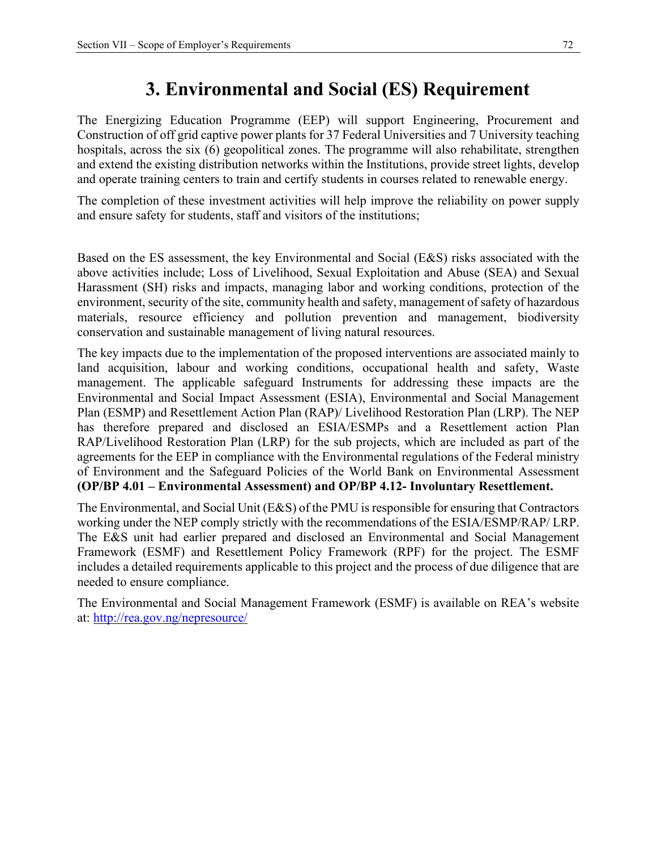## **3. Environmental and Social (ES) Requirement**

The Energizing Education Programme (EEP) will support Engineering, Procurement and Construction of off grid captive power plants for 37 Federal Universities and 7 University teaching hospitals, across the six (6) geopolitical zones. The programme will also rehabilitate, strengthen and extend the existing distribution networks within the Institutions, provide street lights, develop and operate training centers to train and certify students in courses related to renewable energy.

The completion of these investment activities will help improve the reliability on power supply and ensure safety for students, staff and visitors of the institutions;

Based on the ES assessment, the key Environmental and Social (E&S) risks associated with the above activities include; Loss of Livelihood, Sexual Exploitation and Abuse (SEA) and Sexual Harassment (SH) risks and impacts, managing labor and working conditions, protection of the environment, security of the site, community health and safety, management of safety of hazardous materials, resource efficiency and pollution prevention and management, biodiversity conservation and sustainable management of living natural resources.

The key impacts due to the implementation of the proposed interventions are associated mainly to land acquisition, labour and working conditions, occupational health and safety, Waste management. The applicable safeguard Instruments for addressing these impacts are the Environmental and Social Impact Assessment (ESIA), Environmental and Social Management Plan (ESMP) and Resettlement Action Plan (RAP)/ Livelihood Restoration Plan (LRP). The NEP has therefore prepared and disclosed an ESIA/ESMPs and a Resettlement action Plan RAP/Livelihood Restoration Plan (LRP) for the sub projects, which are included as part of the agreements for the EEP in compliance with the Environmental regulations of the Federal ministry of Environment and the Safeguard Policies of the World Bank on Environmental Assessment **(OP/BP 4.01 – Environmental Assessment) and OP/BP 4.12- Involuntary Resettlement.** 

The Environmental, and Social Unit (E&S) of the PMU is responsible for ensuring that Contractors working under the NEP comply strictly with the recommendations of the ESIA/ESMP/RAP/ LRP. The E&S unit had earlier prepared and disclosed an Environmental and Social Management Framework (ESMF) and Resettlement Policy Framework (RPF) for the project. The ESMF includes a detailed requirements applicable to this project and the process of due diligence that are needed to ensure compliance.

The Environmental and Social Management Framework (ESMF) is available on REA's website at: http://rea.gov.ng/nepresource/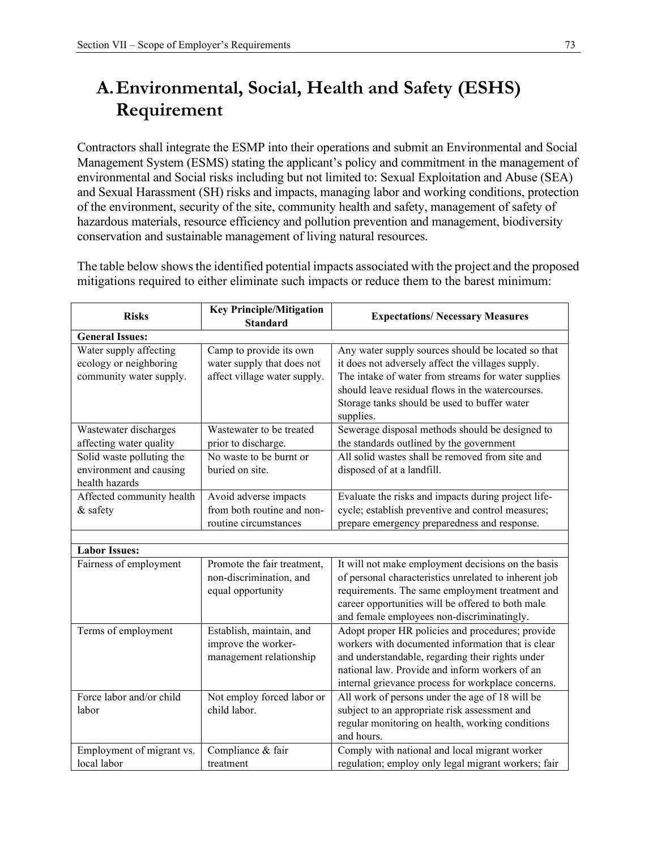## **A.Environmental, Social, Health and Safety (ESHS) Requirement**

Contractors shall integrate the ESMP into their operations and submit an Environmental and Social Management System (ESMS) stating the applicant's policy and commitment in the management of environmental and Social risks including but not limited to: Sexual Exploitation and Abuse (SEA) and Sexual Harassment (SH) risks and impacts, managing labor and working conditions, protection of the environment, security of the site, community health and safety, management of safety of hazardous materials, resource efficiency and pollution prevention and management, biodiversity conservation and sustainable management of living natural resources.

The table below shows the identified potential impacts associated with the project and the proposed mitigations required to either eliminate such impacts or reduce them to the barest minimum:

| <b>Risks</b>                                                                | <b>Key Principle/Mitigation</b><br><b>Standard</b>                                    | <b>Expectations/ Necessary Measures</b>                                                                                                                                                                                                                                         |
|-----------------------------------------------------------------------------|---------------------------------------------------------------------------------------|---------------------------------------------------------------------------------------------------------------------------------------------------------------------------------------------------------------------------------------------------------------------------------|
| <b>General Issues:</b>                                                      |                                                                                       |                                                                                                                                                                                                                                                                                 |
| Water supply affecting<br>ecology or neighboring<br>community water supply. | Camp to provide its own<br>water supply that does not<br>affect village water supply. | Any water supply sources should be located so that<br>it does not adversely affect the villages supply.<br>The intake of water from streams for water supplies<br>should leave residual flows in the watercourses.<br>Storage tanks should be used to buffer water<br>supplies. |
| Wastewater discharges<br>affecting water quality                            | Wastewater to be treated<br>prior to discharge.                                       | Sewerage disposal methods should be designed to<br>the standards outlined by the government                                                                                                                                                                                     |
| Solid waste polluting the<br>environment and causing<br>health hazards      | No waste to be burnt or<br>buried on site.                                            | All solid wastes shall be removed from site and<br>disposed of at a landfill.                                                                                                                                                                                                   |
| Affected community health<br>& safety                                       | Avoid adverse impacts<br>from both routine and non-<br>routine circumstances          | Evaluate the risks and impacts during project life-<br>cycle; establish preventive and control measures;<br>prepare emergency preparedness and response.                                                                                                                        |
|                                                                             |                                                                                       |                                                                                                                                                                                                                                                                                 |
| <b>Labor Issues:</b>                                                        |                                                                                       |                                                                                                                                                                                                                                                                                 |
| Fairness of employment                                                      | Promote the fair treatment,<br>non-discrimination, and<br>equal opportunity           | It will not make employment decisions on the basis<br>of personal characteristics unrelated to inherent job<br>requirements. The same employment treatment and<br>career opportunities will be offered to both male<br>and female employees non-discriminatingly.               |
| Terms of employment                                                         | Establish, maintain, and<br>improve the worker-<br>management relationship            | Adopt proper HR policies and procedures; provide<br>workers with documented information that is clear<br>and understandable, regarding their rights under<br>national law. Provide and inform workers of an<br>internal grievance process for workplace concerns.               |
| Force labor and/or child<br>labor                                           | Not employ forced labor or<br>child labor.                                            | All work of persons under the age of 18 will be<br>subject to an appropriate risk assessment and<br>regular monitoring on health, working conditions<br>and hours.                                                                                                              |
| Employment of migrant vs.<br>local labor                                    | Compliance & fair<br>treatment                                                        | Comply with national and local migrant worker<br>regulation; employ only legal migrant workers; fair                                                                                                                                                                            |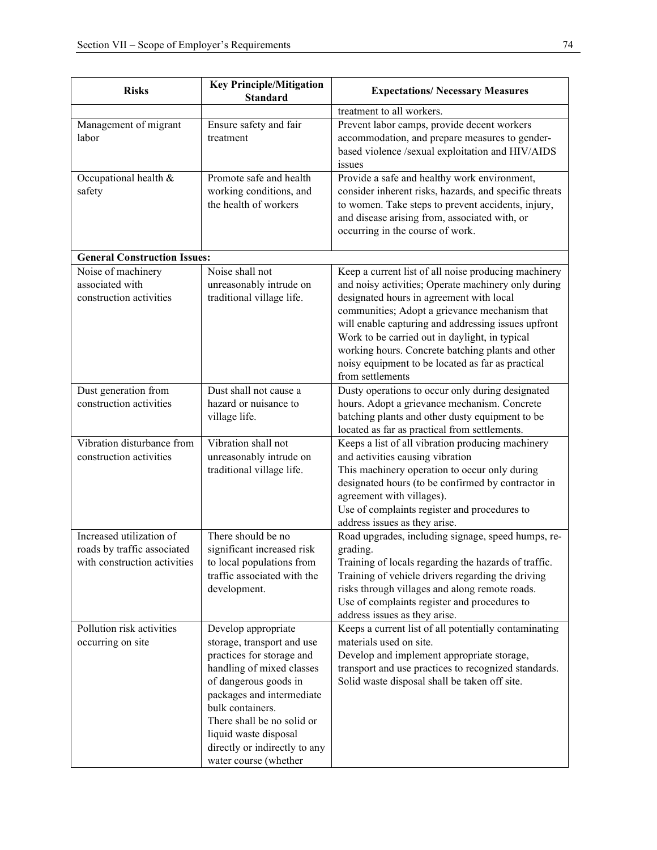| <b>Risks</b>                                                                            | <b>Key Principle/Mitigation</b><br><b>Standard</b>                                                                                                                                                                                                                                                     | <b>Expectations/ Necessary Measures</b>                                                                                                                                                                                                                                                                                                                                                                                                         |
|-----------------------------------------------------------------------------------------|--------------------------------------------------------------------------------------------------------------------------------------------------------------------------------------------------------------------------------------------------------------------------------------------------------|-------------------------------------------------------------------------------------------------------------------------------------------------------------------------------------------------------------------------------------------------------------------------------------------------------------------------------------------------------------------------------------------------------------------------------------------------|
|                                                                                         |                                                                                                                                                                                                                                                                                                        | treatment to all workers.                                                                                                                                                                                                                                                                                                                                                                                                                       |
| Management of migrant<br>labor                                                          | Ensure safety and fair<br>treatment                                                                                                                                                                                                                                                                    | Prevent labor camps, provide decent workers<br>accommodation, and prepare measures to gender-<br>based violence /sexual exploitation and HIV/AIDS<br>issues                                                                                                                                                                                                                                                                                     |
| Occupational health &<br>safety                                                         | Promote safe and health<br>working conditions, and<br>the health of workers                                                                                                                                                                                                                            | Provide a safe and healthy work environment,<br>consider inherent risks, hazards, and specific threats<br>to women. Take steps to prevent accidents, injury,<br>and disease arising from, associated with, or<br>occurring in the course of work.                                                                                                                                                                                               |
| <b>General Construction Issues:</b>                                                     |                                                                                                                                                                                                                                                                                                        |                                                                                                                                                                                                                                                                                                                                                                                                                                                 |
| Noise of machinery<br>associated with<br>construction activities                        | Noise shall not<br>unreasonably intrude on<br>traditional village life.                                                                                                                                                                                                                                | Keep a current list of all noise producing machinery<br>and noisy activities; Operate machinery only during<br>designated hours in agreement with local<br>communities; Adopt a grievance mechanism that<br>will enable capturing and addressing issues upfront<br>Work to be carried out in daylight, in typical<br>working hours. Concrete batching plants and other<br>noisy equipment to be located as far as practical<br>from settlements |
| Dust generation from<br>construction activities                                         | Dust shall not cause a<br>hazard or nuisance to<br>village life.                                                                                                                                                                                                                                       | Dusty operations to occur only during designated<br>hours. Adopt a grievance mechanism. Concrete<br>batching plants and other dusty equipment to be<br>located as far as practical from settlements.                                                                                                                                                                                                                                            |
| Vibration disturbance from<br>construction activities                                   | Vibration shall not<br>unreasonably intrude on<br>traditional village life.                                                                                                                                                                                                                            | Keeps a list of all vibration producing machinery<br>and activities causing vibration<br>This machinery operation to occur only during<br>designated hours (to be confirmed by contractor in<br>agreement with villages).<br>Use of complaints register and procedures to<br>address issues as they arise.                                                                                                                                      |
| Increased utilization of<br>roads by traffic associated<br>with construction activities | There should be no<br>significant increased risk<br>to local populations from<br>traffic associated with the<br>development.                                                                                                                                                                           | Road upgrades, including signage, speed humps, re-<br>grading.<br>Training of locals regarding the hazards of traffic.<br>Training of vehicle drivers regarding the driving<br>risks through villages and along remote roads.<br>Use of complaints register and procedures to<br>address issues as they arise.                                                                                                                                  |
| Pollution risk activities<br>occurring on site                                          | Develop appropriate<br>storage, transport and use<br>practices for storage and<br>handling of mixed classes<br>of dangerous goods in<br>packages and intermediate<br>bulk containers.<br>There shall be no solid or<br>liquid waste disposal<br>directly or indirectly to any<br>water course (whether | Keeps a current list of all potentially contaminating<br>materials used on site.<br>Develop and implement appropriate storage,<br>transport and use practices to recognized standards.<br>Solid waste disposal shall be taken off site.                                                                                                                                                                                                         |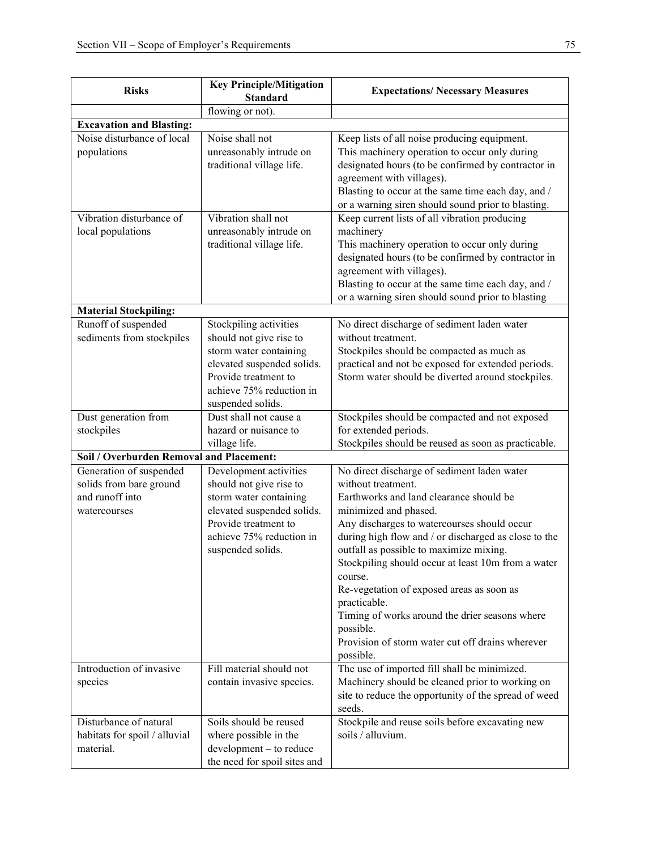| flowing or not).<br><b>Excavation and Blasting:</b><br>Noise disturbance of local<br>Noise shall not<br>Keep lists of all noise producing equipment.<br>unreasonably intrude on<br>This machinery operation to occur only during<br>populations<br>designated hours (to be confirmed by contractor in<br>traditional village life.<br>agreement with villages).<br>Blasting to occur at the same time each day, and /<br>or a warning siren should sound prior to blasting.<br>Vibration disturbance of<br>Vibration shall not<br>Keep current lists of all vibration producing<br>local populations<br>unreasonably intrude on<br>machinery<br>traditional village life.<br>This machinery operation to occur only during<br>designated hours (to be confirmed by contractor in<br>agreement with villages).<br>Blasting to occur at the same time each day, and /<br>or a warning siren should sound prior to blasting<br><b>Material Stockpiling:</b><br>Runoff of suspended<br>Stockpiling activities<br>No direct discharge of sediment laden water<br>sediments from stockpiles<br>should not give rise to<br>without treatment.<br>storm water containing<br>Stockpiles should be compacted as much as<br>practical and not be exposed for extended periods.<br>elevated suspended solids.<br>Provide treatment to<br>Storm water should be diverted around stockpiles.<br>achieve 75% reduction in<br>suspended solids.<br>Dust generation from<br>Dust shall not cause a<br>Stockpiles should be compacted and not exposed<br>for extended periods.<br>hazard or nuisance to<br>stockpiles<br>village life.<br>Stockpiles should be reused as soon as practicable.<br>Soil / Overburden Removal and Placement:<br>Generation of suspended<br>Development activities<br>No direct discharge of sediment laden water<br>solids from bare ground<br>should not give rise to<br>without treatment.<br>and runoff into<br>storm water containing<br>Earthworks and land clearance should be<br>elevated suspended solids.<br>minimized and phased.<br>watercourses<br>Provide treatment to<br>Any discharges to watercourses should occur<br>achieve 75% reduction in<br>during high flow and / or discharged as close to the<br>outfall as possible to maximize mixing.<br>suspended solids.<br>Stockpiling should occur at least 10m from a water<br>course.<br>Re-vegetation of exposed areas as soon as<br>practicable.<br>Timing of works around the drier seasons where<br>possible.<br>Provision of storm water cut off drains wherever<br>possible.<br>Introduction of invasive<br>Fill material should not<br>The use of imported fill shall be minimized.<br>Machinery should be cleaned prior to working on<br>species<br>contain invasive species.<br>site to reduce the opportunity of the spread of weed<br>seeds.<br>Disturbance of natural<br>Soils should be reused<br>Stockpile and reuse soils before excavating new<br>soils / alluvium.<br>habitats for spoil / alluvial<br>where possible in the<br>material.<br>development - to reduce | <b>Risks</b> | <b>Key Principle/Mitigation</b> | <b>Expectations/ Necessary Measures</b> |  |  |
|--------------------------------------------------------------------------------------------------------------------------------------------------------------------------------------------------------------------------------------------------------------------------------------------------------------------------------------------------------------------------------------------------------------------------------------------------------------------------------------------------------------------------------------------------------------------------------------------------------------------------------------------------------------------------------------------------------------------------------------------------------------------------------------------------------------------------------------------------------------------------------------------------------------------------------------------------------------------------------------------------------------------------------------------------------------------------------------------------------------------------------------------------------------------------------------------------------------------------------------------------------------------------------------------------------------------------------------------------------------------------------------------------------------------------------------------------------------------------------------------------------------------------------------------------------------------------------------------------------------------------------------------------------------------------------------------------------------------------------------------------------------------------------------------------------------------------------------------------------------------------------------------------------------------------------------------------------------------------------------------------------------------------------------------------------------------------------------------------------------------------------------------------------------------------------------------------------------------------------------------------------------------------------------------------------------------------------------------------------------------------------------------------------------------------------------------------------------------------------------------------------------------------------------------------------------------------------------------------------------------------------------------------------------------------------------------------------------------------------------------------------------------------------------------------------------------------------------------------------------------------------------------------------------------------------------------------------------------------------------------------------------------------------------------------------------------|--------------|---------------------------------|-----------------------------------------|--|--|
|                                                                                                                                                                                                                                                                                                                                                                                                                                                                                                                                                                                                                                                                                                                                                                                                                                                                                                                                                                                                                                                                                                                                                                                                                                                                                                                                                                                                                                                                                                                                                                                                                                                                                                                                                                                                                                                                                                                                                                                                                                                                                                                                                                                                                                                                                                                                                                                                                                                                                                                                                                                                                                                                                                                                                                                                                                                                                                                                                                                                                                                                    |              | <b>Standard</b>                 |                                         |  |  |
|                                                                                                                                                                                                                                                                                                                                                                                                                                                                                                                                                                                                                                                                                                                                                                                                                                                                                                                                                                                                                                                                                                                                                                                                                                                                                                                                                                                                                                                                                                                                                                                                                                                                                                                                                                                                                                                                                                                                                                                                                                                                                                                                                                                                                                                                                                                                                                                                                                                                                                                                                                                                                                                                                                                                                                                                                                                                                                                                                                                                                                                                    |              |                                 |                                         |  |  |
|                                                                                                                                                                                                                                                                                                                                                                                                                                                                                                                                                                                                                                                                                                                                                                                                                                                                                                                                                                                                                                                                                                                                                                                                                                                                                                                                                                                                                                                                                                                                                                                                                                                                                                                                                                                                                                                                                                                                                                                                                                                                                                                                                                                                                                                                                                                                                                                                                                                                                                                                                                                                                                                                                                                                                                                                                                                                                                                                                                                                                                                                    |              |                                 |                                         |  |  |
|                                                                                                                                                                                                                                                                                                                                                                                                                                                                                                                                                                                                                                                                                                                                                                                                                                                                                                                                                                                                                                                                                                                                                                                                                                                                                                                                                                                                                                                                                                                                                                                                                                                                                                                                                                                                                                                                                                                                                                                                                                                                                                                                                                                                                                                                                                                                                                                                                                                                                                                                                                                                                                                                                                                                                                                                                                                                                                                                                                                                                                                                    |              |                                 |                                         |  |  |
|                                                                                                                                                                                                                                                                                                                                                                                                                                                                                                                                                                                                                                                                                                                                                                                                                                                                                                                                                                                                                                                                                                                                                                                                                                                                                                                                                                                                                                                                                                                                                                                                                                                                                                                                                                                                                                                                                                                                                                                                                                                                                                                                                                                                                                                                                                                                                                                                                                                                                                                                                                                                                                                                                                                                                                                                                                                                                                                                                                                                                                                                    |              |                                 |                                         |  |  |
|                                                                                                                                                                                                                                                                                                                                                                                                                                                                                                                                                                                                                                                                                                                                                                                                                                                                                                                                                                                                                                                                                                                                                                                                                                                                                                                                                                                                                                                                                                                                                                                                                                                                                                                                                                                                                                                                                                                                                                                                                                                                                                                                                                                                                                                                                                                                                                                                                                                                                                                                                                                                                                                                                                                                                                                                                                                                                                                                                                                                                                                                    |              |                                 |                                         |  |  |
|                                                                                                                                                                                                                                                                                                                                                                                                                                                                                                                                                                                                                                                                                                                                                                                                                                                                                                                                                                                                                                                                                                                                                                                                                                                                                                                                                                                                                                                                                                                                                                                                                                                                                                                                                                                                                                                                                                                                                                                                                                                                                                                                                                                                                                                                                                                                                                                                                                                                                                                                                                                                                                                                                                                                                                                                                                                                                                                                                                                                                                                                    |              |                                 |                                         |  |  |
|                                                                                                                                                                                                                                                                                                                                                                                                                                                                                                                                                                                                                                                                                                                                                                                                                                                                                                                                                                                                                                                                                                                                                                                                                                                                                                                                                                                                                                                                                                                                                                                                                                                                                                                                                                                                                                                                                                                                                                                                                                                                                                                                                                                                                                                                                                                                                                                                                                                                                                                                                                                                                                                                                                                                                                                                                                                                                                                                                                                                                                                                    |              |                                 |                                         |  |  |
|                                                                                                                                                                                                                                                                                                                                                                                                                                                                                                                                                                                                                                                                                                                                                                                                                                                                                                                                                                                                                                                                                                                                                                                                                                                                                                                                                                                                                                                                                                                                                                                                                                                                                                                                                                                                                                                                                                                                                                                                                                                                                                                                                                                                                                                                                                                                                                                                                                                                                                                                                                                                                                                                                                                                                                                                                                                                                                                                                                                                                                                                    |              |                                 |                                         |  |  |
|                                                                                                                                                                                                                                                                                                                                                                                                                                                                                                                                                                                                                                                                                                                                                                                                                                                                                                                                                                                                                                                                                                                                                                                                                                                                                                                                                                                                                                                                                                                                                                                                                                                                                                                                                                                                                                                                                                                                                                                                                                                                                                                                                                                                                                                                                                                                                                                                                                                                                                                                                                                                                                                                                                                                                                                                                                                                                                                                                                                                                                                                    |              |                                 |                                         |  |  |
|                                                                                                                                                                                                                                                                                                                                                                                                                                                                                                                                                                                                                                                                                                                                                                                                                                                                                                                                                                                                                                                                                                                                                                                                                                                                                                                                                                                                                                                                                                                                                                                                                                                                                                                                                                                                                                                                                                                                                                                                                                                                                                                                                                                                                                                                                                                                                                                                                                                                                                                                                                                                                                                                                                                                                                                                                                                                                                                                                                                                                                                                    |              |                                 |                                         |  |  |
|                                                                                                                                                                                                                                                                                                                                                                                                                                                                                                                                                                                                                                                                                                                                                                                                                                                                                                                                                                                                                                                                                                                                                                                                                                                                                                                                                                                                                                                                                                                                                                                                                                                                                                                                                                                                                                                                                                                                                                                                                                                                                                                                                                                                                                                                                                                                                                                                                                                                                                                                                                                                                                                                                                                                                                                                                                                                                                                                                                                                                                                                    |              |                                 |                                         |  |  |
|                                                                                                                                                                                                                                                                                                                                                                                                                                                                                                                                                                                                                                                                                                                                                                                                                                                                                                                                                                                                                                                                                                                                                                                                                                                                                                                                                                                                                                                                                                                                                                                                                                                                                                                                                                                                                                                                                                                                                                                                                                                                                                                                                                                                                                                                                                                                                                                                                                                                                                                                                                                                                                                                                                                                                                                                                                                                                                                                                                                                                                                                    |              |                                 |                                         |  |  |
|                                                                                                                                                                                                                                                                                                                                                                                                                                                                                                                                                                                                                                                                                                                                                                                                                                                                                                                                                                                                                                                                                                                                                                                                                                                                                                                                                                                                                                                                                                                                                                                                                                                                                                                                                                                                                                                                                                                                                                                                                                                                                                                                                                                                                                                                                                                                                                                                                                                                                                                                                                                                                                                                                                                                                                                                                                                                                                                                                                                                                                                                    |              |                                 |                                         |  |  |
|                                                                                                                                                                                                                                                                                                                                                                                                                                                                                                                                                                                                                                                                                                                                                                                                                                                                                                                                                                                                                                                                                                                                                                                                                                                                                                                                                                                                                                                                                                                                                                                                                                                                                                                                                                                                                                                                                                                                                                                                                                                                                                                                                                                                                                                                                                                                                                                                                                                                                                                                                                                                                                                                                                                                                                                                                                                                                                                                                                                                                                                                    |              |                                 |                                         |  |  |
|                                                                                                                                                                                                                                                                                                                                                                                                                                                                                                                                                                                                                                                                                                                                                                                                                                                                                                                                                                                                                                                                                                                                                                                                                                                                                                                                                                                                                                                                                                                                                                                                                                                                                                                                                                                                                                                                                                                                                                                                                                                                                                                                                                                                                                                                                                                                                                                                                                                                                                                                                                                                                                                                                                                                                                                                                                                                                                                                                                                                                                                                    |              |                                 |                                         |  |  |
|                                                                                                                                                                                                                                                                                                                                                                                                                                                                                                                                                                                                                                                                                                                                                                                                                                                                                                                                                                                                                                                                                                                                                                                                                                                                                                                                                                                                                                                                                                                                                                                                                                                                                                                                                                                                                                                                                                                                                                                                                                                                                                                                                                                                                                                                                                                                                                                                                                                                                                                                                                                                                                                                                                                                                                                                                                                                                                                                                                                                                                                                    |              |                                 |                                         |  |  |
|                                                                                                                                                                                                                                                                                                                                                                                                                                                                                                                                                                                                                                                                                                                                                                                                                                                                                                                                                                                                                                                                                                                                                                                                                                                                                                                                                                                                                                                                                                                                                                                                                                                                                                                                                                                                                                                                                                                                                                                                                                                                                                                                                                                                                                                                                                                                                                                                                                                                                                                                                                                                                                                                                                                                                                                                                                                                                                                                                                                                                                                                    |              |                                 |                                         |  |  |
|                                                                                                                                                                                                                                                                                                                                                                                                                                                                                                                                                                                                                                                                                                                                                                                                                                                                                                                                                                                                                                                                                                                                                                                                                                                                                                                                                                                                                                                                                                                                                                                                                                                                                                                                                                                                                                                                                                                                                                                                                                                                                                                                                                                                                                                                                                                                                                                                                                                                                                                                                                                                                                                                                                                                                                                                                                                                                                                                                                                                                                                                    |              |                                 |                                         |  |  |
|                                                                                                                                                                                                                                                                                                                                                                                                                                                                                                                                                                                                                                                                                                                                                                                                                                                                                                                                                                                                                                                                                                                                                                                                                                                                                                                                                                                                                                                                                                                                                                                                                                                                                                                                                                                                                                                                                                                                                                                                                                                                                                                                                                                                                                                                                                                                                                                                                                                                                                                                                                                                                                                                                                                                                                                                                                                                                                                                                                                                                                                                    |              |                                 |                                         |  |  |
|                                                                                                                                                                                                                                                                                                                                                                                                                                                                                                                                                                                                                                                                                                                                                                                                                                                                                                                                                                                                                                                                                                                                                                                                                                                                                                                                                                                                                                                                                                                                                                                                                                                                                                                                                                                                                                                                                                                                                                                                                                                                                                                                                                                                                                                                                                                                                                                                                                                                                                                                                                                                                                                                                                                                                                                                                                                                                                                                                                                                                                                                    |              |                                 |                                         |  |  |
|                                                                                                                                                                                                                                                                                                                                                                                                                                                                                                                                                                                                                                                                                                                                                                                                                                                                                                                                                                                                                                                                                                                                                                                                                                                                                                                                                                                                                                                                                                                                                                                                                                                                                                                                                                                                                                                                                                                                                                                                                                                                                                                                                                                                                                                                                                                                                                                                                                                                                                                                                                                                                                                                                                                                                                                                                                                                                                                                                                                                                                                                    |              |                                 |                                         |  |  |
|                                                                                                                                                                                                                                                                                                                                                                                                                                                                                                                                                                                                                                                                                                                                                                                                                                                                                                                                                                                                                                                                                                                                                                                                                                                                                                                                                                                                                                                                                                                                                                                                                                                                                                                                                                                                                                                                                                                                                                                                                                                                                                                                                                                                                                                                                                                                                                                                                                                                                                                                                                                                                                                                                                                                                                                                                                                                                                                                                                                                                                                                    |              |                                 |                                         |  |  |
|                                                                                                                                                                                                                                                                                                                                                                                                                                                                                                                                                                                                                                                                                                                                                                                                                                                                                                                                                                                                                                                                                                                                                                                                                                                                                                                                                                                                                                                                                                                                                                                                                                                                                                                                                                                                                                                                                                                                                                                                                                                                                                                                                                                                                                                                                                                                                                                                                                                                                                                                                                                                                                                                                                                                                                                                                                                                                                                                                                                                                                                                    |              |                                 |                                         |  |  |
|                                                                                                                                                                                                                                                                                                                                                                                                                                                                                                                                                                                                                                                                                                                                                                                                                                                                                                                                                                                                                                                                                                                                                                                                                                                                                                                                                                                                                                                                                                                                                                                                                                                                                                                                                                                                                                                                                                                                                                                                                                                                                                                                                                                                                                                                                                                                                                                                                                                                                                                                                                                                                                                                                                                                                                                                                                                                                                                                                                                                                                                                    |              |                                 |                                         |  |  |
|                                                                                                                                                                                                                                                                                                                                                                                                                                                                                                                                                                                                                                                                                                                                                                                                                                                                                                                                                                                                                                                                                                                                                                                                                                                                                                                                                                                                                                                                                                                                                                                                                                                                                                                                                                                                                                                                                                                                                                                                                                                                                                                                                                                                                                                                                                                                                                                                                                                                                                                                                                                                                                                                                                                                                                                                                                                                                                                                                                                                                                                                    |              |                                 |                                         |  |  |
|                                                                                                                                                                                                                                                                                                                                                                                                                                                                                                                                                                                                                                                                                                                                                                                                                                                                                                                                                                                                                                                                                                                                                                                                                                                                                                                                                                                                                                                                                                                                                                                                                                                                                                                                                                                                                                                                                                                                                                                                                                                                                                                                                                                                                                                                                                                                                                                                                                                                                                                                                                                                                                                                                                                                                                                                                                                                                                                                                                                                                                                                    |              |                                 |                                         |  |  |
|                                                                                                                                                                                                                                                                                                                                                                                                                                                                                                                                                                                                                                                                                                                                                                                                                                                                                                                                                                                                                                                                                                                                                                                                                                                                                                                                                                                                                                                                                                                                                                                                                                                                                                                                                                                                                                                                                                                                                                                                                                                                                                                                                                                                                                                                                                                                                                                                                                                                                                                                                                                                                                                                                                                                                                                                                                                                                                                                                                                                                                                                    |              |                                 |                                         |  |  |
|                                                                                                                                                                                                                                                                                                                                                                                                                                                                                                                                                                                                                                                                                                                                                                                                                                                                                                                                                                                                                                                                                                                                                                                                                                                                                                                                                                                                                                                                                                                                                                                                                                                                                                                                                                                                                                                                                                                                                                                                                                                                                                                                                                                                                                                                                                                                                                                                                                                                                                                                                                                                                                                                                                                                                                                                                                                                                                                                                                                                                                                                    |              |                                 |                                         |  |  |
|                                                                                                                                                                                                                                                                                                                                                                                                                                                                                                                                                                                                                                                                                                                                                                                                                                                                                                                                                                                                                                                                                                                                                                                                                                                                                                                                                                                                                                                                                                                                                                                                                                                                                                                                                                                                                                                                                                                                                                                                                                                                                                                                                                                                                                                                                                                                                                                                                                                                                                                                                                                                                                                                                                                                                                                                                                                                                                                                                                                                                                                                    |              |                                 |                                         |  |  |
|                                                                                                                                                                                                                                                                                                                                                                                                                                                                                                                                                                                                                                                                                                                                                                                                                                                                                                                                                                                                                                                                                                                                                                                                                                                                                                                                                                                                                                                                                                                                                                                                                                                                                                                                                                                                                                                                                                                                                                                                                                                                                                                                                                                                                                                                                                                                                                                                                                                                                                                                                                                                                                                                                                                                                                                                                                                                                                                                                                                                                                                                    |              |                                 |                                         |  |  |
|                                                                                                                                                                                                                                                                                                                                                                                                                                                                                                                                                                                                                                                                                                                                                                                                                                                                                                                                                                                                                                                                                                                                                                                                                                                                                                                                                                                                                                                                                                                                                                                                                                                                                                                                                                                                                                                                                                                                                                                                                                                                                                                                                                                                                                                                                                                                                                                                                                                                                                                                                                                                                                                                                                                                                                                                                                                                                                                                                                                                                                                                    |              |                                 |                                         |  |  |
|                                                                                                                                                                                                                                                                                                                                                                                                                                                                                                                                                                                                                                                                                                                                                                                                                                                                                                                                                                                                                                                                                                                                                                                                                                                                                                                                                                                                                                                                                                                                                                                                                                                                                                                                                                                                                                                                                                                                                                                                                                                                                                                                                                                                                                                                                                                                                                                                                                                                                                                                                                                                                                                                                                                                                                                                                                                                                                                                                                                                                                                                    |              |                                 |                                         |  |  |
|                                                                                                                                                                                                                                                                                                                                                                                                                                                                                                                                                                                                                                                                                                                                                                                                                                                                                                                                                                                                                                                                                                                                                                                                                                                                                                                                                                                                                                                                                                                                                                                                                                                                                                                                                                                                                                                                                                                                                                                                                                                                                                                                                                                                                                                                                                                                                                                                                                                                                                                                                                                                                                                                                                                                                                                                                                                                                                                                                                                                                                                                    |              |                                 |                                         |  |  |
|                                                                                                                                                                                                                                                                                                                                                                                                                                                                                                                                                                                                                                                                                                                                                                                                                                                                                                                                                                                                                                                                                                                                                                                                                                                                                                                                                                                                                                                                                                                                                                                                                                                                                                                                                                                                                                                                                                                                                                                                                                                                                                                                                                                                                                                                                                                                                                                                                                                                                                                                                                                                                                                                                                                                                                                                                                                                                                                                                                                                                                                                    |              |                                 |                                         |  |  |
|                                                                                                                                                                                                                                                                                                                                                                                                                                                                                                                                                                                                                                                                                                                                                                                                                                                                                                                                                                                                                                                                                                                                                                                                                                                                                                                                                                                                                                                                                                                                                                                                                                                                                                                                                                                                                                                                                                                                                                                                                                                                                                                                                                                                                                                                                                                                                                                                                                                                                                                                                                                                                                                                                                                                                                                                                                                                                                                                                                                                                                                                    |              |                                 |                                         |  |  |
|                                                                                                                                                                                                                                                                                                                                                                                                                                                                                                                                                                                                                                                                                                                                                                                                                                                                                                                                                                                                                                                                                                                                                                                                                                                                                                                                                                                                                                                                                                                                                                                                                                                                                                                                                                                                                                                                                                                                                                                                                                                                                                                                                                                                                                                                                                                                                                                                                                                                                                                                                                                                                                                                                                                                                                                                                                                                                                                                                                                                                                                                    |              |                                 |                                         |  |  |
|                                                                                                                                                                                                                                                                                                                                                                                                                                                                                                                                                                                                                                                                                                                                                                                                                                                                                                                                                                                                                                                                                                                                                                                                                                                                                                                                                                                                                                                                                                                                                                                                                                                                                                                                                                                                                                                                                                                                                                                                                                                                                                                                                                                                                                                                                                                                                                                                                                                                                                                                                                                                                                                                                                                                                                                                                                                                                                                                                                                                                                                                    |              |                                 |                                         |  |  |
|                                                                                                                                                                                                                                                                                                                                                                                                                                                                                                                                                                                                                                                                                                                                                                                                                                                                                                                                                                                                                                                                                                                                                                                                                                                                                                                                                                                                                                                                                                                                                                                                                                                                                                                                                                                                                                                                                                                                                                                                                                                                                                                                                                                                                                                                                                                                                                                                                                                                                                                                                                                                                                                                                                                                                                                                                                                                                                                                                                                                                                                                    |              |                                 |                                         |  |  |
|                                                                                                                                                                                                                                                                                                                                                                                                                                                                                                                                                                                                                                                                                                                                                                                                                                                                                                                                                                                                                                                                                                                                                                                                                                                                                                                                                                                                                                                                                                                                                                                                                                                                                                                                                                                                                                                                                                                                                                                                                                                                                                                                                                                                                                                                                                                                                                                                                                                                                                                                                                                                                                                                                                                                                                                                                                                                                                                                                                                                                                                                    |              |                                 |                                         |  |  |
|                                                                                                                                                                                                                                                                                                                                                                                                                                                                                                                                                                                                                                                                                                                                                                                                                                                                                                                                                                                                                                                                                                                                                                                                                                                                                                                                                                                                                                                                                                                                                                                                                                                                                                                                                                                                                                                                                                                                                                                                                                                                                                                                                                                                                                                                                                                                                                                                                                                                                                                                                                                                                                                                                                                                                                                                                                                                                                                                                                                                                                                                    |              |                                 |                                         |  |  |
|                                                                                                                                                                                                                                                                                                                                                                                                                                                                                                                                                                                                                                                                                                                                                                                                                                                                                                                                                                                                                                                                                                                                                                                                                                                                                                                                                                                                                                                                                                                                                                                                                                                                                                                                                                                                                                                                                                                                                                                                                                                                                                                                                                                                                                                                                                                                                                                                                                                                                                                                                                                                                                                                                                                                                                                                                                                                                                                                                                                                                                                                    |              |                                 |                                         |  |  |
|                                                                                                                                                                                                                                                                                                                                                                                                                                                                                                                                                                                                                                                                                                                                                                                                                                                                                                                                                                                                                                                                                                                                                                                                                                                                                                                                                                                                                                                                                                                                                                                                                                                                                                                                                                                                                                                                                                                                                                                                                                                                                                                                                                                                                                                                                                                                                                                                                                                                                                                                                                                                                                                                                                                                                                                                                                                                                                                                                                                                                                                                    |              |                                 |                                         |  |  |
|                                                                                                                                                                                                                                                                                                                                                                                                                                                                                                                                                                                                                                                                                                                                                                                                                                                                                                                                                                                                                                                                                                                                                                                                                                                                                                                                                                                                                                                                                                                                                                                                                                                                                                                                                                                                                                                                                                                                                                                                                                                                                                                                                                                                                                                                                                                                                                                                                                                                                                                                                                                                                                                                                                                                                                                                                                                                                                                                                                                                                                                                    |              |                                 |                                         |  |  |
|                                                                                                                                                                                                                                                                                                                                                                                                                                                                                                                                                                                                                                                                                                                                                                                                                                                                                                                                                                                                                                                                                                                                                                                                                                                                                                                                                                                                                                                                                                                                                                                                                                                                                                                                                                                                                                                                                                                                                                                                                                                                                                                                                                                                                                                                                                                                                                                                                                                                                                                                                                                                                                                                                                                                                                                                                                                                                                                                                                                                                                                                    |              |                                 |                                         |  |  |
|                                                                                                                                                                                                                                                                                                                                                                                                                                                                                                                                                                                                                                                                                                                                                                                                                                                                                                                                                                                                                                                                                                                                                                                                                                                                                                                                                                                                                                                                                                                                                                                                                                                                                                                                                                                                                                                                                                                                                                                                                                                                                                                                                                                                                                                                                                                                                                                                                                                                                                                                                                                                                                                                                                                                                                                                                                                                                                                                                                                                                                                                    |              |                                 |                                         |  |  |
|                                                                                                                                                                                                                                                                                                                                                                                                                                                                                                                                                                                                                                                                                                                                                                                                                                                                                                                                                                                                                                                                                                                                                                                                                                                                                                                                                                                                                                                                                                                                                                                                                                                                                                                                                                                                                                                                                                                                                                                                                                                                                                                                                                                                                                                                                                                                                                                                                                                                                                                                                                                                                                                                                                                                                                                                                                                                                                                                                                                                                                                                    |              |                                 |                                         |  |  |
|                                                                                                                                                                                                                                                                                                                                                                                                                                                                                                                                                                                                                                                                                                                                                                                                                                                                                                                                                                                                                                                                                                                                                                                                                                                                                                                                                                                                                                                                                                                                                                                                                                                                                                                                                                                                                                                                                                                                                                                                                                                                                                                                                                                                                                                                                                                                                                                                                                                                                                                                                                                                                                                                                                                                                                                                                                                                                                                                                                                                                                                                    |              |                                 |                                         |  |  |
|                                                                                                                                                                                                                                                                                                                                                                                                                                                                                                                                                                                                                                                                                                                                                                                                                                                                                                                                                                                                                                                                                                                                                                                                                                                                                                                                                                                                                                                                                                                                                                                                                                                                                                                                                                                                                                                                                                                                                                                                                                                                                                                                                                                                                                                                                                                                                                                                                                                                                                                                                                                                                                                                                                                                                                                                                                                                                                                                                                                                                                                                    |              | the need for spoil sites and    |                                         |  |  |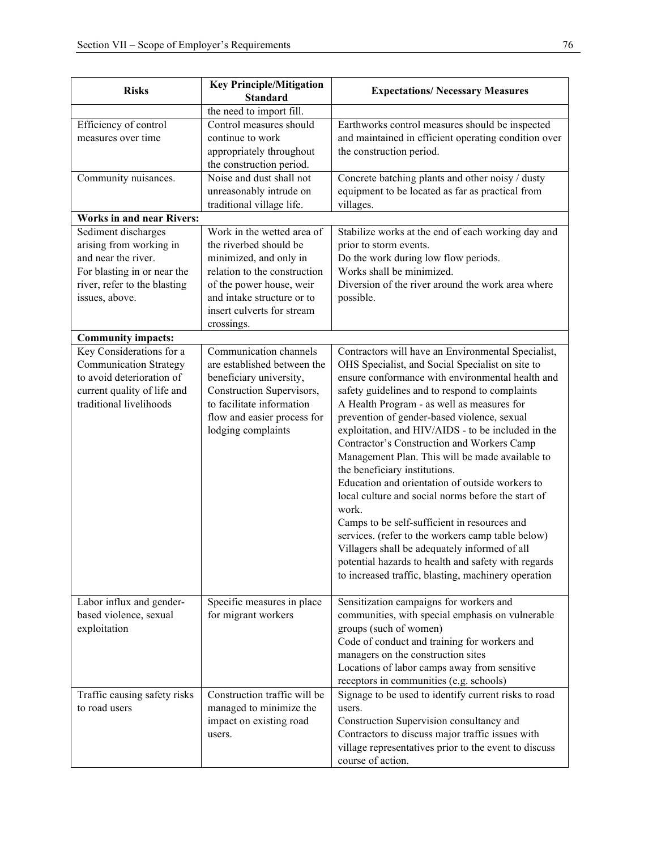| <b>Risks</b>                     | <b>Key Principle/Mitigation</b> | <b>Expectations/ Necessary Measures</b>               |  |  |
|----------------------------------|---------------------------------|-------------------------------------------------------|--|--|
|                                  | <b>Standard</b>                 |                                                       |  |  |
|                                  | the need to import fill.        |                                                       |  |  |
| Efficiency of control            | Control measures should         | Earthworks control measures should be inspected       |  |  |
| measures over time               | continue to work                | and maintained in efficient operating condition over  |  |  |
|                                  | appropriately throughout        | the construction period.                              |  |  |
|                                  | the construction period.        |                                                       |  |  |
| Community nuisances.             | Noise and dust shall not        | Concrete batching plants and other noisy / dusty      |  |  |
|                                  | unreasonably intrude on         | equipment to be located as far as practical from      |  |  |
|                                  | traditional village life.       | villages.                                             |  |  |
| <b>Works in and near Rivers:</b> |                                 |                                                       |  |  |
| Sediment discharges              | Work in the wetted area of      | Stabilize works at the end of each working day and    |  |  |
| arising from working in          | the riverbed should be          | prior to storm events.                                |  |  |
| and near the river.              | minimized, and only in          | Do the work during low flow periods.                  |  |  |
| For blasting in or near the      | relation to the construction    | Works shall be minimized.                             |  |  |
| river, refer to the blasting     | of the power house, weir        | Diversion of the river around the work area where     |  |  |
| issues, above.                   | and intake structure or to      | possible.                                             |  |  |
|                                  | insert culverts for stream      |                                                       |  |  |
|                                  | crossings.                      |                                                       |  |  |
| <b>Community impacts:</b>        |                                 |                                                       |  |  |
| Key Considerations for a         | Communication channels          | Contractors will have an Environmental Specialist,    |  |  |
| <b>Communication Strategy</b>    | are established between the     | OHS Specialist, and Social Specialist on site to      |  |  |
| to avoid deterioration of        | beneficiary university,         | ensure conformance with environmental health and      |  |  |
| current quality of life and      | Construction Supervisors,       | safety guidelines and to respond to complaints        |  |  |
| traditional livelihoods          | to facilitate information       | A Health Program - as well as measures for            |  |  |
|                                  | flow and easier process for     | prevention of gender-based violence, sexual           |  |  |
|                                  | lodging complaints              | exploitation, and HIV/AIDS - to be included in the    |  |  |
|                                  |                                 | Contractor's Construction and Workers Camp            |  |  |
|                                  |                                 | Management Plan. This will be made available to       |  |  |
|                                  |                                 | the beneficiary institutions.                         |  |  |
|                                  |                                 | Education and orientation of outside workers to       |  |  |
|                                  |                                 | local culture and social norms before the start of    |  |  |
|                                  |                                 | work.                                                 |  |  |
|                                  |                                 | Camps to be self-sufficient in resources and          |  |  |
|                                  |                                 | services. (refer to the workers camp table below)     |  |  |
|                                  |                                 | Villagers shall be adequately informed of all         |  |  |
|                                  |                                 | potential hazards to health and safety with regards   |  |  |
|                                  |                                 | to increased traffic, blasting, machinery operation   |  |  |
|                                  |                                 |                                                       |  |  |
| Labor influx and gender-         | Specific measures in place      | Sensitization campaigns for workers and               |  |  |
| based violence, sexual           | for migrant workers             | communities, with special emphasis on vulnerable      |  |  |
| exploitation                     |                                 | groups (such of women)                                |  |  |
|                                  |                                 | Code of conduct and training for workers and          |  |  |
|                                  |                                 | managers on the construction sites                    |  |  |
|                                  |                                 | Locations of labor camps away from sensitive          |  |  |
|                                  |                                 | receptors in communities (e.g. schools)               |  |  |
| Traffic causing safety risks     | Construction traffic will be    | Signage to be used to identify current risks to road  |  |  |
| to road users                    | managed to minimize the         | users.                                                |  |  |
|                                  | impact on existing road         | Construction Supervision consultancy and              |  |  |
|                                  | users.                          | Contractors to discuss major traffic issues with      |  |  |
|                                  |                                 | village representatives prior to the event to discuss |  |  |
|                                  |                                 | course of action.                                     |  |  |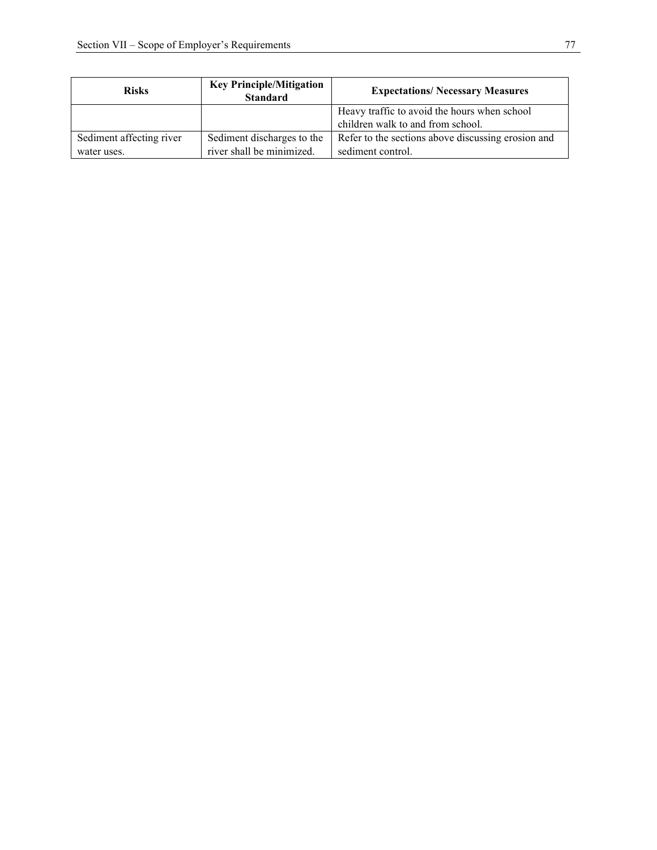| <b>Risks</b>             | <b>Key Principle/Mitigation</b><br><b>Standard</b> | <b>Expectations/ Necessary Measures</b>            |
|--------------------------|----------------------------------------------------|----------------------------------------------------|
|                          |                                                    | Heavy traffic to avoid the hours when school       |
|                          |                                                    | children walk to and from school.                  |
| Sediment affecting river | Sediment discharges to the                         | Refer to the sections above discussing erosion and |
| water uses.              | river shall be minimized.                          | sediment control.                                  |